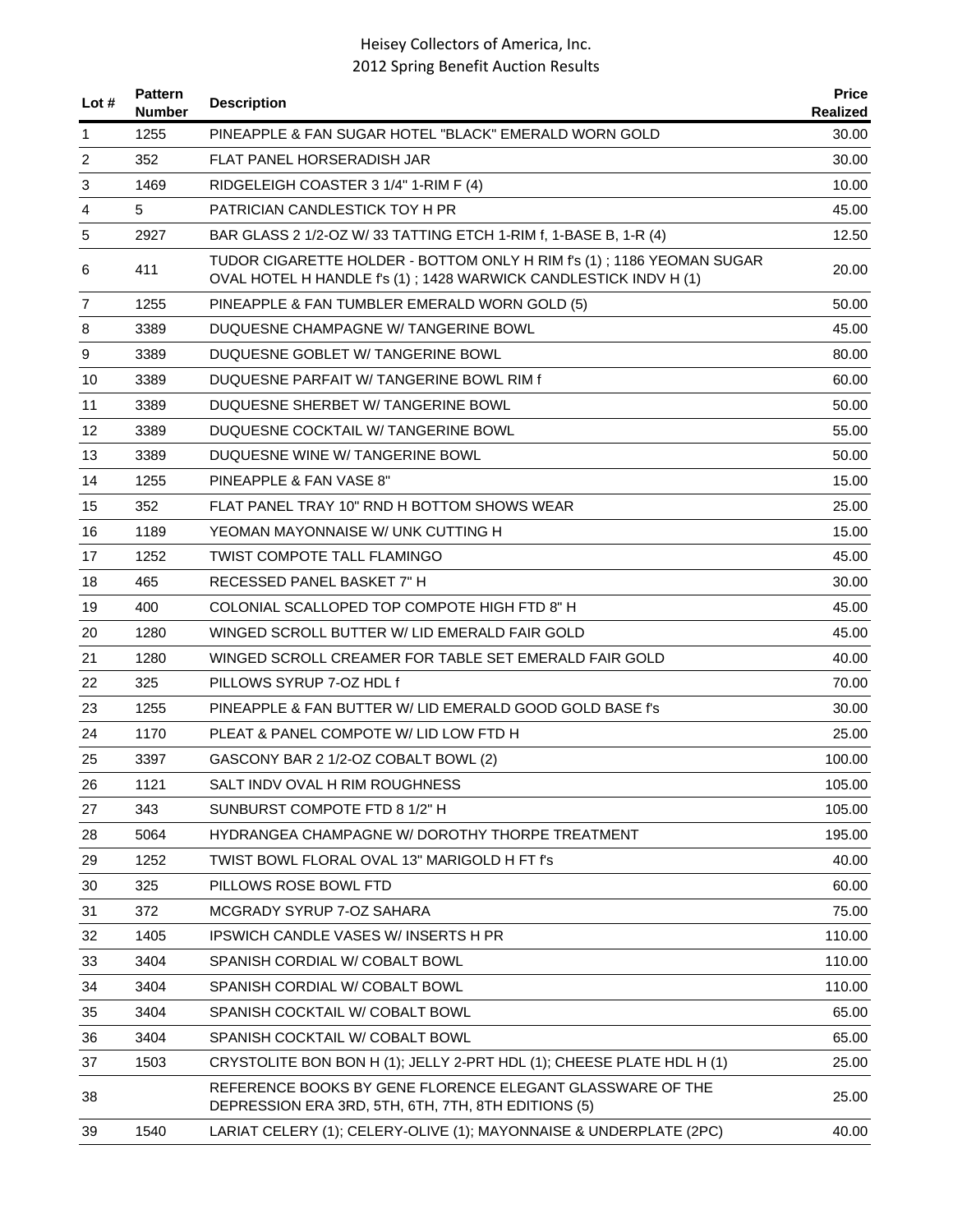| Lot#           | <b>Pattern</b><br><b>Number</b> | <b>Description</b>                                                                                                                         | <b>Price</b><br>Realized |
|----------------|---------------------------------|--------------------------------------------------------------------------------------------------------------------------------------------|--------------------------|
| 1              | 1255                            | PINEAPPLE & FAN SUGAR HOTEL "BLACK" EMERALD WORN GOLD                                                                                      | 30.00                    |
| $\overline{2}$ | 352                             | FLAT PANEL HORSERADISH JAR                                                                                                                 | 30.00                    |
| 3              | 1469                            | RIDGELEIGH COASTER 3 1/4" 1-RIM F (4)                                                                                                      | 10.00                    |
| 4              | 5                               | PATRICIAN CANDLESTICK TOY H PR                                                                                                             | 45.00                    |
| 5              | 2927                            | BAR GLASS 2 1/2-OZ W/ 33 TATTING ETCH 1-RIM f, 1-BASE B, 1-R (4)                                                                           | 12.50                    |
| 6              | 411                             | TUDOR CIGARETTE HOLDER - BOTTOM ONLY H RIM f's (1) ; 1186 YEOMAN SUGAR<br>OVAL HOTEL H HANDLE f's (1); 1428 WARWICK CANDLESTICK INDV H (1) | 20.00                    |
| 7              | 1255                            | PINEAPPLE & FAN TUMBLER EMERALD WORN GOLD (5)                                                                                              | 50.00                    |
| 8              | 3389                            | DUQUESNE CHAMPAGNE W/ TANGERINE BOWL                                                                                                       | 45.00                    |
| 9              | 3389                            | DUQUESNE GOBLET W/ TANGERINE BOWL                                                                                                          | 80.00                    |
| 10             | 3389                            | DUQUESNE PARFAIT W/TANGERINE BOWL RIM f                                                                                                    | 60.00                    |
| 11             | 3389                            | DUQUESNE SHERBET W/ TANGERINE BOWL                                                                                                         | 50.00                    |
| 12             | 3389                            | DUQUESNE COCKTAIL W/TANGERINE BOWL                                                                                                         | 55.00                    |
| 13             | 3389                            | DUQUESNE WINE W/ TANGERINE BOWL                                                                                                            | 50.00                    |
| 14             | 1255                            | PINEAPPLE & FAN VASE 8"                                                                                                                    | 15.00                    |
| 15             | 352                             | FLAT PANEL TRAY 10" RND H BOTTOM SHOWS WEAR                                                                                                | 25.00                    |
| 16             | 1189                            | YEOMAN MAYONNAISE W/ UNK CUTTING H                                                                                                         | 15.00                    |
| 17             | 1252                            | <b>TWIST COMPOTE TALL FLAMINGO</b>                                                                                                         | 45.00                    |
| 18             | 465                             | RECESSED PANEL BASKET 7" H                                                                                                                 | 30.00                    |
| 19             | 400                             | COLONIAL SCALLOPED TOP COMPOTE HIGH FTD 8" H                                                                                               | 45.00                    |
| 20             | 1280                            | WINGED SCROLL BUTTER W/ LID EMERALD FAIR GOLD                                                                                              | 45.00                    |
| 21             | 1280                            | WINGED SCROLL CREAMER FOR TABLE SET EMERALD FAIR GOLD                                                                                      | 40.00                    |
| 22             | 325                             | PILLOWS SYRUP 7-OZ HDL f                                                                                                                   | 70.00                    |
| 23             | 1255                            | PINEAPPLE & FAN BUTTER W/ LID EMERALD GOOD GOLD BASE f's                                                                                   | 30.00                    |
| 24             | 1170                            | PLEAT & PANEL COMPOTE W/ LID LOW FTD H                                                                                                     | 25.00                    |
| 25             | 3397                            | GASCONY BAR 2 1/2-OZ COBALT BOWL (2)                                                                                                       | 100.00                   |
| 26             | 1121                            | SALT INDV OVAL H RIM ROUGHNESS                                                                                                             | 105.00                   |
| 27             | 343                             | SUNBURST COMPOTE FTD 8 1/2" H                                                                                                              | 105.00                   |
| 28             | 5064                            | HYDRANGEA CHAMPAGNE W/ DOROTHY THORPE TREATMENT                                                                                            | 195.00                   |
| 29             | 1252                            | TWIST BOWL FLORAL OVAL 13" MARIGOLD H FT f's                                                                                               | 40.00                    |
| 30             | 325                             | PILLOWS ROSE BOWL FTD                                                                                                                      | 60.00                    |
| 31             | 372                             | MCGRADY SYRUP 7-OZ SAHARA                                                                                                                  | 75.00                    |
| 32             | 1405                            | <b>IPSWICH CANDLE VASES W/INSERTS H PR</b>                                                                                                 | 110.00                   |
| 33             | 3404                            | SPANISH CORDIAL W/ COBALT BOWL                                                                                                             | 110.00                   |
| 34             | 3404                            | SPANISH CORDIAL W/ COBALT BOWL                                                                                                             | 110.00                   |
| 35             | 3404                            | SPANISH COCKTAIL W/ COBALT BOWL                                                                                                            | 65.00                    |
| 36             | 3404                            | SPANISH COCKTAIL W/ COBALT BOWL                                                                                                            | 65.00                    |
| 37             | 1503                            | CRYSTOLITE BON BON H (1); JELLY 2-PRT HDL (1); CHEESE PLATE HDL H (1)                                                                      | 25.00                    |
| 38             |                                 | REFERENCE BOOKS BY GENE FLORENCE ELEGANT GLASSWARE OF THE<br>DEPRESSION ERA 3RD, 5TH, 6TH, 7TH, 8TH EDITIONS (5)                           | 25.00                    |
| 39             | 1540                            | LARIAT CELERY (1); CELERY-OLIVE (1); MAYONNAISE & UNDERPLATE (2PC)                                                                         | 40.00                    |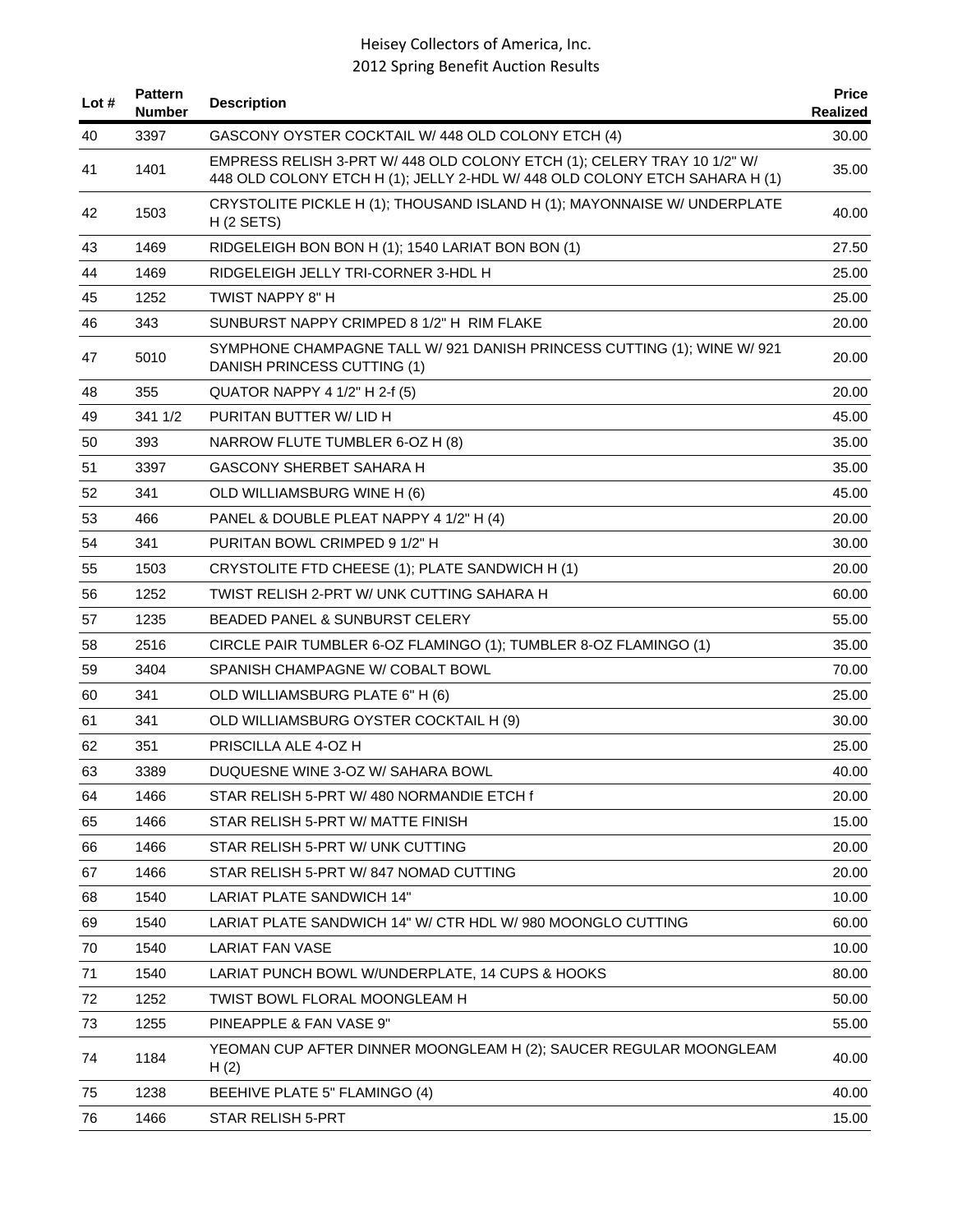| Lot $#$ | <b>Pattern</b><br>Number | <b>Description</b>                                                                                                                                    | <b>Price</b><br>Realized |
|---------|--------------------------|-------------------------------------------------------------------------------------------------------------------------------------------------------|--------------------------|
| 40      | 3397                     | GASCONY OYSTER COCKTAIL W/ 448 OLD COLONY ETCH (4)                                                                                                    | 30.00                    |
| 41      | 1401                     | EMPRESS RELISH 3-PRT W/ 448 OLD COLONY ETCH (1); CELERY TRAY 10 1/2" W/<br>448 OLD COLONY ETCH H (1); JELLY 2-HDL W/ 448 OLD COLONY ETCH SAHARA H (1) | 35.00                    |
| 42      | 1503                     | CRYSTOLITE PICKLE H (1); THOUSAND ISLAND H (1); MAYONNAISE W/ UNDERPLATE<br>H(2 SETS)                                                                 | 40.00                    |
| 43      | 1469                     | RIDGELEIGH BON BON H (1); 1540 LARIAT BON BON (1)                                                                                                     | 27.50                    |
| 44      | 1469                     | RIDGELEIGH JELLY TRI-CORNER 3-HDL H                                                                                                                   | 25.00                    |
| 45      | 1252                     | TWIST NAPPY 8" H                                                                                                                                      | 25.00                    |
| 46      | 343                      | SUNBURST NAPPY CRIMPED 8 1/2" H RIM FLAKE                                                                                                             | 20.00                    |
| 47      | 5010                     | SYMPHONE CHAMPAGNE TALL W/ 921 DANISH PRINCESS CUTTING (1); WINE W/ 921<br>DANISH PRINCESS CUTTING (1)                                                | 20.00                    |
| 48      | 355                      | QUATOR NAPPY 4 1/2" H 2-f (5)                                                                                                                         | 20.00                    |
| 49      | 341 1/2                  | PURITAN BUTTER W/LID H                                                                                                                                | 45.00                    |
| 50      | 393                      | NARROW FLUTE TUMBLER 6-OZ H (8)                                                                                                                       | 35.00                    |
| 51      | 3397                     | <b>GASCONY SHERBET SAHARA H</b>                                                                                                                       | 35.00                    |
| 52      | 341                      | OLD WILLIAMSBURG WINE H (6)                                                                                                                           | 45.00                    |
| 53      | 466                      | PANEL & DOUBLE PLEAT NAPPY 4 1/2" H (4)                                                                                                               | 20.00                    |
| 54      | 341                      | PURITAN BOWL CRIMPED 9 1/2" H                                                                                                                         | 30.00                    |
| 55      | 1503                     | CRYSTOLITE FTD CHEESE (1); PLATE SANDWICH H (1)                                                                                                       | 20.00                    |
| 56      | 1252                     | TWIST RELISH 2-PRT W/ UNK CUTTING SAHARA H                                                                                                            | 60.00                    |
| 57      | 1235                     | BEADED PANEL & SUNBURST CELERY                                                                                                                        | 55.00                    |
| 58      | 2516                     | CIRCLE PAIR TUMBLER 6-OZ FLAMINGO (1); TUMBLER 8-OZ FLAMINGO (1)                                                                                      | 35.00                    |
| 59      | 3404                     | SPANISH CHAMPAGNE W/ COBALT BOWL                                                                                                                      | 70.00                    |
| 60      | 341                      | OLD WILLIAMSBURG PLATE 6" H (6)                                                                                                                       | 25.00                    |
| 61      | 341                      | OLD WILLIAMSBURG OYSTER COCKTAIL H (9)                                                                                                                | 30.00                    |
| 62      | 351                      | PRISCILLA ALE 4-OZ H                                                                                                                                  | 25.00                    |
| 63      | 3389                     | DUQUESNE WINE 3-OZ W/ SAHARA BOWL                                                                                                                     | 40.00                    |
| 64      | 1466                     | STAR RELISH 5-PRT W/480 NORMANDIE ETCH f                                                                                                              | 20.00                    |
| 65      | 1466                     | STAR RELISH 5-PRT W/ MATTE FINISH                                                                                                                     | 15.00                    |
| 66      | 1466                     | STAR RELISH 5-PRT W/ UNK CUTTING                                                                                                                      | 20.00                    |
| 67      | 1466                     | STAR RELISH 5-PRT W/847 NOMAD CUTTING                                                                                                                 | 20.00                    |
| 68      | 1540                     | LARIAT PLATE SANDWICH 14"                                                                                                                             | 10.00                    |
| 69      | 1540                     | LARIAT PLATE SANDWICH 14" W/ CTR HDL W/ 980 MOONGLO CUTTING                                                                                           | 60.00                    |
| 70      | 1540                     | <b>LARIAT FAN VASE</b>                                                                                                                                | 10.00                    |
| 71      | 1540                     | LARIAT PUNCH BOWL W/UNDERPLATE, 14 CUPS & HOOKS                                                                                                       | 80.00                    |
| 72      | 1252                     | TWIST BOWL FLORAL MOONGLEAM H                                                                                                                         | 50.00                    |
| 73      | 1255                     | PINEAPPLE & FAN VASE 9"                                                                                                                               | 55.00                    |
| 74      | 1184                     | YEOMAN CUP AFTER DINNER MOONGLEAM H (2); SAUCER REGULAR MOONGLEAM<br>H(2)                                                                             | 40.00                    |
| 75      | 1238                     | BEEHIVE PLATE 5" FLAMINGO (4)                                                                                                                         | 40.00                    |
| 76      | 1466                     | STAR RELISH 5-PRT                                                                                                                                     | 15.00                    |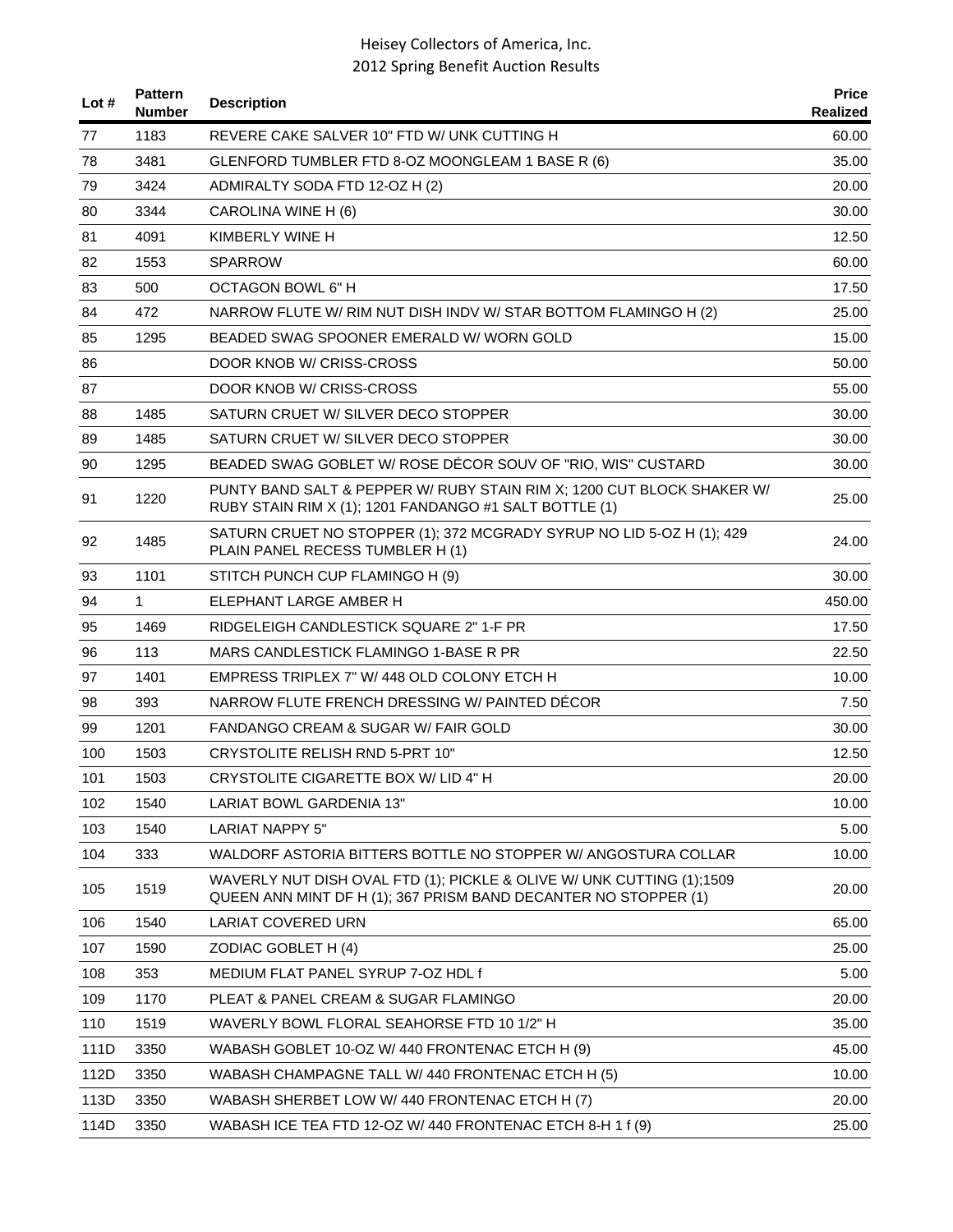| Lot # | <b>Pattern</b><br><b>Number</b> | <b>Description</b>                                                                                                                       | <b>Price</b><br>Realized |
|-------|---------------------------------|------------------------------------------------------------------------------------------------------------------------------------------|--------------------------|
| 77    | 1183                            | REVERE CAKE SALVER 10" FTD W/ UNK CUTTING H                                                                                              | 60.00                    |
| 78    | 3481                            | GLENFORD TUMBLER FTD 8-OZ MOONGLEAM 1 BASE R (6)                                                                                         | 35.00                    |
| 79    | 3424                            | ADMIRALTY SODA FTD 12-OZ H (2)                                                                                                           | 20.00                    |
| 80    | 3344                            | CAROLINA WINE H (6)                                                                                                                      | 30.00                    |
| 81    | 4091                            | KIMBERLY WINE H                                                                                                                          | 12.50                    |
| 82    | 1553                            | <b>SPARROW</b>                                                                                                                           | 60.00                    |
| 83    | 500                             | <b>OCTAGON BOWL 6" H</b>                                                                                                                 | 17.50                    |
| 84    | 472                             | NARROW FLUTE W/ RIM NUT DISH INDV W/ STAR BOTTOM FLAMINGO H (2)                                                                          | 25.00                    |
| 85    | 1295                            | BEADED SWAG SPOONER EMERALD W/ WORN GOLD                                                                                                 | 15.00                    |
| 86    |                                 | DOOR KNOB W/ CRISS-CROSS                                                                                                                 | 50.00                    |
| 87    |                                 | DOOR KNOB W/ CRISS-CROSS                                                                                                                 | 55.00                    |
| 88    | 1485                            | SATURN CRUET W/ SILVER DECO STOPPER                                                                                                      | 30.00                    |
| 89    | 1485                            | SATURN CRUET W/ SILVER DECO STOPPER                                                                                                      | 30.00                    |
| 90    | 1295                            | BEADED SWAG GOBLET W/ ROSE DÉCOR SOUV OF "RIO, WIS" CUSTARD                                                                              | 30.00                    |
| 91    | 1220                            | PUNTY BAND SALT & PEPPER W/ RUBY STAIN RIM X; 1200 CUT BLOCK SHAKER W/<br>RUBY STAIN RIM X (1); 1201 FANDANGO #1 SALT BOTTLE (1)         | 25.00                    |
| 92    | 1485                            | SATURN CRUET NO STOPPER (1); 372 MCGRADY SYRUP NO LID 5-OZ H (1); 429<br>PLAIN PANEL RECESS TUMBLER H (1)                                | 24.00                    |
| 93    | 1101                            | STITCH PUNCH CUP FLAMINGO H (9)                                                                                                          | 30.00                    |
| 94    | 1                               | ELEPHANT LARGE AMBER H                                                                                                                   | 450.00                   |
| 95    | 1469                            | RIDGELEIGH CANDLESTICK SQUARE 2" 1-F PR                                                                                                  | 17.50                    |
| 96    | 113                             | MARS CANDLESTICK FLAMINGO 1-BASE R PR                                                                                                    | 22.50                    |
| 97    | 1401                            | EMPRESS TRIPLEX 7" W/ 448 OLD COLONY ETCH H                                                                                              | 10.00                    |
| 98    | 393                             | NARROW FLUTE FRENCH DRESSING W/ PAINTED DÉCOR                                                                                            | 7.50                     |
| 99    | 1201                            | FANDANGO CREAM & SUGAR W/ FAIR GOLD                                                                                                      | 30.00                    |
| 100   | 1503                            | <b>CRYSTOLITE RELISH RND 5-PRT 10"</b>                                                                                                   | 12.50                    |
| 101   | 1503                            | CRYSTOLITE CIGARETTE BOX W/ LID 4" H                                                                                                     | 20.00                    |
| 102   | 1540                            | LARIAT BOWL GARDENIA 13"                                                                                                                 | 10.00                    |
| 103   | 1540                            | <b>LARIAT NAPPY 5"</b>                                                                                                                   | 5.00                     |
| 104   | 333                             | WALDORF ASTORIA BITTERS BOTTLE NO STOPPER W/ ANGOSTURA COLLAR                                                                            | 10.00                    |
| 105   | 1519                            | WAVERLY NUT DISH OVAL FTD (1); PICKLE & OLIVE W/ UNK CUTTING (1);1509<br>QUEEN ANN MINT DF H (1); 367 PRISM BAND DECANTER NO STOPPER (1) | 20.00                    |
| 106   | 1540                            | <b>LARIAT COVERED URN</b>                                                                                                                | 65.00                    |
| 107   | 1590                            | ZODIAC GOBLET H (4)                                                                                                                      | 25.00                    |
| 108   | 353                             | MEDIUM FLAT PANEL SYRUP 7-OZ HDL f                                                                                                       | 5.00                     |
| 109   | 1170                            | PLEAT & PANEL CREAM & SUGAR FLAMINGO                                                                                                     | 20.00                    |
| 110   | 1519                            | WAVERLY BOWL FLORAL SEAHORSE FTD 10 1/2" H                                                                                               | 35.00                    |
| 111D  | 3350                            | WABASH GOBLET 10-OZ W/ 440 FRONTENAC ETCH H (9)                                                                                          | 45.00                    |
| 112D  | 3350                            | WABASH CHAMPAGNE TALL W/ 440 FRONTENAC ETCH H (5)                                                                                        | 10.00                    |
| 113D  | 3350                            | WABASH SHERBET LOW W/440 FRONTENAC ETCH H (7)                                                                                            | 20.00                    |
| 114D  | 3350                            | WABASH ICE TEA FTD 12-OZ W/ 440 FRONTENAC ETCH 8-H 1 f (9)                                                                               | 25.00                    |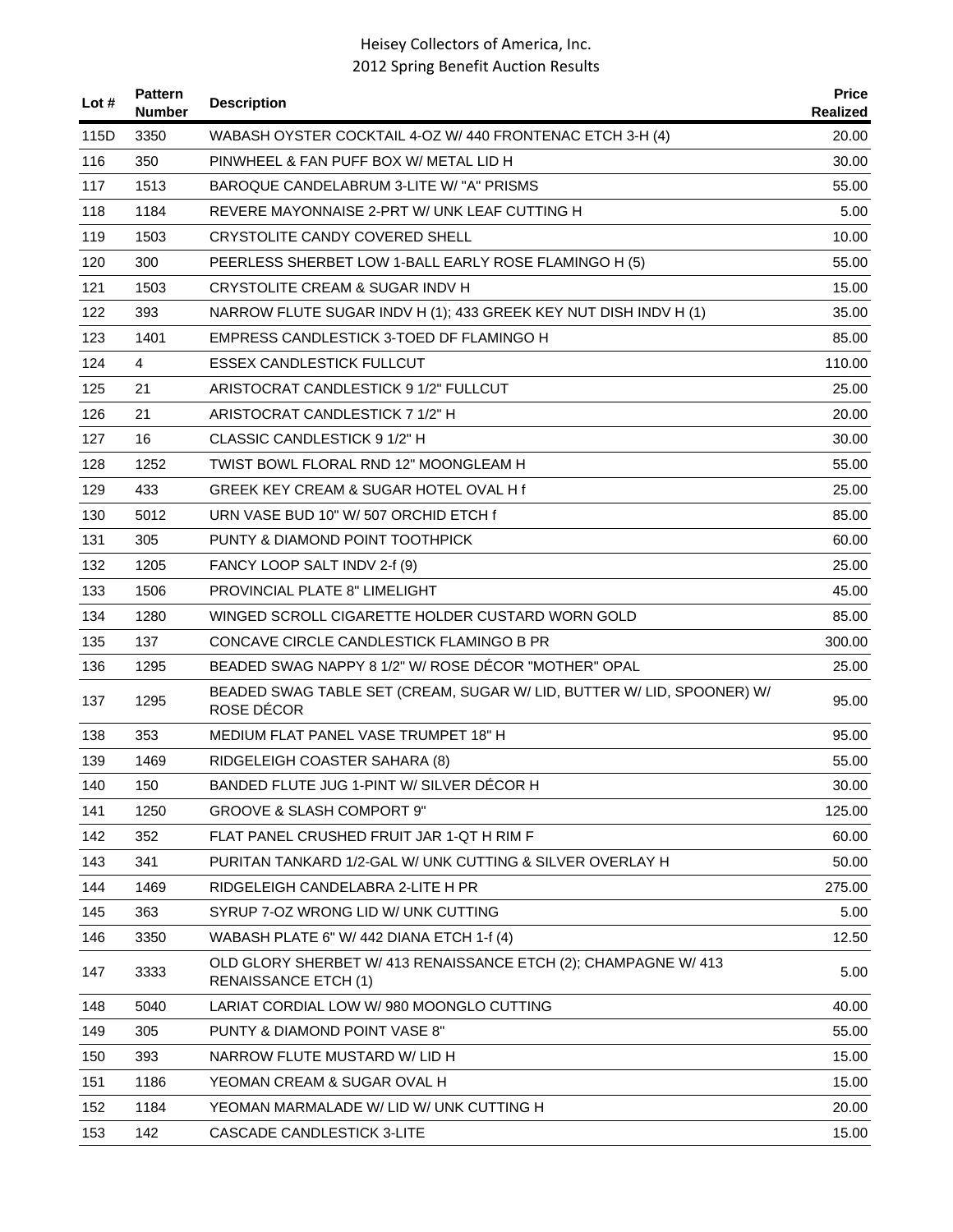| Lot # | <b>Pattern</b><br><b>Number</b> | <b>Description</b>                                                                             | <b>Price</b><br>Realized |
|-------|---------------------------------|------------------------------------------------------------------------------------------------|--------------------------|
| 115D  | 3350                            | WABASH OYSTER COCKTAIL 4-OZ W/ 440 FRONTENAC ETCH 3-H (4)                                      | 20.00                    |
| 116   | 350                             | PINWHEEL & FAN PUFF BOX W/ METAL LID H                                                         | 30.00                    |
| 117   | 1513                            | BAROQUE CANDELABRUM 3-LITE W/ "A" PRISMS                                                       | 55.00                    |
| 118   | 1184                            | REVERE MAYONNAISE 2-PRT W/ UNK LEAF CUTTING H                                                  | 5.00                     |
| 119   | 1503                            | CRYSTOLITE CANDY COVERED SHELL                                                                 | 10.00                    |
| 120   | 300                             | PEERLESS SHERBET LOW 1-BALL EARLY ROSE FLAMINGO H (5)                                          | 55.00                    |
| 121   | 1503                            | CRYSTOLITE CREAM & SUGAR INDV H                                                                | 15.00                    |
| 122   | 393                             | NARROW FLUTE SUGAR INDV H (1); 433 GREEK KEY NUT DISH INDV H (1)                               | 35.00                    |
| 123   | 1401                            | EMPRESS CANDLESTICK 3-TOED DF FLAMINGO H                                                       | 85.00                    |
| 124   | $\overline{4}$                  | ESSEX CANDLESTICK FULLCUT                                                                      | 110.00                   |
| 125   | 21                              | ARISTOCRAT CANDLESTICK 9 1/2" FULLCUT                                                          | 25.00                    |
| 126   | 21                              | ARISTOCRAT CANDLESTICK 7 1/2" H                                                                | 20.00                    |
| 127   | 16                              | CLASSIC CANDLESTICK 9 1/2" H                                                                   | 30.00                    |
| 128   | 1252                            | TWIST BOWL FLORAL RND 12" MOONGLEAM H                                                          | 55.00                    |
| 129   | 433                             | GREEK KEY CREAM & SUGAR HOTEL OVAL H f                                                         | 25.00                    |
| 130   | 5012                            | URN VASE BUD 10" W/ 507 ORCHID ETCH f                                                          | 85.00                    |
| 131   | 305                             | PUNTY & DIAMOND POINT TOOTHPICK                                                                | 60.00                    |
| 132   | 1205                            | FANCY LOOP SALT INDV 2-f (9)                                                                   | 25.00                    |
| 133   | 1506                            | PROVINCIAL PLATE 8" LIMELIGHT                                                                  | 45.00                    |
| 134   | 1280                            | WINGED SCROLL CIGARETTE HOLDER CUSTARD WORN GOLD                                               | 85.00                    |
| 135   | 137                             | CONCAVE CIRCLE CANDLESTICK FLAMINGO B PR                                                       | 300.00                   |
| 136   | 1295                            | BEADED SWAG NAPPY 8 1/2" W/ ROSE DÉCOR "MOTHER" OPAL                                           | 25.00                    |
| 137   | 1295                            | BEADED SWAG TABLE SET (CREAM, SUGAR W/ LID, BUTTER W/ LID, SPOONER) W/<br>ROSE DÉCOR           | 95.00                    |
| 138   | 353                             | MEDIUM FLAT PANEL VASE TRUMPET 18" H                                                           | 95.00                    |
| 139   | 1469                            | RIDGELEIGH COASTER SAHARA (8)                                                                  | 55.00                    |
| 140   | 150                             | BANDED FLUTE JUG 1-PINT W/ SILVER DÉCOR H                                                      | 30.00                    |
| 141   | 1250                            | <b>GROOVE &amp; SLASH COMPORT 9"</b>                                                           | 125.00                   |
| 142   | 352                             | FLAT PANEL CRUSHED FRUIT JAR 1-QT H RIM F                                                      | 60.00                    |
| 143   | 341                             | PURITAN TANKARD 1/2-GAL W/ UNK CUTTING & SILVER OVERLAY H                                      | 50.00                    |
| 144   | 1469                            | RIDGELEIGH CANDELABRA 2-LITE H PR                                                              | 275.00                   |
| 145   | 363                             | SYRUP 7-OZ WRONG LID W/ UNK CUTTING                                                            | 5.00                     |
| 146   | 3350                            | WABASH PLATE 6" W/ 442 DIANA ETCH 1-f (4)                                                      | 12.50                    |
| 147   | 3333                            | OLD GLORY SHERBET W/ 413 RENAISSANCE ETCH (2); CHAMPAGNE W/ 413<br><b>RENAISSANCE ETCH (1)</b> | 5.00                     |
| 148   | 5040                            | LARIAT CORDIAL LOW W/ 980 MOONGLO CUTTING                                                      | 40.00                    |
| 149   | 305                             | PUNTY & DIAMOND POINT VASE 8"                                                                  | 55.00                    |
| 150   | 393                             | NARROW FLUTE MUSTARD W/ LID H                                                                  | 15.00                    |
| 151   | 1186                            | YEOMAN CREAM & SUGAR OVAL H                                                                    | 15.00                    |
| 152   | 1184                            | YEOMAN MARMALADE W/ LID W/ UNK CUTTING H                                                       | 20.00                    |
| 153   | 142                             | CASCADE CANDLESTICK 3-LITE                                                                     | 15.00                    |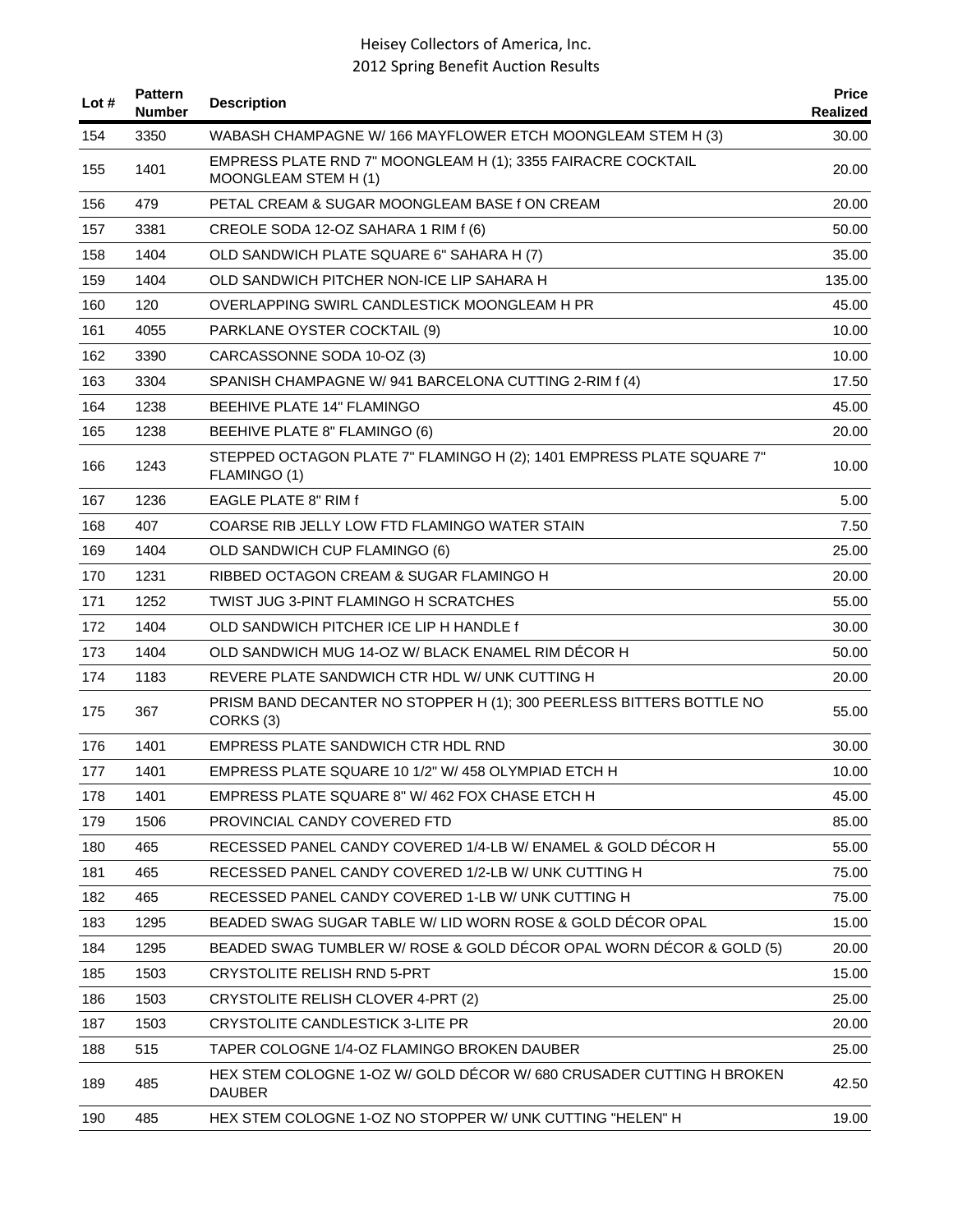| Lot # | <b>Pattern</b><br><b>Number</b> | <b>Description</b>                                                                           | <b>Price</b><br>Realized |
|-------|---------------------------------|----------------------------------------------------------------------------------------------|--------------------------|
| 154   | 3350                            | WABASH CHAMPAGNE W/166 MAYFLOWER ETCH MOONGLEAM STEM H (3)                                   | 30.00                    |
| 155   | 1401                            | EMPRESS PLATE RND 7" MOONGLEAM H (1); 3355 FAIRACRE COCKTAIL<br>MOONGLEAM STEM H (1)         | 20.00                    |
| 156   | 479                             | PETAL CREAM & SUGAR MOONGLEAM BASE 1 ON CREAM                                                | 20.00                    |
| 157   | 3381                            | CREOLE SODA 12-OZ SAHARA 1 RIM f (6)                                                         | 50.00                    |
| 158   | 1404                            | OLD SANDWICH PLATE SQUARE 6" SAHARA H (7)                                                    | 35.00                    |
| 159   | 1404                            | OLD SANDWICH PITCHER NON-ICE LIP SAHARA H                                                    | 135.00                   |
| 160   | 120                             | OVERLAPPING SWIRL CANDLESTICK MOONGLEAM H PR                                                 | 45.00                    |
| 161   | 4055                            | PARKLANE OYSTER COCKTAIL (9)                                                                 | 10.00                    |
| 162   | 3390                            | CARCASSONNE SODA 10-OZ (3)                                                                   | 10.00                    |
| 163   | 3304                            | SPANISH CHAMPAGNE W/941 BARCELONA CUTTING 2-RIM f (4)                                        | 17.50                    |
| 164   | 1238                            | BEEHIVE PLATE 14" FLAMINGO                                                                   | 45.00                    |
| 165   | 1238                            | BEEHIVE PLATE 8" FLAMINGO (6)                                                                | 20.00                    |
| 166   | 1243                            | STEPPED OCTAGON PLATE 7" FLAMINGO H (2); 1401 EMPRESS PLATE SQUARE 7"<br>FLAMINGO (1)        | 10.00                    |
| 167   | 1236                            | <b>EAGLE PLATE 8" RIM f</b>                                                                  | 5.00                     |
| 168   | 407                             | COARSE RIB JELLY LOW FTD FLAMINGO WATER STAIN                                                | 7.50                     |
| 169   | 1404                            | OLD SANDWICH CUP FLAMINGO (6)                                                                | 25.00                    |
| 170   | 1231                            | RIBBED OCTAGON CREAM & SUGAR FLAMINGO H                                                      | 20.00                    |
| 171   | 1252                            | TWIST JUG 3-PINT FLAMINGO H SCRATCHES                                                        | 55.00                    |
| 172   | 1404                            | OLD SANDWICH PITCHER ICE LIP H HANDLE f                                                      | 30.00                    |
| 173   | 1404                            | OLD SANDWICH MUG 14-OZ W/ BLACK ENAMEL RIM DECOR H                                           | 50.00                    |
| 174   | 1183                            | REVERE PLATE SANDWICH CTR HDL W/ UNK CUTTING H                                               | 20.00                    |
| 175   | 367                             | PRISM BAND DECANTER NO STOPPER H (1); 300 PEERLESS BITTERS BOTTLE NO<br>CORKS <sub>(3)</sub> | 55.00                    |
| 176   | 1401                            | EMPRESS PLATE SANDWICH CTR HDL RND                                                           | 30.00                    |
| 177   | 1401                            | EMPRESS PLATE SQUARE 10 1/2" W/ 458 OLYMPIAD ETCH H                                          | 10.00                    |
| 178   | 1401                            | EMPRESS PLATE SQUARE 8" W/ 462 FOX CHASE ETCH H                                              | 45.00                    |
| 179   | 1506                            | PROVINCIAL CANDY COVERED FTD                                                                 | 85.00                    |
| 180   | 465                             | RECESSED PANEL CANDY COVERED 1/4-LB W/ ENAMEL & GOLD DECOR H                                 | 55.00                    |
| 181   | 465                             | RECESSED PANEL CANDY COVERED 1/2-LB W/ UNK CUTTING H                                         | 75.00                    |
| 182   | 465                             | RECESSED PANEL CANDY COVERED 1-LB W/ UNK CUTTING H                                           | 75.00                    |
| 183   | 1295                            | BEADED SWAG SUGAR TABLE W/ LID WORN ROSE & GOLD DÉCOR OPAL                                   | 15.00                    |
| 184   | 1295                            | BEADED SWAG TUMBLER W/ ROSE & GOLD DÉCOR OPAL WORN DÉCOR & GOLD (5)                          | 20.00                    |
| 185   | 1503                            | <b>CRYSTOLITE RELISH RND 5-PRT</b>                                                           | 15.00                    |
| 186   | 1503                            | CRYSTOLITE RELISH CLOVER 4-PRT (2)                                                           | 25.00                    |
| 187   | 1503                            | CRYSTOLITE CANDLESTICK 3-LITE PR                                                             | 20.00                    |
| 188   | 515                             | TAPER COLOGNE 1/4-OZ FLAMINGO BROKEN DAUBER                                                  | 25.00                    |
| 189   | 485                             | HEX STEM COLOGNE 1-OZ W/ GOLD DÉCOR W/ 680 CRUSADER CUTTING H BROKEN<br><b>DAUBER</b>        | 42.50                    |
| 190   | 485                             | HEX STEM COLOGNE 1-OZ NO STOPPER W/ UNK CUTTING "HELEN" H                                    | 19.00                    |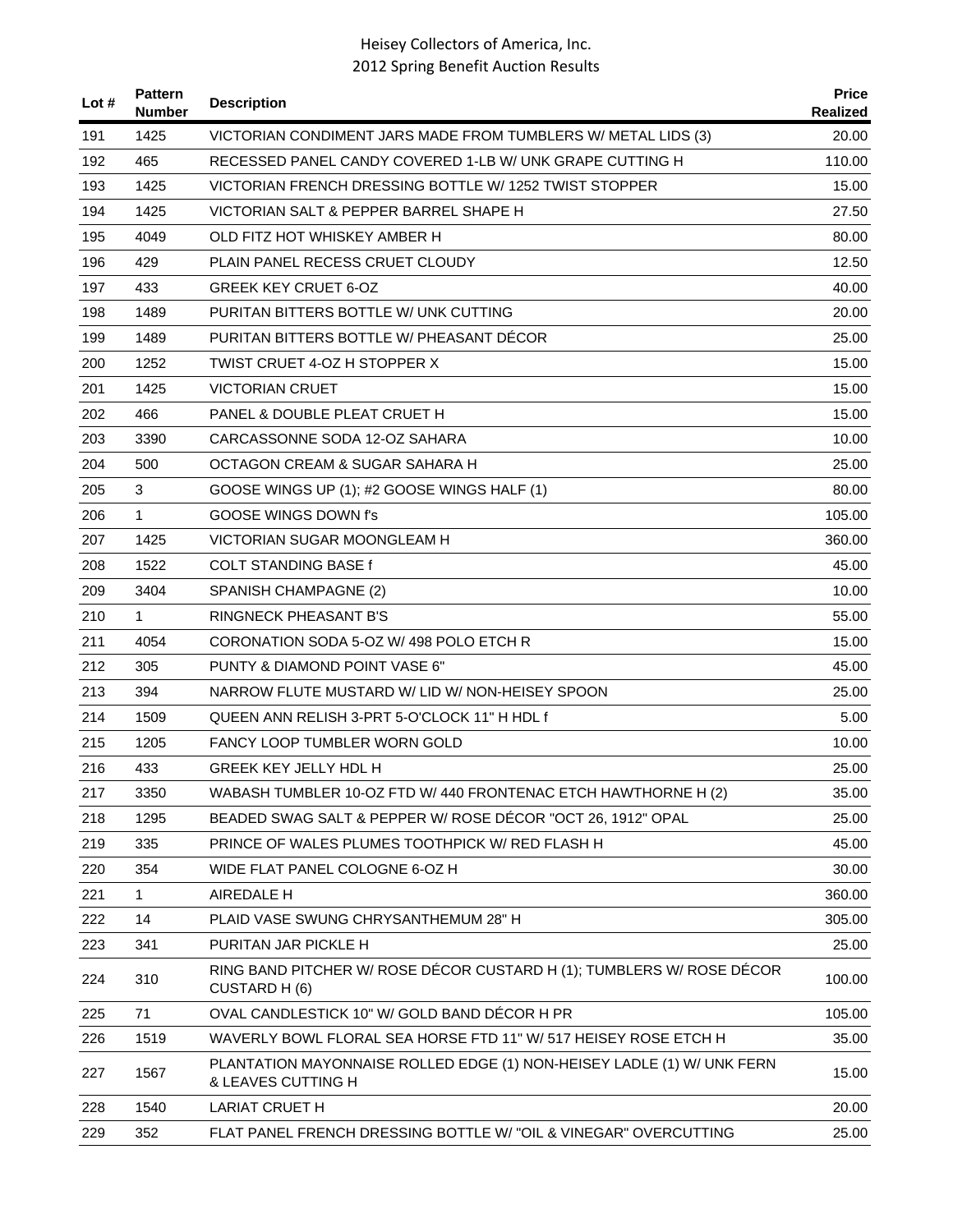| Lot # | <b>Pattern</b><br><b>Number</b> | <b>Description</b>                                                                           | <b>Price</b><br>Realized |
|-------|---------------------------------|----------------------------------------------------------------------------------------------|--------------------------|
| 191   | 1425                            | VICTORIAN CONDIMENT JARS MADE FROM TUMBLERS W/ METAL LIDS (3)                                | 20.00                    |
| 192   | 465                             | RECESSED PANEL CANDY COVERED 1-LB W/ UNK GRAPE CUTTING H                                     | 110.00                   |
| 193   | 1425                            | VICTORIAN FRENCH DRESSING BOTTLE W/ 1252 TWIST STOPPER                                       | 15.00                    |
| 194   | 1425                            | VICTORIAN SALT & PEPPER BARREL SHAPE H                                                       | 27.50                    |
| 195   | 4049                            | OLD FITZ HOT WHISKEY AMBER H                                                                 | 80.00                    |
| 196   | 429                             | PLAIN PANEL RECESS CRUET CLOUDY                                                              | 12.50                    |
| 197   | 433                             | <b>GREEK KEY CRUET 6-OZ</b>                                                                  | 40.00                    |
| 198   | 1489                            | PURITAN BITTERS BOTTLE W/ UNK CUTTING                                                        | 20.00                    |
| 199   | 1489                            | PURITAN BITTERS BOTTLE W/ PHEASANT DECOR                                                     | 25.00                    |
| 200   | 1252                            | TWIST CRUET 4-OZ H STOPPER X                                                                 | 15.00                    |
| 201   | 1425                            | VICTORIAN CRUET                                                                              | 15.00                    |
| 202   | 466                             | PANEL & DOUBLE PLEAT CRUET H                                                                 | 15.00                    |
| 203   | 3390                            | CARCASSONNE SODA 12-OZ SAHARA                                                                | 10.00                    |
| 204   | 500                             | OCTAGON CREAM & SUGAR SAHARA H                                                               | 25.00                    |
| 205   | 3                               | GOOSE WINGS UP (1); #2 GOOSE WINGS HALF (1)                                                  | 80.00                    |
| 206   | 1                               | GOOSE WINGS DOWN f's                                                                         | 105.00                   |
| 207   | 1425                            | <b>VICTORIAN SUGAR MOONGLEAM H</b>                                                           | 360.00                   |
| 208   | 1522                            | COLT STANDING BASE f                                                                         | 45.00                    |
| 209   | 3404                            | SPANISH CHAMPAGNE (2)                                                                        | 10.00                    |
| 210   | $\mathbf{1}$                    | <b>RINGNECK PHEASANT B'S</b>                                                                 | 55.00                    |
| 211   | 4054                            | CORONATION SODA 5-OZ W/ 498 POLO ETCH R                                                      | 15.00                    |
| 212   | 305                             | PUNTY & DIAMOND POINT VASE 6"                                                                | 45.00                    |
| 213   | 394                             | NARROW FLUTE MUSTARD W/ LID W/ NON-HEISEY SPOON                                              | 25.00                    |
| 214   | 1509                            | QUEEN ANN RELISH 3-PRT 5-O'CLOCK 11" H HDL f                                                 | 5.00                     |
| 215   | 1205                            | <b>FANCY LOOP TUMBLER WORN GOLD</b>                                                          | 10.00                    |
| 216   | 433                             | <b>GREEK KEY JELLY HDL H</b>                                                                 | 25.00                    |
| 217   | 3350                            | WABASH TUMBLER 10-OZ FTD W/ 440 FRONTENAC ETCH HAWTHORNE H (2)                               | 35.00                    |
| 218   | 1295                            | BEADED SWAG SALT & PEPPER W/ ROSE DÉCOR "OCT 26, 1912" OPAL                                  | 25.00                    |
| 219   | 335                             | PRINCE OF WALES PLUMES TOOTHPICK W/ RED FLASH H                                              | 45.00                    |
| 220   | 354                             | WIDE FLAT PANEL COLOGNE 6-OZ H                                                               | 30.00                    |
| 221   | 1                               | AIREDALE H                                                                                   | 360.00                   |
| 222   | 14                              | PLAID VASE SWUNG CHRYSANTHEMUM 28" H                                                         | 305.00                   |
| 223   | 341                             | PURITAN JAR PICKLE H                                                                         | 25.00                    |
| 224   | 310                             | RING BAND PITCHER W/ ROSE DÉCOR CUSTARD H (1); TUMBLERS W/ ROSE DÉCOR<br>CUSTARD H (6)       | 100.00                   |
| 225   | 71                              | OVAL CANDLESTICK 10" W/ GOLD BAND DÉCOR H PR                                                 | 105.00                   |
| 226   | 1519                            | WAVERLY BOWL FLORAL SEA HORSE FTD 11" W/ 517 HEISEY ROSE ETCH H                              | 35.00                    |
| 227   | 1567                            | PLANTATION MAYONNAISE ROLLED EDGE (1) NON-HEISEY LADLE (1) W/ UNK FERN<br>& LEAVES CUTTING H | 15.00                    |
| 228   | 1540                            | <b>LARIAT CRUET H</b>                                                                        | 20.00                    |
| 229   | 352                             | FLAT PANEL FRENCH DRESSING BOTTLE W/ "OIL & VINEGAR" OVERCUTTING                             | 25.00                    |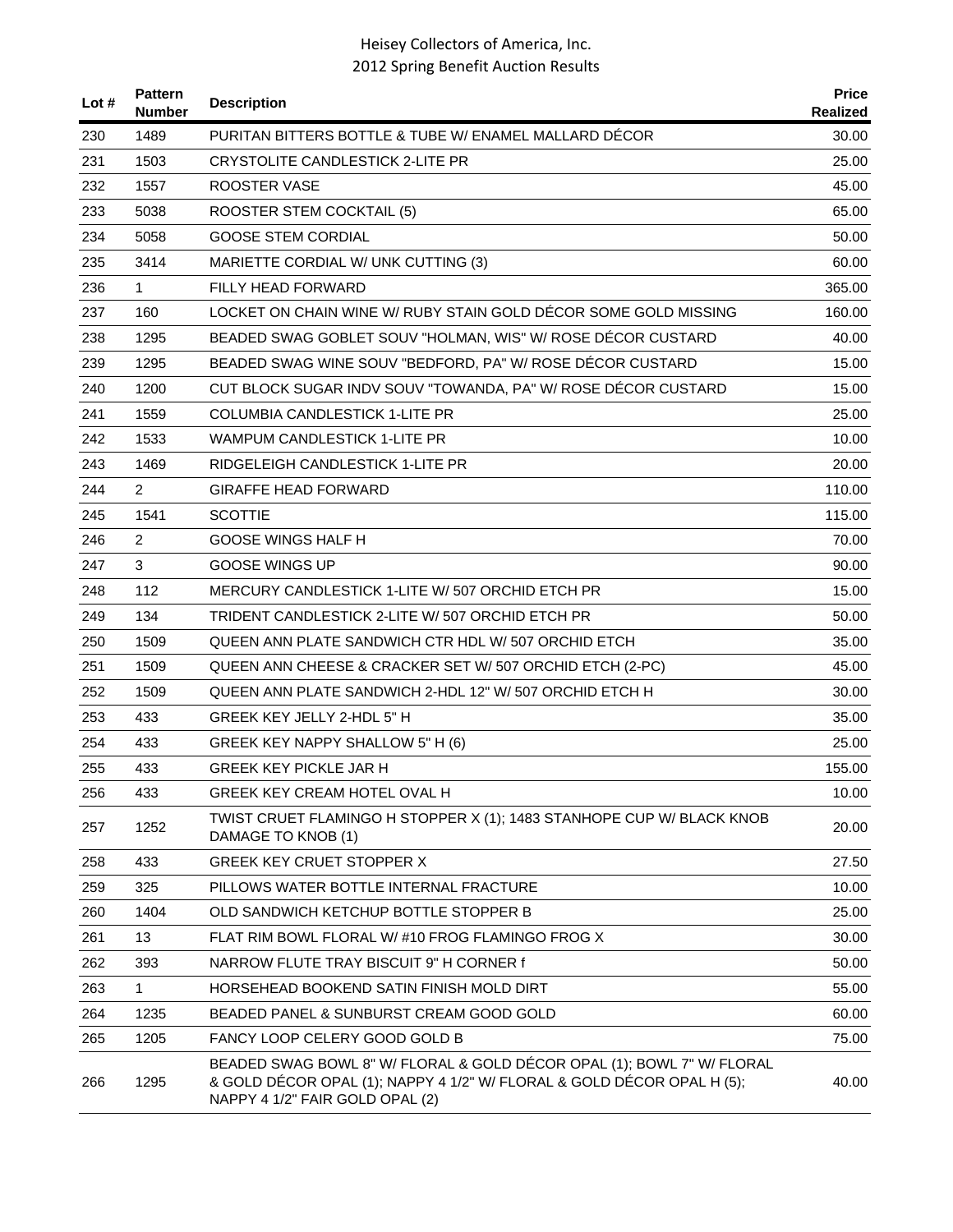| Lot # | <b>Pattern</b><br><b>Number</b> | <b>Description</b>                                                                                                                                                                  | <b>Price</b><br><b>Realized</b> |
|-------|---------------------------------|-------------------------------------------------------------------------------------------------------------------------------------------------------------------------------------|---------------------------------|
| 230   | 1489                            | PURITAN BITTERS BOTTLE & TUBE W/ ENAMEL MALLARD DECOR                                                                                                                               | 30.00                           |
| 231   | 1503                            | CRYSTOLITE CANDLESTICK 2-LITE PR                                                                                                                                                    | 25.00                           |
| 232   | 1557                            | ROOSTER VASE                                                                                                                                                                        | 45.00                           |
| 233   | 5038                            | ROOSTER STEM COCKTAIL (5)                                                                                                                                                           | 65.00                           |
| 234   | 5058                            | <b>GOOSE STEM CORDIAL</b>                                                                                                                                                           | 50.00                           |
| 235   | 3414                            | MARIETTE CORDIAL W/ UNK CUTTING (3)                                                                                                                                                 | 60.00                           |
| 236   | $\mathbf{1}$                    | FILLY HEAD FORWARD                                                                                                                                                                  | 365.00                          |
| 237   | 160                             | LOCKET ON CHAIN WINE W/ RUBY STAIN GOLD DÉCOR SOME GOLD MISSING                                                                                                                     | 160.00                          |
| 238   | 1295                            | BEADED SWAG GOBLET SOUV "HOLMAN, WIS" W/ ROSE DECOR CUSTARD                                                                                                                         | 40.00                           |
| 239   | 1295                            | BEADED SWAG WINE SOUV "BEDFORD, PA" W/ ROSE DÉCOR CUSTARD                                                                                                                           | 15.00                           |
| 240   | 1200                            | CUT BLOCK SUGAR INDV SOUV "TOWANDA, PA" W/ ROSE DÉCOR CUSTARD                                                                                                                       | 15.00                           |
| 241   | 1559                            | <b>COLUMBIA CANDLESTICK 1-LITE PR</b>                                                                                                                                               | 25.00                           |
| 242   | 1533                            | <b>WAMPUM CANDLESTICK 1-LITE PR</b>                                                                                                                                                 | 10.00                           |
| 243   | 1469                            | RIDGELEIGH CANDLESTICK 1-LITE PR                                                                                                                                                    | 20.00                           |
| 244   | $\overline{2}$                  | GIRAFFE HEAD FORWARD                                                                                                                                                                | 110.00                          |
| 245   | 1541                            | <b>SCOTTIE</b>                                                                                                                                                                      | 115.00                          |
| 246   | 2                               | GOOSE WINGS HALF H                                                                                                                                                                  | 70.00                           |
| 247   | 3                               | <b>GOOSE WINGS UP</b>                                                                                                                                                               | 90.00                           |
| 248   | 112                             | MERCURY CANDLESTICK 1-LITE W/507 ORCHID ETCH PR                                                                                                                                     | 15.00                           |
| 249   | 134                             | TRIDENT CANDLESTICK 2-LITE W/ 507 ORCHID ETCH PR                                                                                                                                    | 50.00                           |
| 250   | 1509                            | QUEEN ANN PLATE SANDWICH CTR HDL W/ 507 ORCHID ETCH                                                                                                                                 | 35.00                           |
| 251   | 1509                            | QUEEN ANN CHEESE & CRACKER SET W/ 507 ORCHID ETCH (2-PC)                                                                                                                            | 45.00                           |
| 252   | 1509                            | QUEEN ANN PLATE SANDWICH 2-HDL 12" W/ 507 ORCHID ETCH H                                                                                                                             | 30.00                           |
| 253   | 433                             | GREEK KEY JELLY 2-HDL 5" H                                                                                                                                                          | 35.00                           |
| 254   | 433                             | GREEK KEY NAPPY SHALLOW 5" H (6)                                                                                                                                                    | 25.00                           |
| 255   | 433                             | <b>GREEK KEY PICKLE JAR H</b>                                                                                                                                                       | 155.00                          |
| 256   | 433                             | GREEK KEY CREAM HOTEL OVAL H                                                                                                                                                        | 10.00                           |
| 257   | 1252                            | TWIST CRUET FLAMINGO H STOPPER X (1); 1483 STANHOPE CUP W/ BLACK KNOB<br>DAMAGE TO KNOB (1)                                                                                         | 20.00                           |
| 258   | 433                             | <b>GREEK KEY CRUET STOPPER X</b>                                                                                                                                                    | 27.50                           |
| 259   | 325                             | PILLOWS WATER BOTTLE INTERNAL FRACTURE                                                                                                                                              | 10.00                           |
| 260   | 1404                            | OLD SANDWICH KETCHUP BOTTLE STOPPER B                                                                                                                                               | 25.00                           |
| 261   | 13                              | FLAT RIM BOWL FLORAL W/#10 FROG FLAMINGO FROG X                                                                                                                                     | 30.00                           |
| 262   | 393                             | NARROW FLUTE TRAY BISCUIT 9" H CORNER f                                                                                                                                             | 50.00                           |
| 263   | 1                               | HORSEHEAD BOOKEND SATIN FINISH MOLD DIRT                                                                                                                                            | 55.00                           |
| 264   | 1235                            | BEADED PANEL & SUNBURST CREAM GOOD GOLD                                                                                                                                             | 60.00                           |
| 265   | 1205                            | FANCY LOOP CELERY GOOD GOLD B                                                                                                                                                       | 75.00                           |
| 266   | 1295                            | BEADED SWAG BOWL 8" W/ FLORAL & GOLD DÉCOR OPAL (1); BOWL 7" W/ FLORAL<br>& GOLD DÉCOR OPAL (1); NAPPY 4 1/2" W/ FLORAL & GOLD DÉCOR OPAL H (5);<br>NAPPY 4 1/2" FAIR GOLD OPAL (2) | 40.00                           |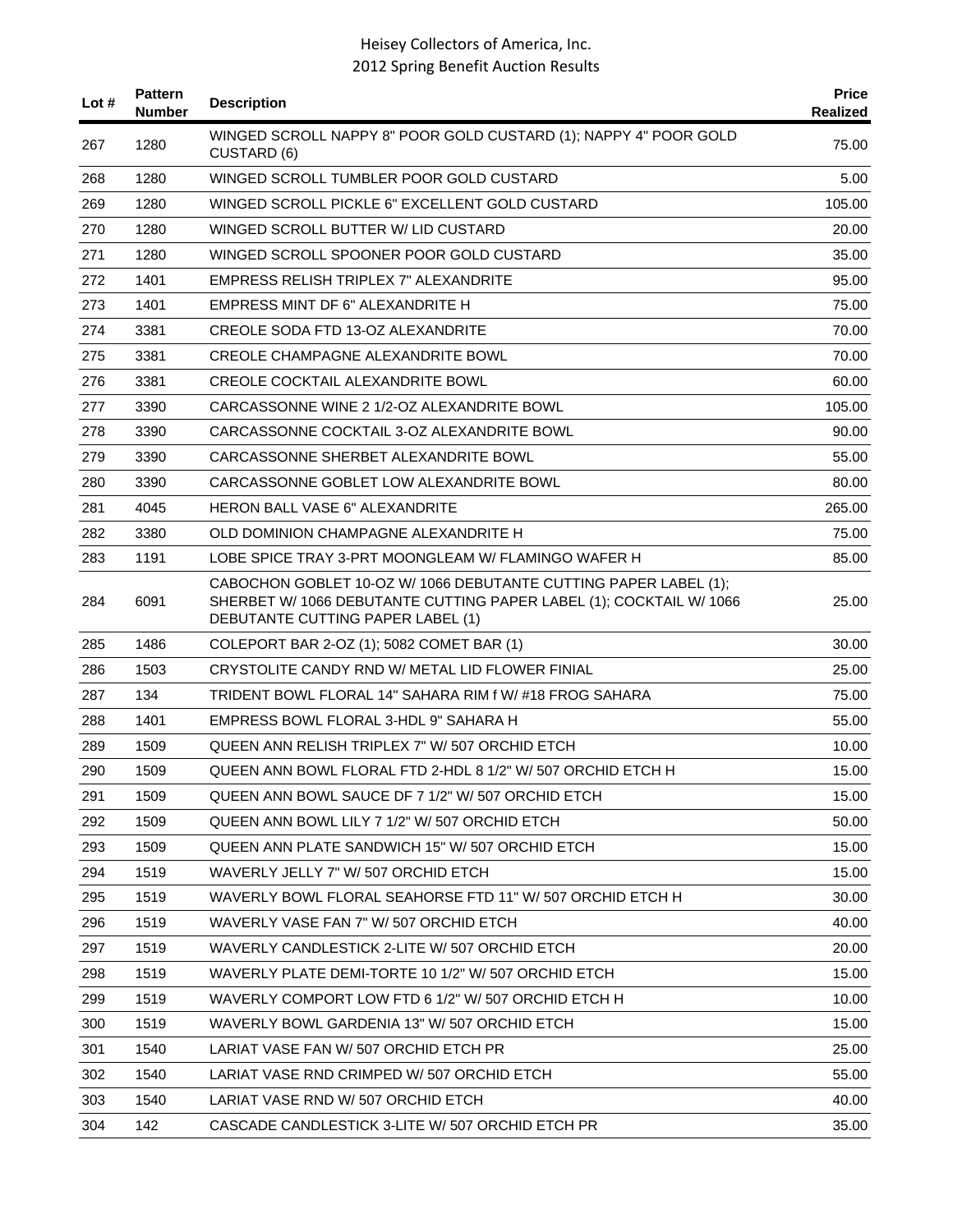| Lot $#$ | <b>Pattern</b><br>Number | <b>Description</b>                                                                                                                                                           | <b>Price</b><br>Realized |
|---------|--------------------------|------------------------------------------------------------------------------------------------------------------------------------------------------------------------------|--------------------------|
| 267     | 1280                     | WINGED SCROLL NAPPY 8" POOR GOLD CUSTARD (1); NAPPY 4" POOR GOLD<br><b>CUSTARD (6)</b>                                                                                       | 75.00                    |
| 268     | 1280                     | WINGED SCROLL TUMBLER POOR GOLD CUSTARD                                                                                                                                      | 5.00                     |
| 269     | 1280                     | WINGED SCROLL PICKLE 6" EXCELLENT GOLD CUSTARD                                                                                                                               | 105.00                   |
| 270     | 1280                     | WINGED SCROLL BUTTER W/ LID CUSTARD                                                                                                                                          | 20.00                    |
| 271     | 1280                     | WINGED SCROLL SPOONER POOR GOLD CUSTARD                                                                                                                                      | 35.00                    |
| 272     | 1401                     | EMPRESS RELISH TRIPLEX 7" ALEXANDRITE                                                                                                                                        | 95.00                    |
| 273     | 1401                     | EMPRESS MINT DF 6" ALEXANDRITE H                                                                                                                                             | 75.00                    |
| 274     | 3381                     | CREOLE SODA FTD 13-OZ ALEXANDRITE                                                                                                                                            | 70.00                    |
| 275     | 3381                     | CREOLE CHAMPAGNE ALEXANDRITE BOWL                                                                                                                                            | 70.00                    |
| 276     | 3381                     | <b>CREOLE COCKTAIL ALEXANDRITE BOWL</b>                                                                                                                                      | 60.00                    |
| 277     | 3390                     | CARCASSONNE WINE 2 1/2-OZ ALEXANDRITE BOWL                                                                                                                                   | 105.00                   |
| 278     | 3390                     | CARCASSONNE COCKTAIL 3-OZ ALEXANDRITE BOWL                                                                                                                                   | 90.00                    |
| 279     | 3390                     | CARCASSONNE SHERBET ALEXANDRITE BOWL                                                                                                                                         | 55.00                    |
| 280     | 3390                     | CARCASSONNE GOBLET LOW ALEXANDRITE BOWL                                                                                                                                      | 80.00                    |
| 281     | 4045                     | <b>HERON BALL VASE 6" ALEXANDRITE</b>                                                                                                                                        | 265.00                   |
| 282     | 3380                     | OLD DOMINION CHAMPAGNE ALEXANDRITE H                                                                                                                                         | 75.00                    |
| 283     | 1191                     | LOBE SPICE TRAY 3-PRT MOONGLEAM W/ FLAMINGO WAFER H                                                                                                                          | 85.00                    |
| 284     | 6091                     | CABOCHON GOBLET 10-OZ W/ 1066 DEBUTANTE CUTTING PAPER LABEL (1);<br>SHERBET W/ 1066 DEBUTANTE CUTTING PAPER LABEL (1); COCKTAIL W/ 1066<br>DEBUTANTE CUTTING PAPER LABEL (1) | 25.00                    |
| 285     | 1486                     | COLEPORT BAR 2-OZ (1); 5082 COMET BAR (1)                                                                                                                                    | 30.00                    |
| 286     | 1503                     | CRYSTOLITE CANDY RND W/ METAL LID FLOWER FINIAL                                                                                                                              | 25.00                    |
| 287     | 134                      | TRIDENT BOWL FLORAL 14" SAHARA RIM f W/ #18 FROG SAHARA                                                                                                                      | 75.00                    |
| 288     | 1401                     | EMPRESS BOWL FLORAL 3-HDL 9" SAHARA H                                                                                                                                        | 55.00                    |
| 289     | 1509                     | QUEEN ANN RELISH TRIPLEX 7" W/ 507 ORCHID ETCH                                                                                                                               | 10.00                    |
| 290     | 1509                     | QUEEN ANN BOWL FLORAL FTD 2-HDL 8 1/2" W/ 507 ORCHID ETCH H                                                                                                                  | 15.00                    |
| 291     | 1509                     | QUEEN ANN BOWL SAUCE DF 7 1/2" W/ 507 ORCHID ETCH                                                                                                                            | 15.00                    |
| 292     | 1509                     | QUEEN ANN BOWL LILY 7 1/2" W/ 507 ORCHID ETCH                                                                                                                                | 50.00                    |
| 293     | 1509                     | QUEEN ANN PLATE SANDWICH 15" W/ 507 ORCHID ETCH                                                                                                                              | 15.00                    |
| 294     | 1519                     | WAVERLY JELLY 7" W/ 507 ORCHID ETCH                                                                                                                                          | 15.00                    |
| 295     | 1519                     | WAVERLY BOWL FLORAL SEAHORSE FTD 11" W/ 507 ORCHID ETCH H                                                                                                                    | 30.00                    |
| 296     | 1519                     | WAVERLY VASE FAN 7" W/ 507 ORCHID ETCH                                                                                                                                       | 40.00                    |
| 297     | 1519                     | WAVERLY CANDLESTICK 2-LITE W/ 507 ORCHID ETCH                                                                                                                                | 20.00                    |
| 298     | 1519                     | WAVERLY PLATE DEMI-TORTE 10 1/2" W/ 507 ORCHID ETCH                                                                                                                          | 15.00                    |
| 299     | 1519                     | WAVERLY COMPORT LOW FTD 6 1/2" W/ 507 ORCHID ETCH H                                                                                                                          | 10.00                    |
| 300     | 1519                     | WAVERLY BOWL GARDENIA 13" W/ 507 ORCHID ETCH                                                                                                                                 | 15.00                    |
| 301     | 1540                     | LARIAT VASE FAN W/ 507 ORCHID ETCH PR                                                                                                                                        | 25.00                    |
| 302     | 1540                     | LARIAT VASE RND CRIMPED W/ 507 ORCHID ETCH                                                                                                                                   | 55.00                    |
| 303     | 1540                     | LARIAT VASE RND W/ 507 ORCHID ETCH                                                                                                                                           | 40.00                    |
| 304     | 142                      | CASCADE CANDLESTICK 3-LITE W/ 507 ORCHID ETCH PR                                                                                                                             | 35.00                    |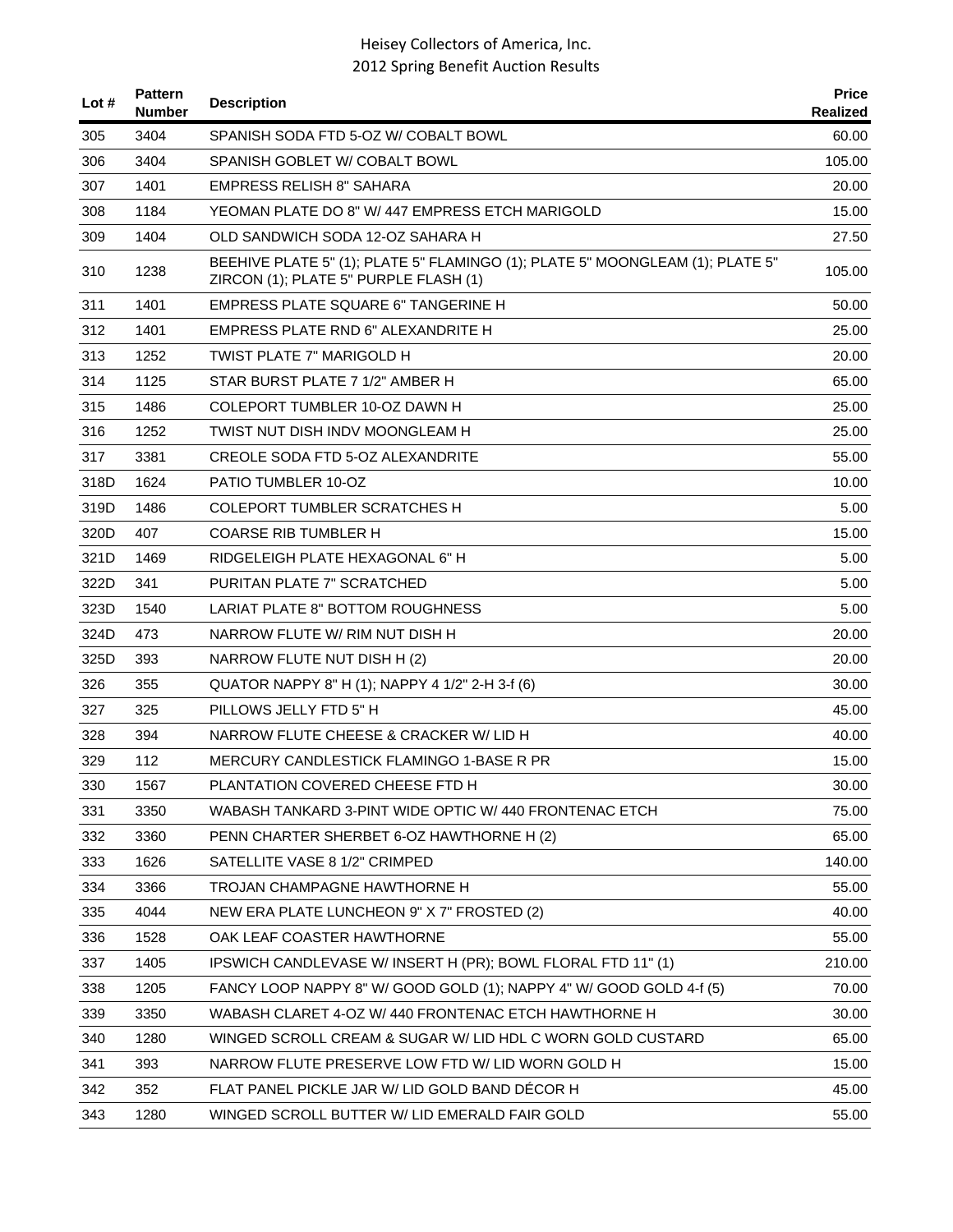| Lot $#$ | <b>Pattern</b><br><b>Number</b> | <b>Description</b>                                                                                                     | <b>Price</b><br>Realized |
|---------|---------------------------------|------------------------------------------------------------------------------------------------------------------------|--------------------------|
| 305     | 3404                            | SPANISH SODA FTD 5-OZ W/ COBALT BOWL                                                                                   | 60.00                    |
| 306     | 3404                            | SPANISH GOBLET W/ COBALT BOWL                                                                                          | 105.00                   |
| 307     | 1401                            | <b>EMPRESS RELISH 8" SAHARA</b>                                                                                        | 20.00                    |
| 308     | 1184                            | YEOMAN PLATE DO 8" W/ 447 EMPRESS ETCH MARIGOLD                                                                        | 15.00                    |
| 309     | 1404                            | OLD SANDWICH SODA 12-OZ SAHARA H                                                                                       | 27.50                    |
| 310     | 1238                            | BEEHIVE PLATE 5" (1); PLATE 5" FLAMINGO (1); PLATE 5" MOONGLEAM (1); PLATE 5"<br>ZIRCON (1); PLATE 5" PURPLE FLASH (1) | 105.00                   |
| 311     | 1401                            | <b>EMPRESS PLATE SQUARE 6" TANGERINE H</b>                                                                             | 50.00                    |
| 312     | 1401                            | <b>EMPRESS PLATE RND 6" ALEXANDRITE H</b>                                                                              | 25.00                    |
| 313     | 1252                            | TWIST PLATE 7" MARIGOLD H                                                                                              | 20.00                    |
| 314     | 1125                            | STAR BURST PLATE 7 1/2" AMBER H                                                                                        | 65.00                    |
| 315     | 1486                            | COLEPORT TUMBLER 10-OZ DAWN H                                                                                          | 25.00                    |
| 316     | 1252                            | TWIST NUT DISH INDV MOONGLEAM H                                                                                        | 25.00                    |
| 317     | 3381                            | CREOLE SODA FTD 5-OZ ALEXANDRITE                                                                                       | 55.00                    |
| 318D    | 1624                            | PATIO TUMBLER 10-OZ                                                                                                    | 10.00                    |
| 319D    | 1486                            | <b>COLEPORT TUMBLER SCRATCHES H</b>                                                                                    | 5.00                     |
| 320D    | 407                             | <b>COARSE RIB TUMBLER H</b>                                                                                            | 15.00                    |
| 321D    | 1469                            | RIDGELEIGH PLATE HEXAGONAL 6" H                                                                                        | 5.00                     |
| 322D    | 341                             | PURITAN PLATE 7" SCRATCHED                                                                                             | 5.00                     |
| 323D    | 1540                            | LARIAT PLATE 8" BOTTOM ROUGHNESS                                                                                       | 5.00                     |
| 324D    | 473                             | NARROW FLUTE W/ RIM NUT DISH H                                                                                         | 20.00                    |
| 325D    | 393                             | NARROW FLUTE NUT DISH H (2)                                                                                            | 20.00                    |
| 326     | 355                             | QUATOR NAPPY 8" H (1); NAPPY 4 1/2" 2-H 3-f (6)                                                                        | 30.00                    |
| 327     | 325                             | PILLOWS JELLY FTD 5" H                                                                                                 | 45.00                    |
| 328     | 394                             | NARROW FLUTE CHEESE & CRACKER W/ LID H                                                                                 | 40.00                    |
| 329     | 112                             | MERCURY CANDLESTICK FLAMINGO 1-BASE R PR                                                                               | 15.00                    |
| 330     | 1567                            | PLANTATION COVERED CHEESE FTD H                                                                                        | 30.00                    |
| 331     | 3350                            | WABASH TANKARD 3-PINT WIDE OPTIC W/ 440 FRONTENAC ETCH                                                                 | 75.00                    |
| 332     | 3360                            | PENN CHARTER SHERBET 6-OZ HAWTHORNE H (2)                                                                              | 65.00                    |
| 333     | 1626                            | SATELLITE VASE 8 1/2" CRIMPED                                                                                          | 140.00                   |
| 334     | 3366                            | TROJAN CHAMPAGNE HAWTHORNE H                                                                                           | 55.00                    |
| 335     | 4044                            | NEW ERA PLATE LUNCHEON 9" X 7" FROSTED (2)                                                                             | 40.00                    |
| 336     | 1528                            | OAK LEAF COASTER HAWTHORNE                                                                                             | 55.00                    |
| 337     | 1405                            | IPSWICH CANDLEVASE W/INSERT H (PR); BOWL FLORAL FTD 11" (1)                                                            | 210.00                   |
| 338     | 1205                            | FANCY LOOP NAPPY 8" W/ GOOD GOLD (1); NAPPY 4" W/ GOOD GOLD 4-f (5)                                                    | 70.00                    |
| 339     | 3350                            | WABASH CLARET 4-OZ W/ 440 FRONTENAC ETCH HAWTHORNE H                                                                   | 30.00                    |
| 340     | 1280                            | WINGED SCROLL CREAM & SUGAR W/ LID HDL C WORN GOLD CUSTARD                                                             | 65.00                    |
| 341     | 393                             | NARROW FLUTE PRESERVE LOW FTD W/ LID WORN GOLD H                                                                       | 15.00                    |
| 342     | 352                             | FLAT PANEL PICKLE JAR W/ LID GOLD BAND DÉCOR H                                                                         | 45.00                    |
| 343     | 1280                            | WINGED SCROLL BUTTER W/ LID EMERALD FAIR GOLD                                                                          | 55.00                    |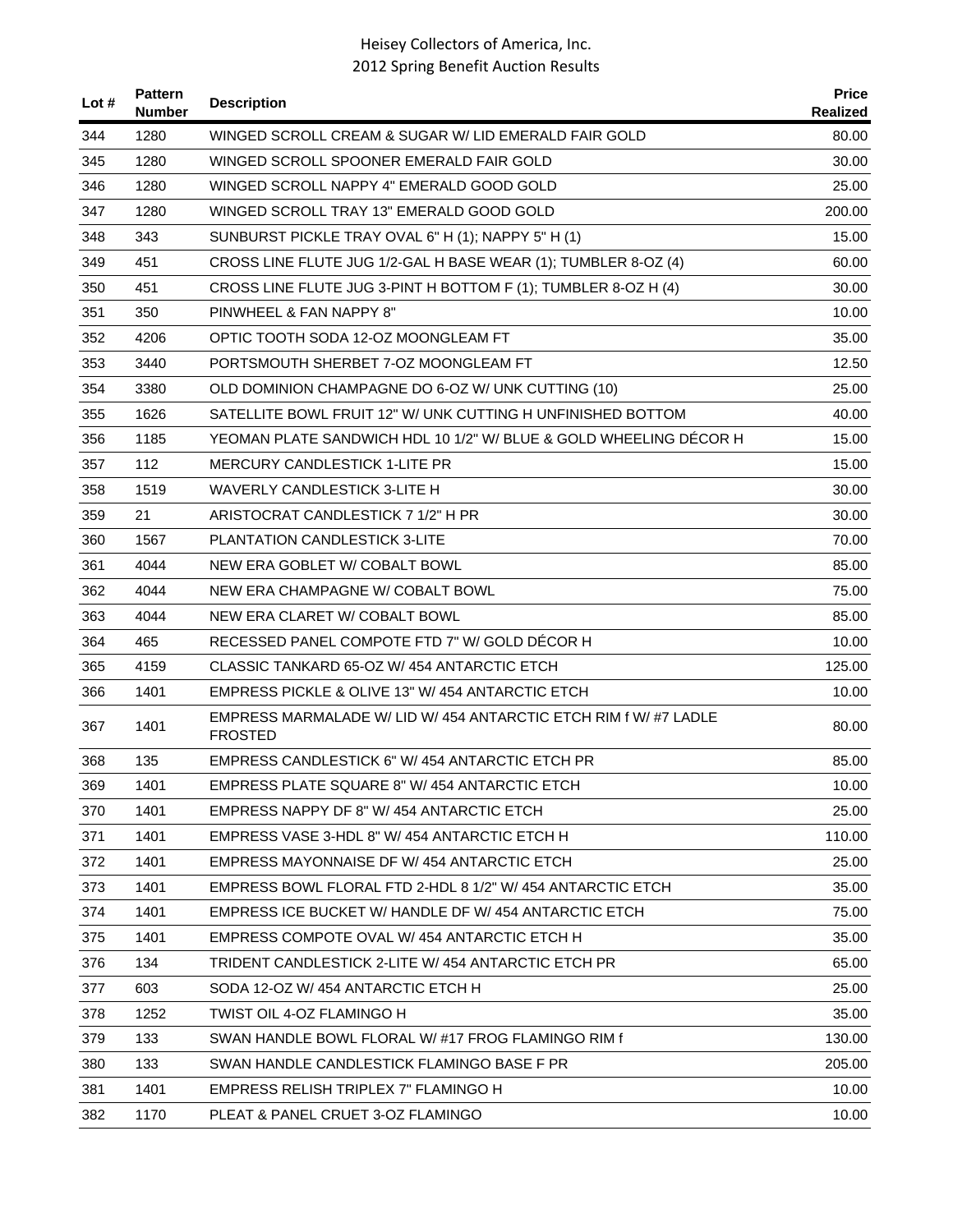| Lot # | <b>Pattern</b><br><b>Number</b> | <b>Description</b>                                                                 | <b>Price</b><br>Realized |
|-------|---------------------------------|------------------------------------------------------------------------------------|--------------------------|
| 344   | 1280                            | WINGED SCROLL CREAM & SUGAR W/ LID EMERALD FAIR GOLD                               | 80.00                    |
| 345   | 1280                            | WINGED SCROLL SPOONER EMERALD FAIR GOLD                                            | 30.00                    |
| 346   | 1280                            | WINGED SCROLL NAPPY 4" EMERALD GOOD GOLD                                           | 25.00                    |
| 347   | 1280                            | WINGED SCROLL TRAY 13" EMERALD GOOD GOLD                                           | 200.00                   |
| 348   | 343                             | SUNBURST PICKLE TRAY OVAL 6" H (1); NAPPY 5" H (1)                                 | 15.00                    |
| 349   | 451                             | CROSS LINE FLUTE JUG 1/2-GAL H BASE WEAR (1); TUMBLER 8-OZ (4)                     | 60.00                    |
| 350   | 451                             | CROSS LINE FLUTE JUG 3-PINT H BOTTOM F (1); TUMBLER 8-OZ H (4)                     | 30.00                    |
| 351   | 350                             | PINWHEEL & FAN NAPPY 8"                                                            | 10.00                    |
| 352   | 4206                            | OPTIC TOOTH SODA 12-OZ MOONGLEAM FT                                                | 35.00                    |
| 353   | 3440                            | PORTSMOUTH SHERBET 7-OZ MOONGLEAM FT                                               | 12.50                    |
| 354   | 3380                            | OLD DOMINION CHAMPAGNE DO 6-OZ W/ UNK CUTTING (10)                                 | 25.00                    |
| 355   | 1626                            | SATELLITE BOWL FRUIT 12" W/ UNK CUTTING H UNFINISHED BOTTOM                        | 40.00                    |
| 356   | 1185                            | YEOMAN PLATE SANDWICH HDL 10 1/2" W/ BLUE & GOLD WHEELING DECOR H                  | 15.00                    |
| 357   | 112                             | <b>MERCURY CANDLESTICK 1-LITE PR</b>                                               | 15.00                    |
| 358   | 1519                            | WAVERLY CANDLESTICK 3-LITE H                                                       | 30.00                    |
| 359   | 21                              | ARISTOCRAT CANDLESTICK 7 1/2" H PR                                                 | 30.00                    |
| 360   | 1567                            | PLANTATION CANDLESTICK 3-LITE                                                      | 70.00                    |
| 361   | 4044                            | NEW ERA GOBLET W/ COBALT BOWL                                                      | 85.00                    |
| 362   | 4044                            | NEW ERA CHAMPAGNE W/ COBALT BOWL                                                   | 75.00                    |
| 363   | 4044                            | NEW ERA CLARET W/ COBALT BOWL                                                      | 85.00                    |
| 364   | 465                             | RECESSED PANEL COMPOTE FTD 7" W/ GOLD DECOR H                                      | 10.00                    |
| 365   | 4159                            | CLASSIC TANKARD 65-OZ W/454 ANTARCTIC ETCH                                         | 125.00                   |
| 366   | 1401                            | EMPRESS PICKLE & OLIVE 13" W/ 454 ANTARCTIC ETCH                                   | 10.00                    |
| 367   | 1401                            | EMPRESS MARMALADE W/ LID W/ 454 ANTARCTIC ETCH RIM f W/ #7 LADLE<br><b>FROSTED</b> | 80.00                    |
| 368   | 135                             | EMPRESS CANDLESTICK 6" W/ 454 ANTARCTIC ETCH PR                                    | 85.00                    |
| 369   | 1401                            | EMPRESS PLATE SQUARE 8" W/ 454 ANTARCTIC ETCH                                      | 10.00                    |
| 370   | 1401                            | EMPRESS NAPPY DF 8" W/454 ANTARCTIC ETCH                                           | 25.00                    |
| 371   | 1401                            | EMPRESS VASE 3-HDL 8" W/ 454 ANTARCTIC ETCH H                                      | 110.00                   |
| 372   | 1401                            | EMPRESS MAYONNAISE DF W/ 454 ANTARCTIC ETCH                                        | 25.00                    |
| 373   | 1401                            | EMPRESS BOWL FLORAL FTD 2-HDL 8 1/2" W/ 454 ANTARCTIC ETCH                         | 35.00                    |
| 374   | 1401                            | EMPRESS ICE BUCKET W/ HANDLE DF W/ 454 ANTARCTIC ETCH                              | 75.00                    |
| 375   | 1401                            | EMPRESS COMPOTE OVAL W/454 ANTARCTIC ETCH H                                        | 35.00                    |
| 376   | 134                             | TRIDENT CANDLESTICK 2-LITE W/ 454 ANTARCTIC ETCH PR                                | 65.00                    |
| 377   | 603                             | SODA 12-OZ W/454 ANTARCTIC ETCH H                                                  | 25.00                    |
| 378   | 1252                            | TWIST OIL 4-OZ FLAMINGO H                                                          | 35.00                    |
| 379   | 133                             | SWAN HANDLE BOWL FLORAL W/ #17 FROG FLAMINGO RIM f                                 | 130.00                   |
| 380   | 133                             | SWAN HANDLE CANDLESTICK FLAMINGO BASE F PR                                         | 205.00                   |
| 381   | 1401                            | EMPRESS RELISH TRIPLEX 7" FLAMINGO H                                               | 10.00                    |
| 382   | 1170                            | PLEAT & PANEL CRUET 3-OZ FLAMINGO                                                  | 10.00                    |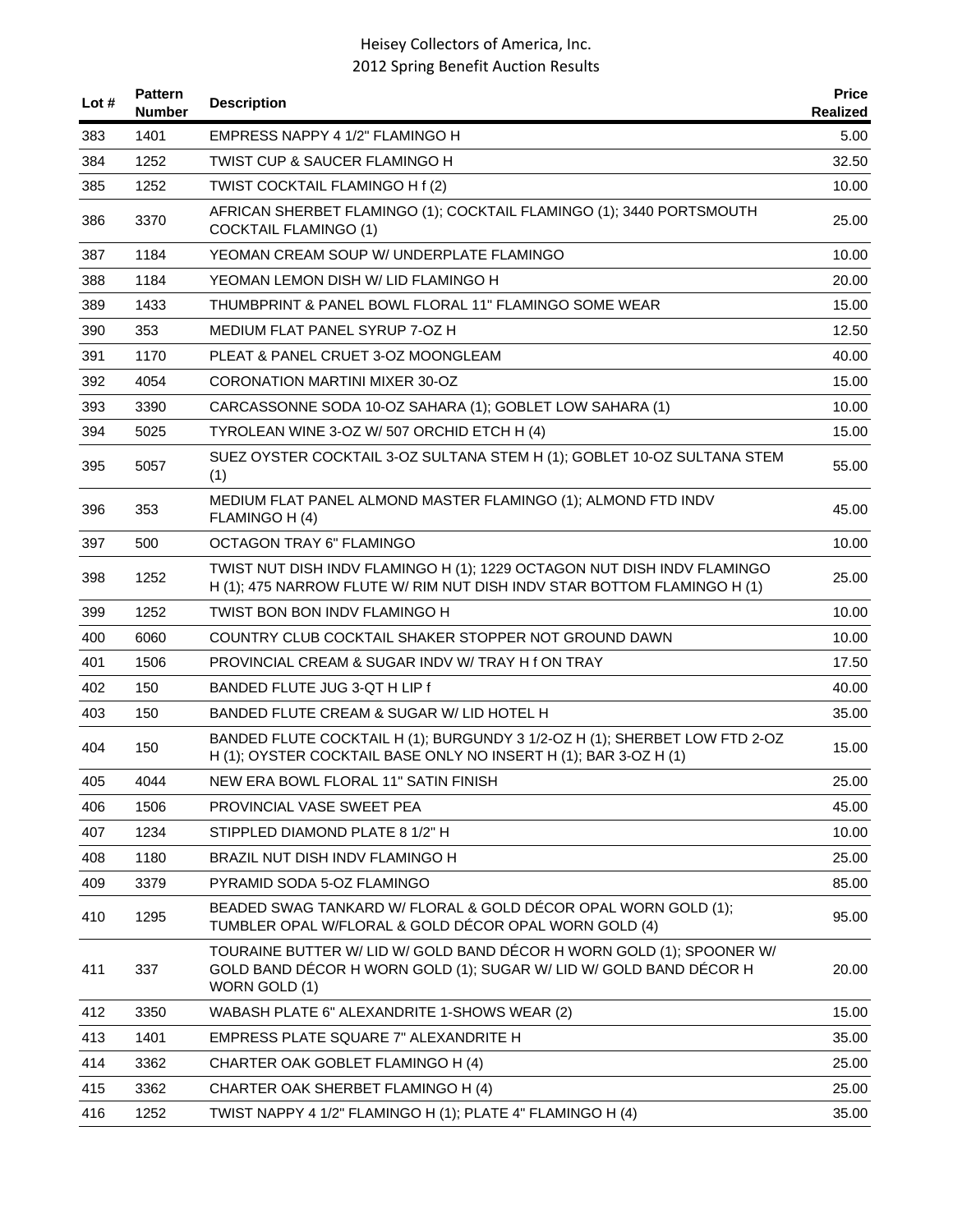| Lot # | <b>Pattern</b><br><b>Number</b> | <b>Description</b>                                                                                                                                           | <b>Price</b><br>Realized |
|-------|---------------------------------|--------------------------------------------------------------------------------------------------------------------------------------------------------------|--------------------------|
| 383   | 1401                            | EMPRESS NAPPY 4 1/2" FLAMINGO H                                                                                                                              | 5.00                     |
| 384   | 1252                            | <b>TWIST CUP &amp; SAUCER FLAMINGO H</b>                                                                                                                     | 32.50                    |
| 385   | 1252                            | TWIST COCKTAIL FLAMINGO H f (2)                                                                                                                              | 10.00                    |
| 386   | 3370                            | AFRICAN SHERBET FLAMINGO (1); COCKTAIL FLAMINGO (1); 3440 PORTSMOUTH<br><b>COCKTAIL FLAMINGO (1)</b>                                                         | 25.00                    |
| 387   | 1184                            | YEOMAN CREAM SOUP W/ UNDERPLATE FLAMINGO                                                                                                                     | 10.00                    |
| 388   | 1184                            | YEOMAN LEMON DISH W/ LID FLAMINGO H                                                                                                                          | 20.00                    |
| 389   | 1433                            | THUMBPRINT & PANEL BOWL FLORAL 11" FLAMINGO SOME WEAR                                                                                                        | 15.00                    |
| 390   | 353                             | MEDIUM FLAT PANEL SYRUP 7-OZ H                                                                                                                               | 12.50                    |
| 391   | 1170                            | PLEAT & PANEL CRUET 3-OZ MOONGLEAM                                                                                                                           | 40.00                    |
| 392   | 4054                            | CORONATION MARTINI MIXER 30-OZ                                                                                                                               | 15.00                    |
| 393   | 3390                            | CARCASSONNE SODA 10-OZ SAHARA (1); GOBLET LOW SAHARA (1)                                                                                                     | 10.00                    |
| 394   | 5025                            | TYROLEAN WINE 3-OZ W/ 507 ORCHID ETCH H (4)                                                                                                                  | 15.00                    |
| 395   | 5057                            | SUEZ OYSTER COCKTAIL 3-OZ SULTANA STEM H (1); GOBLET 10-OZ SULTANA STEM<br>(1)                                                                               | 55.00                    |
| 396   | 353                             | MEDIUM FLAT PANEL ALMOND MASTER FLAMINGO (1); ALMOND FTD INDV<br>FLAMINGO H (4)                                                                              | 45.00                    |
| 397   | 500                             | <b>OCTAGON TRAY 6" FLAMINGO</b>                                                                                                                              | 10.00                    |
| 398   | 1252                            | TWIST NUT DISH INDV FLAMINGO H (1); 1229 OCTAGON NUT DISH INDV FLAMINGO<br>H (1); 475 NARROW FLUTE W/ RIM NUT DISH INDV STAR BOTTOM FLAMINGO H (1)           | 25.00                    |
| 399   | 1252                            | TWIST BON BON INDV FLAMINGO H                                                                                                                                | 10.00                    |
| 400   | 6060                            | COUNTRY CLUB COCKTAIL SHAKER STOPPER NOT GROUND DAWN                                                                                                         | 10.00                    |
| 401   | 1506                            | PROVINCIAL CREAM & SUGAR INDV W/TRAY H f ON TRAY                                                                                                             | 17.50                    |
| 402   | 150                             | BANDED FLUTE JUG 3-QT H LIP f                                                                                                                                | 40.00                    |
| 403   | 150                             | BANDED FLUTE CREAM & SUGAR W/ LID HOTEL H                                                                                                                    | 35.00                    |
| 404   | 150                             | BANDED FLUTE COCKTAIL H (1); BURGUNDY 3 1/2-OZ H (1); SHERBET LOW FTD 2-OZ<br>H (1); OYSTER COCKTAIL BASE ONLY NO INSERT H (1); BAR 3-OZ H (1)               | 15.00                    |
| 405   | 4044                            | NEW ERA BOWL FLORAL 11" SATIN FINISH                                                                                                                         | 25.00                    |
| 406   | 1506                            | PROVINCIAL VASE SWEET PEA                                                                                                                                    | 45.00                    |
| 407   | 1234                            | STIPPLED DIAMOND PLATE 8 1/2" H                                                                                                                              | 10.00                    |
| 408   | 1180                            | BRAZIL NUT DISH INDV FLAMINGO H                                                                                                                              | 25.00                    |
| 409   | 3379                            | PYRAMID SODA 5-OZ FLAMINGO                                                                                                                                   | 85.00                    |
| 410   | 1295                            | BEADED SWAG TANKARD W/ FLORAL & GOLD DÉCOR OPAL WORN GOLD (1);<br>TUMBLER OPAL W/FLORAL & GOLD DÉCOR OPAL WORN GOLD (4)                                      | 95.00                    |
| 411   | 337                             | TOURAINE BUTTER W/ LID W/ GOLD BAND DÉCOR H WORN GOLD (1); SPOONER W/<br>GOLD BAND DÉCOR H WORN GOLD (1); SUGAR W/ LID W/ GOLD BAND DÉCOR H<br>WORN GOLD (1) | 20.00                    |
| 412   | 3350                            | WABASH PLATE 6" ALEXANDRITE 1-SHOWS WEAR (2)                                                                                                                 | 15.00                    |
| 413   | 1401                            | EMPRESS PLATE SQUARE 7" ALEXANDRITE H                                                                                                                        | 35.00                    |
| 414   | 3362                            | CHARTER OAK GOBLET FLAMINGO H (4)                                                                                                                            | 25.00                    |
| 415   | 3362                            | CHARTER OAK SHERBET FLAMINGO H (4)                                                                                                                           | 25.00                    |
| 416   | 1252                            | TWIST NAPPY 4 1/2" FLAMINGO H (1); PLATE 4" FLAMINGO H (4)                                                                                                   | 35.00                    |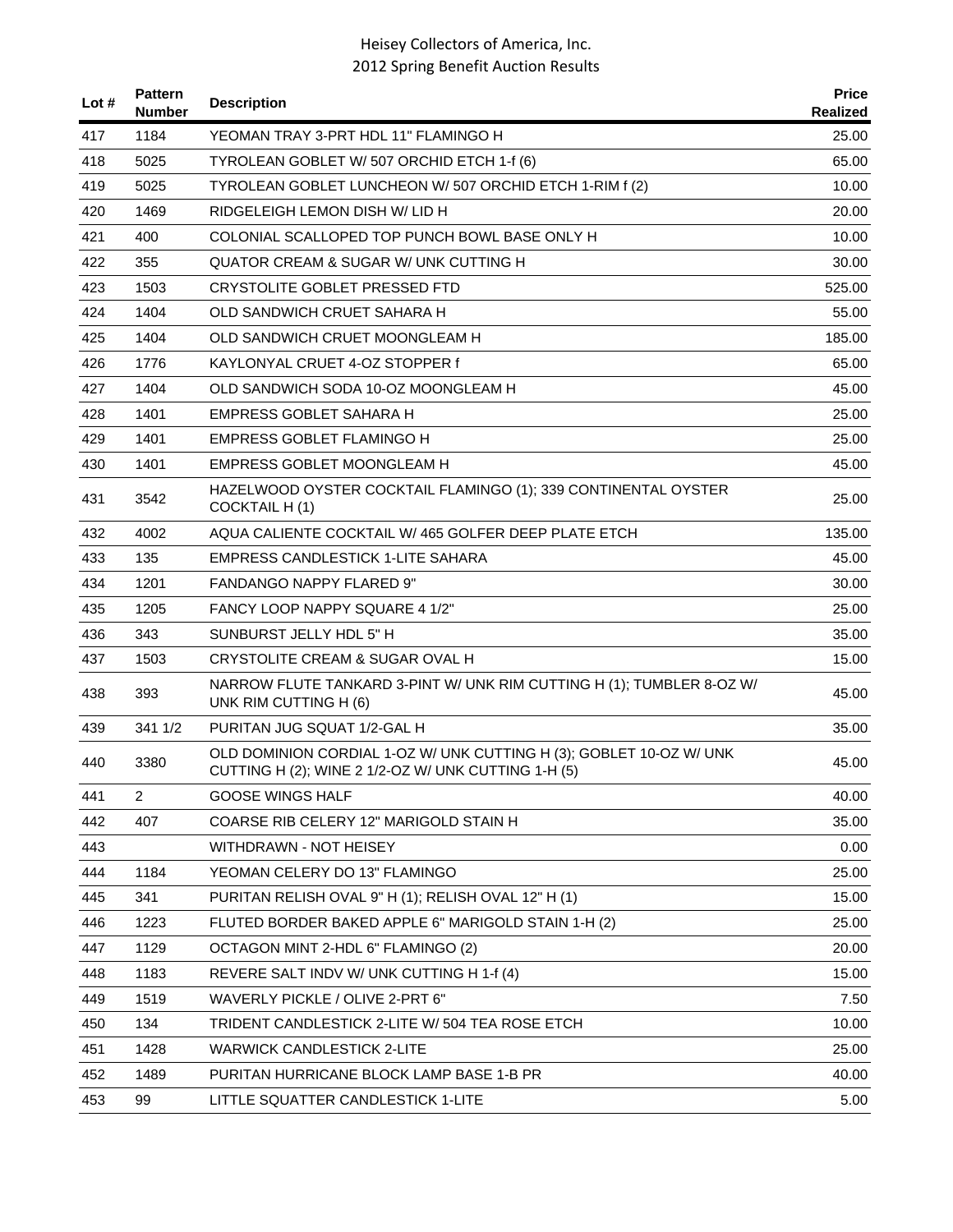| Lot # | <b>Pattern</b><br><b>Number</b> | <b>Description</b>                                                                                                         | <b>Price</b><br>Realized |
|-------|---------------------------------|----------------------------------------------------------------------------------------------------------------------------|--------------------------|
| 417   | 1184                            | YEOMAN TRAY 3-PRT HDL 11" FLAMINGO H                                                                                       | 25.00                    |
| 418   | 5025                            | TYROLEAN GOBLET W/ 507 ORCHID ETCH 1-f (6)                                                                                 | 65.00                    |
| 419   | 5025                            | TYROLEAN GOBLET LUNCHEON W/507 ORCHID ETCH 1-RIM f (2)                                                                     | 10.00                    |
| 420   | 1469                            | RIDGELEIGH LEMON DISH W/ LID H                                                                                             | 20.00                    |
| 421   | 400                             | COLONIAL SCALLOPED TOP PUNCH BOWL BASE ONLY H                                                                              | 10.00                    |
| 422   | 355                             | <b>QUATOR CREAM &amp; SUGAR W/ UNK CUTTING H</b>                                                                           | 30.00                    |
| 423   | 1503                            | CRYSTOLITE GOBLET PRESSED FTD                                                                                              | 525.00                   |
| 424   | 1404                            | OLD SANDWICH CRUET SAHARA H                                                                                                | 55.00                    |
| 425   | 1404                            | OLD SANDWICH CRUET MOONGLEAM H                                                                                             | 185.00                   |
| 426   | 1776                            | KAYLONYAL CRUET 4-OZ STOPPER f                                                                                             | 65.00                    |
| 427   | 1404                            | OLD SANDWICH SODA 10-OZ MOONGLEAM H                                                                                        | 45.00                    |
| 428   | 1401                            | EMPRESS GOBLET SAHARA H                                                                                                    | 25.00                    |
| 429   | 1401                            | EMPRESS GOBLET FLAMINGO H                                                                                                  | 25.00                    |
| 430   | 1401                            | EMPRESS GOBLET MOONGLEAM H                                                                                                 | 45.00                    |
| 431   | 3542                            | HAZELWOOD OYSTER COCKTAIL FLAMINGO (1); 339 CONTINENTAL OYSTER<br>COCKTAIL H(1)                                            | 25.00                    |
| 432   | 4002                            | AQUA CALIENTE COCKTAIL W/465 GOLFER DEEP PLATE ETCH                                                                        | 135.00                   |
| 433   | 135                             | EMPRESS CANDLESTICK 1-LITE SAHARA                                                                                          | 45.00                    |
| 434   | 1201                            | <b>FANDANGO NAPPY FLARED 9"</b>                                                                                            | 30.00                    |
| 435   | 1205                            | FANCY LOOP NAPPY SQUARE 4 1/2"                                                                                             | 25.00                    |
| 436   | 343                             | SUNBURST JELLY HDL 5" H                                                                                                    | 35.00                    |
| 437   | 1503                            | CRYSTOLITE CREAM & SUGAR OVAL H                                                                                            | 15.00                    |
| 438   | 393                             | NARROW FLUTE TANKARD 3-PINT W/ UNK RIM CUTTING H (1); TUMBLER 8-OZ W/<br>UNK RIM CUTTING H (6)                             | 45.00                    |
| 439   | 341 1/2                         | PURITAN JUG SQUAT 1/2-GAL H                                                                                                | 35.00                    |
| 440   | 3380                            | OLD DOMINION CORDIAL 1-OZ W/ UNK CUTTING H (3); GOBLET 10-OZ W/ UNK<br>CUTTING H (2); WINE 2 1/2-OZ W/ UNK CUTTING 1-H (5) | 45.00                    |
| 441   | $\overline{2}$                  | <b>GOOSE WINGS HALF</b>                                                                                                    | 40.00                    |
| 442   | 407                             | COARSE RIB CELERY 12" MARIGOLD STAIN H                                                                                     | 35.00                    |
| 443   |                                 | WITHDRAWN - NOT HEISEY                                                                                                     | 0.00                     |
| 444   | 1184                            | YEOMAN CELERY DO 13" FLAMINGO                                                                                              | 25.00                    |
| 445   | 341                             | PURITAN RELISH OVAL 9" H (1); RELISH OVAL 12" H (1)                                                                        | 15.00                    |
| 446   | 1223                            | FLUTED BORDER BAKED APPLE 6" MARIGOLD STAIN 1-H (2)                                                                        | 25.00                    |
| 447   | 1129                            | OCTAGON MINT 2-HDL 6" FLAMINGO (2)                                                                                         | 20.00                    |
| 448   | 1183                            | REVERE SALT INDV W/ UNK CUTTING H 1-f (4)                                                                                  | 15.00                    |
| 449   | 1519                            | WAVERLY PICKLE / OLIVE 2-PRT 6"                                                                                            | 7.50                     |
| 450   | 134                             | TRIDENT CANDLESTICK 2-LITE W/ 504 TEA ROSE ETCH                                                                            | 10.00                    |
| 451   | 1428                            | <b>WARWICK CANDLESTICK 2-LITE</b>                                                                                          | 25.00                    |
| 452   | 1489                            | PURITAN HURRICANE BLOCK LAMP BASE 1-B PR                                                                                   | 40.00                    |
| 453   | 99                              | LITTLE SQUATTER CANDLESTICK 1-LITE                                                                                         | 5.00                     |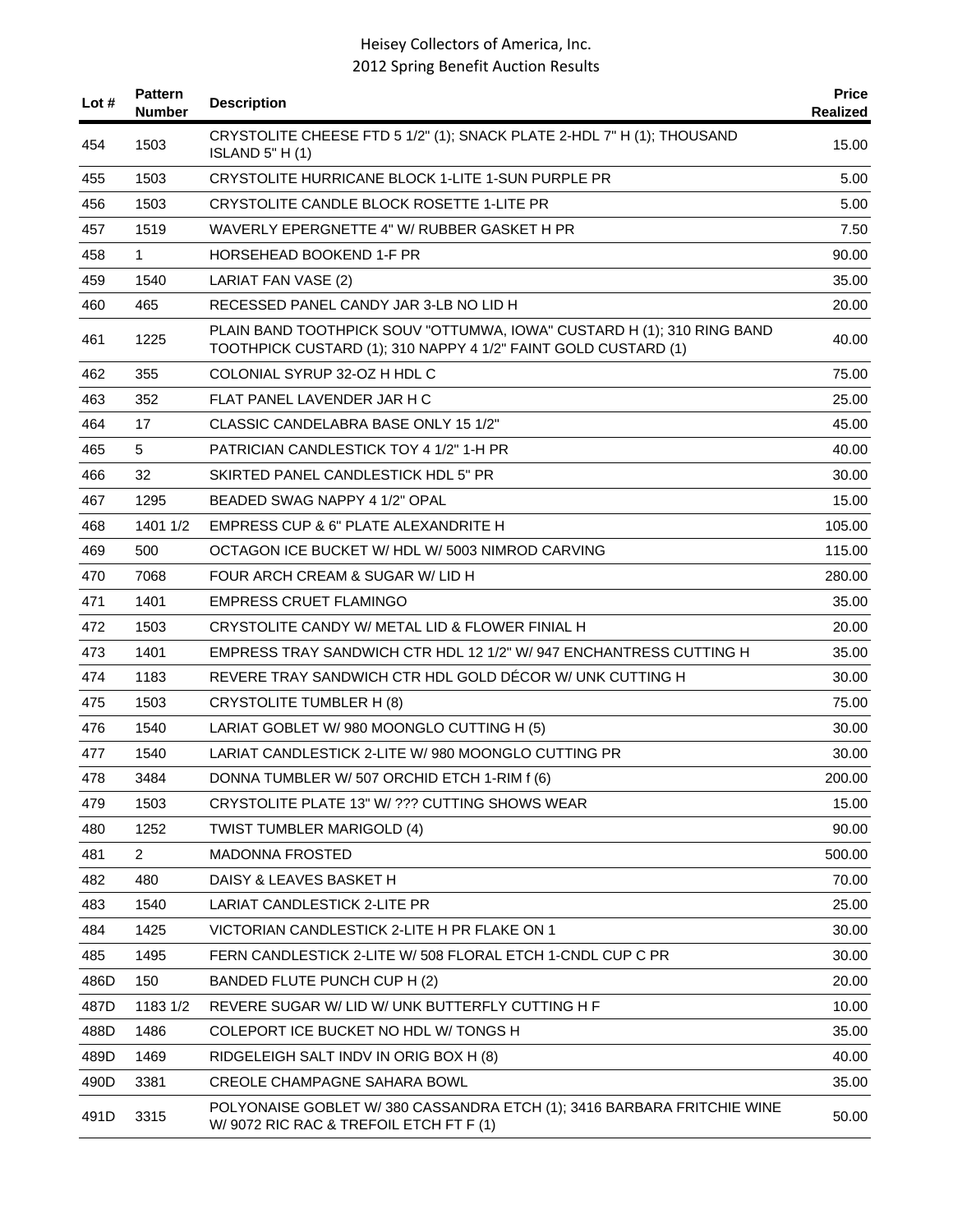| Lot $#$ | <b>Pattern</b><br><b>Number</b> | <b>Description</b>                                                                                                                       | <b>Price</b><br>Realized |
|---------|---------------------------------|------------------------------------------------------------------------------------------------------------------------------------------|--------------------------|
| 454     | 1503                            | CRYSTOLITE CHEESE FTD 5 1/2" (1); SNACK PLATE 2-HDL 7" H (1); THOUSAND<br><b>ISLAND 5" H (1)</b>                                         | 15.00                    |
| 455     | 1503                            | CRYSTOLITE HURRICANE BLOCK 1-LITE 1-SUN PURPLE PR                                                                                        | 5.00                     |
| 456     | 1503                            | CRYSTOLITE CANDLE BLOCK ROSETTE 1-LITE PR                                                                                                | 5.00                     |
| 457     | 1519                            | WAVERLY EPERGNETTE 4" W/ RUBBER GASKET H PR                                                                                              | 7.50                     |
| 458     | 1                               | HORSEHEAD BOOKEND 1-F PR                                                                                                                 | 90.00                    |
| 459     | 1540                            | LARIAT FAN VASE (2)                                                                                                                      | 35.00                    |
| 460     | 465                             | RECESSED PANEL CANDY JAR 3-LB NO LID H                                                                                                   | 20.00                    |
| 461     | 1225                            | PLAIN BAND TOOTHPICK SOUV "OTTUMWA, IOWA" CUSTARD H (1); 310 RING BAND<br>TOOTHPICK CUSTARD (1); 310 NAPPY 4 1/2" FAINT GOLD CUSTARD (1) | 40.00                    |
| 462     | 355                             | COLONIAL SYRUP 32-OZ H HDL C                                                                                                             | 75.00                    |
| 463     | 352                             | FLAT PANEL LAVENDER JAR H C                                                                                                              | 25.00                    |
| 464     | 17                              | CLASSIC CANDELABRA BASE ONLY 15 1/2"                                                                                                     | 45.00                    |
| 465     | 5                               | PATRICIAN CANDLESTICK TOY 4 1/2" 1-H PR                                                                                                  | 40.00                    |
| 466     | 32                              | SKIRTED PANEL CANDLESTICK HDL 5" PR                                                                                                      | 30.00                    |
| 467     | 1295                            | BEADED SWAG NAPPY 4 1/2" OPAL                                                                                                            | 15.00                    |
| 468     | 1401 1/2                        | EMPRESS CUP & 6" PLATE ALEXANDRITE H                                                                                                     | 105.00                   |
| 469     | 500                             | OCTAGON ICE BUCKET W/ HDL W/ 5003 NIMROD CARVING                                                                                         | 115.00                   |
| 470     | 7068                            | FOUR ARCH CREAM & SUGAR W/ LID H                                                                                                         | 280.00                   |
| 471     | 1401                            | EMPRESS CRUET FLAMINGO                                                                                                                   | 35.00                    |
| 472     | 1503                            | CRYSTOLITE CANDY W/ METAL LID & FLOWER FINIAL H                                                                                          | 20.00                    |
| 473     | 1401                            | EMPRESS TRAY SANDWICH CTR HDL 12 1/2" W/ 947 ENCHANTRESS CUTTING H                                                                       | 35.00                    |
| 474     | 1183                            | REVERE TRAY SANDWICH CTR HDL GOLD DECOR W/ UNK CUTTING H                                                                                 | 30.00                    |
| 475     | 1503                            | <b>CRYSTOLITE TUMBLER H (8)</b>                                                                                                          | 75.00                    |
| 476     | 1540                            | LARIAT GOBLET W/ 980 MOONGLO CUTTING H (5)                                                                                               | 30.00                    |
| 477     | 1540                            | LARIAT CANDLESTICK 2-LITE W/980 MOONGLO CUTTING PR                                                                                       | 30.00                    |
| 478     | 3484                            | DONNA TUMBLER W/ 507 ORCHID ETCH 1-RIM f (6)                                                                                             | 200.00                   |
| 479     | 1503                            | CRYSTOLITE PLATE 13" W/ ??? CUTTING SHOWS WEAR                                                                                           | 15.00                    |
| 480     | 1252                            | <b>TWIST TUMBLER MARIGOLD (4)</b>                                                                                                        | 90.00                    |
| 481     | $\overline{2}$                  | <b>MADONNA FROSTED</b>                                                                                                                   | 500.00                   |
| 482     | 480                             | DAISY & LEAVES BASKET H                                                                                                                  | 70.00                    |
| 483     | 1540                            | <b>LARIAT CANDLESTICK 2-LITE PR</b>                                                                                                      | 25.00                    |
| 484     | 1425                            | VICTORIAN CANDLESTICK 2-LITE H PR FLAKE ON 1                                                                                             | 30.00                    |
| 485     | 1495                            | FERN CANDLESTICK 2-LITE W/ 508 FLORAL ETCH 1-CNDL CUP C PR                                                                               | 30.00                    |
| 486D    | 150                             | BANDED FLUTE PUNCH CUP H (2)                                                                                                             | 20.00                    |
| 487D    | 1183 1/2                        | REVERE SUGAR W/ LID W/ UNK BUTTERFLY CUTTING H F                                                                                         | 10.00                    |
| 488D    | 1486                            | COLEPORT ICE BUCKET NO HDL W/TONGS H                                                                                                     | 35.00                    |
| 489D    | 1469                            | RIDGELEIGH SALT INDV IN ORIG BOX H (8)                                                                                                   | 40.00                    |
| 490D    | 3381                            | <b>CREOLE CHAMPAGNE SAHARA BOWL</b>                                                                                                      | 35.00                    |
| 491D    | 3315                            | POLYONAISE GOBLET W/380 CASSANDRA ETCH (1); 3416 BARBARA FRITCHIE WINE<br>W/9072 RIC RAC & TREFOIL ETCH FT F (1)                         | 50.00                    |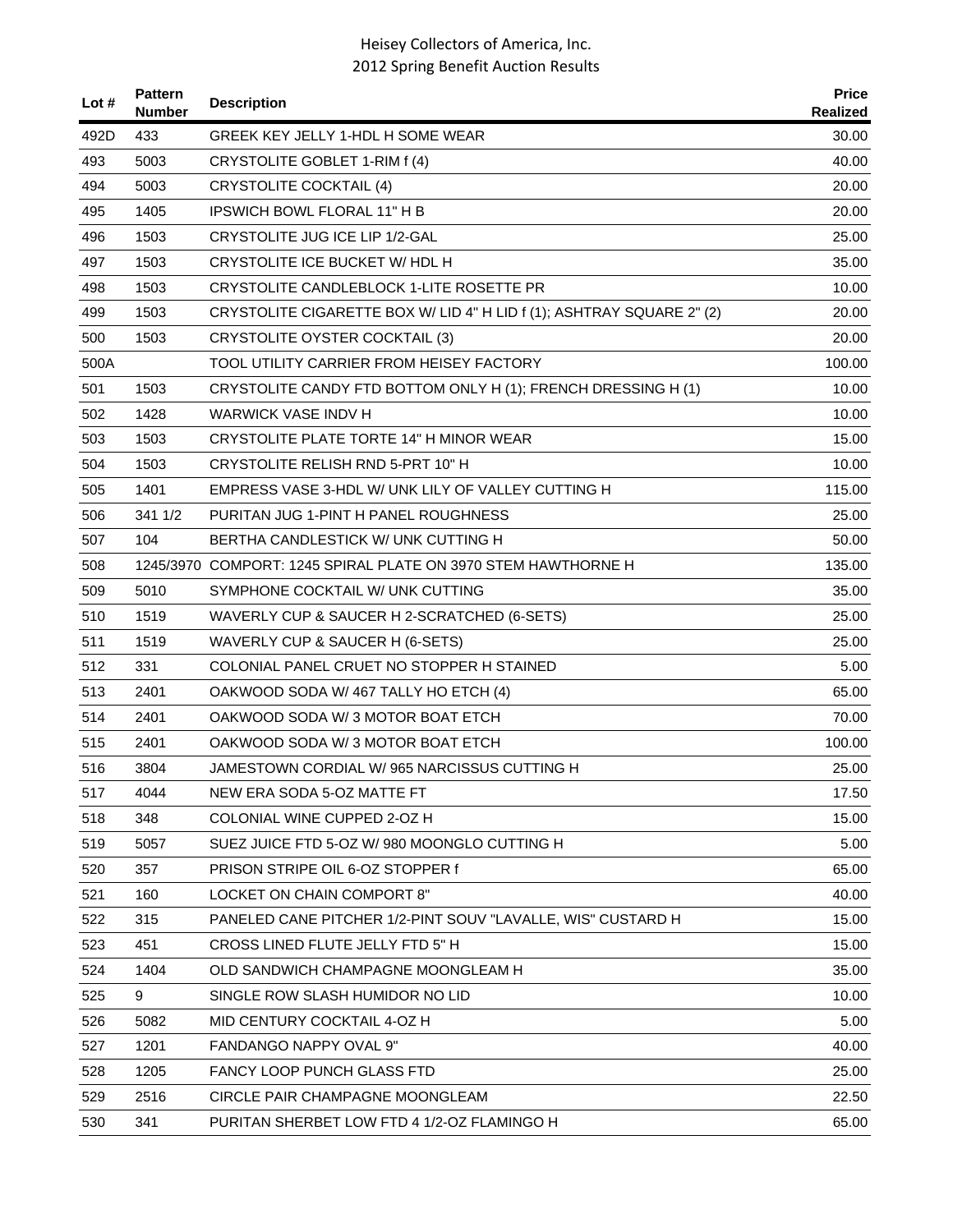| Lot # | <b>Pattern</b><br><b>Number</b> | <b>Description</b>                                                    | <b>Price</b><br>Realized |
|-------|---------------------------------|-----------------------------------------------------------------------|--------------------------|
| 492D  | 433                             | GREEK KEY JELLY 1-HDL H SOME WEAR                                     | 30.00                    |
| 493   | 5003                            | CRYSTOLITE GOBLET 1-RIM f (4)                                         | 40.00                    |
| 494   | 5003                            | <b>CRYSTOLITE COCKTAIL (4)</b>                                        | 20.00                    |
| 495   | 1405                            | <b>IPSWICH BOWL FLORAL 11" H B</b>                                    | 20.00                    |
| 496   | 1503                            | CRYSTOLITE JUG ICE LIP 1/2-GAL                                        | 25.00                    |
| 497   | 1503                            | CRYSTOLITE ICE BUCKET W/ HDL H                                        | 35.00                    |
| 498   | 1503                            | CRYSTOLITE CANDLEBLOCK 1-LITE ROSETTE PR                              | 10.00                    |
| 499   | 1503                            | CRYSTOLITE CIGARETTE BOX W/ LID 4" H LID f (1); ASHTRAY SQUARE 2" (2) | 20.00                    |
| 500   | 1503                            | CRYSTOLITE OYSTER COCKTAIL (3)                                        | 20.00                    |
| 500A  |                                 | TOOL UTILITY CARRIER FROM HEISEY FACTORY                              | 100.00                   |
| 501   | 1503                            | CRYSTOLITE CANDY FTD BOTTOM ONLY H (1); FRENCH DRESSING H (1)         | 10.00                    |
| 502   | 1428                            | WARWICK VASE INDV H                                                   | 10.00                    |
| 503   | 1503                            | CRYSTOLITE PLATE TORTE 14" H MINOR WEAR                               | 15.00                    |
| 504   | 1503                            | CRYSTOLITE RELISH RND 5-PRT 10" H                                     | 10.00                    |
| 505   | 1401                            | EMPRESS VASE 3-HDL W/ UNK LILY OF VALLEY CUTTING H                    | 115.00                   |
| 506   | 341 1/2                         | PURITAN JUG 1-PINT H PANEL ROUGHNESS                                  | 25.00                    |
| 507   | 104                             | BERTHA CANDLESTICK W/ UNK CUTTING H                                   | 50.00                    |
| 508   |                                 | 1245/3970 COMPORT: 1245 SPIRAL PLATE ON 3970 STEM HAWTHORNE H         | 135.00                   |
| 509   | 5010                            | SYMPHONE COCKTAIL W/ UNK CUTTING                                      | 35.00                    |
| 510   | 1519                            | WAVERLY CUP & SAUCER H 2-SCRATCHED (6-SETS)                           | 25.00                    |
| 511   | 1519                            | WAVERLY CUP & SAUCER H (6-SETS)                                       | 25.00                    |
| 512   | 331                             | COLONIAL PANEL CRUET NO STOPPER H STAINED                             | 5.00                     |
| 513   | 2401                            | OAKWOOD SODA W/467 TALLY HO ETCH (4)                                  | 65.00                    |
| 514   | 2401                            | OAKWOOD SODA W/3 MOTOR BOAT ETCH                                      | 70.00                    |
| 515   | 2401                            | OAKWOOD SODA W/3 MOTOR BOAT ETCH                                      | 100.00                   |
| 516   | 3804                            | JAMESTOWN CORDIAL W/965 NARCISSUS CUTTING H                           | 25.00                    |
| 517   | 4044                            | NEW ERA SODA 5-OZ MATTE FT                                            | 17.50                    |
| 518   | 348                             | COLONIAL WINE CUPPED 2-OZ H                                           | 15.00                    |
| 519   | 5057                            | SUEZ JUICE FTD 5-OZ W/980 MOONGLO CUTTING H                           | 5.00                     |
| 520   | 357                             | PRISON STRIPE OIL 6-OZ STOPPER f                                      | 65.00                    |
| 521   | 160                             | LOCKET ON CHAIN COMPORT 8"                                            | 40.00                    |
| 522   | 315                             | PANELED CANE PITCHER 1/2-PINT SOUV "LAVALLE, WIS" CUSTARD H           | 15.00                    |
| 523   | 451                             | CROSS LINED FLUTE JELLY FTD 5" H                                      | 15.00                    |
| 524   | 1404                            | OLD SANDWICH CHAMPAGNE MOONGLEAM H                                    | 35.00                    |
| 525   | 9                               | SINGLE ROW SLASH HUMIDOR NO LID                                       | 10.00                    |
| 526   | 5082                            | MID CENTURY COCKTAIL 4-OZ H                                           | 5.00                     |
| 527   | 1201                            | FANDANGO NAPPY OVAL 9"                                                | 40.00                    |
| 528   | 1205                            | FANCY LOOP PUNCH GLASS FTD                                            | 25.00                    |
| 529   | 2516                            | CIRCLE PAIR CHAMPAGNE MOONGLEAM                                       | 22.50                    |
| 530   | 341                             | PURITAN SHERBET LOW FTD 4 1/2-OZ FLAMINGO H                           | 65.00                    |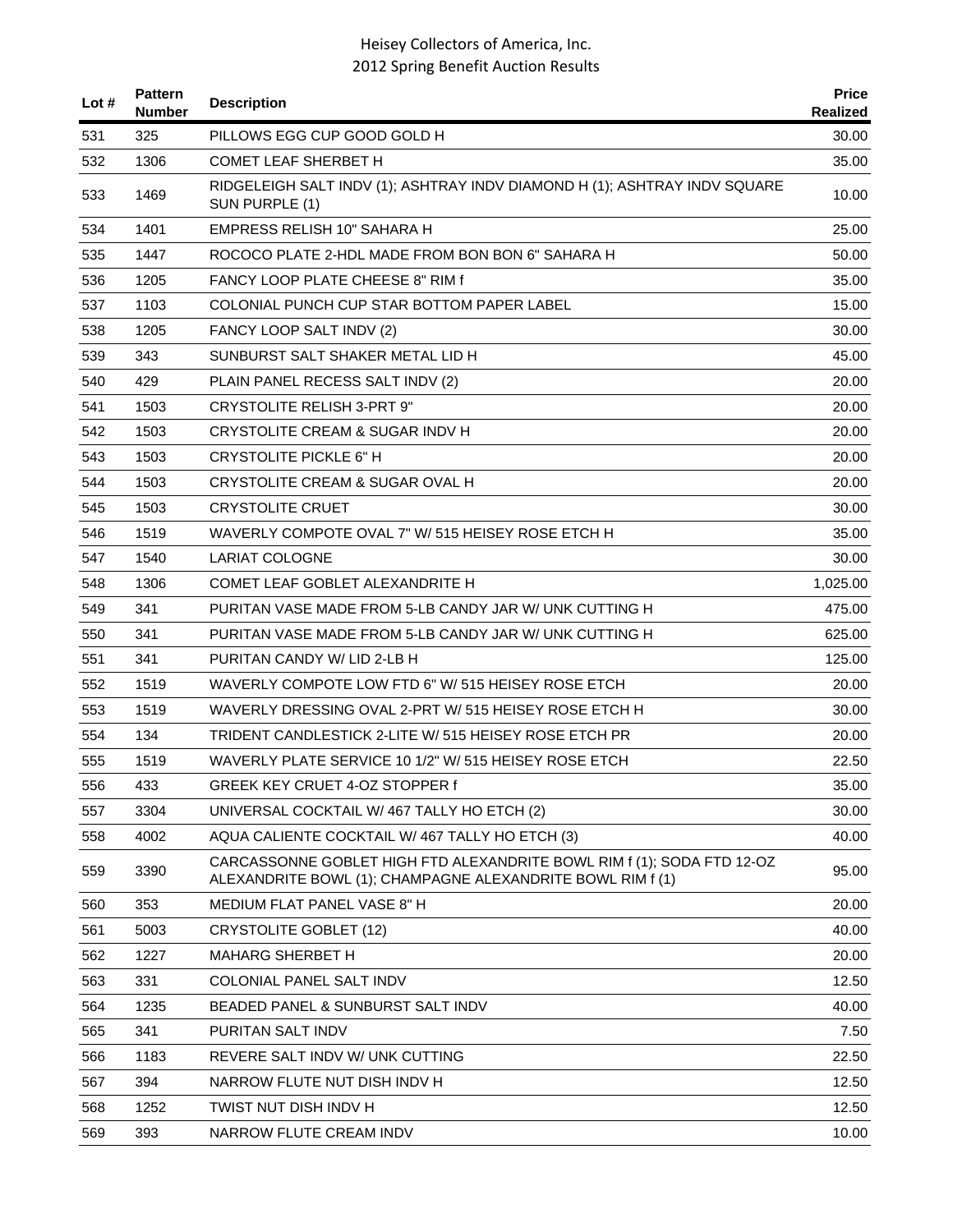| Lot # | <b>Pattern</b><br>Number | <b>Description</b>                                                                                                                   | <b>Price</b><br>Realized |
|-------|--------------------------|--------------------------------------------------------------------------------------------------------------------------------------|--------------------------|
| 531   | 325                      | PILLOWS EGG CUP GOOD GOLD H                                                                                                          | 30.00                    |
| 532   | 1306                     | <b>COMET LEAF SHERBET H</b>                                                                                                          | 35.00                    |
| 533   | 1469                     | RIDGELEIGH SALT INDV (1); ASHTRAY INDV DIAMOND H (1); ASHTRAY INDV SQUARE<br>SUN PURPLE (1)                                          | 10.00                    |
| 534   | 1401                     | EMPRESS RELISH 10" SAHARA H                                                                                                          | 25.00                    |
| 535   | 1447                     | ROCOCO PLATE 2-HDL MADE FROM BON BON 6" SAHARA H                                                                                     | 50.00                    |
| 536   | 1205                     | <b>FANCY LOOP PLATE CHEESE 8" RIM f</b>                                                                                              | 35.00                    |
| 537   | 1103                     | COLONIAL PUNCH CUP STAR BOTTOM PAPER LABEL                                                                                           | 15.00                    |
| 538   | 1205                     | FANCY LOOP SALT INDV (2)                                                                                                             | 30.00                    |
| 539   | 343                      | SUNBURST SALT SHAKER METAL LID H                                                                                                     | 45.00                    |
| 540   | 429                      | PLAIN PANEL RECESS SALT INDV (2)                                                                                                     | 20.00                    |
| 541   | 1503                     | CRYSTOLITE RELISH 3-PRT 9"                                                                                                           | 20.00                    |
| 542   | 1503                     | CRYSTOLITE CREAM & SUGAR INDV H                                                                                                      | 20.00                    |
| 543   | 1503                     | CRYSTOLITE PICKLE 6" H                                                                                                               | 20.00                    |
| 544   | 1503                     | CRYSTOLITE CREAM & SUGAR OVAL H                                                                                                      | 20.00                    |
| 545   | 1503                     | <b>CRYSTOLITE CRUET</b>                                                                                                              | 30.00                    |
| 546   | 1519                     | WAVERLY COMPOTE OVAL 7" W/ 515 HEISEY ROSE ETCH H                                                                                    | 35.00                    |
| 547   | 1540                     | <b>LARIAT COLOGNE</b>                                                                                                                | 30.00                    |
| 548   | 1306                     | COMET LEAF GOBLET ALEXANDRITE H                                                                                                      | 1,025.00                 |
| 549   | 341                      | PURITAN VASE MADE FROM 5-LB CANDY JAR W/ UNK CUTTING H                                                                               | 475.00                   |
| 550   | 341                      | PURITAN VASE MADE FROM 5-LB CANDY JAR W/ UNK CUTTING H                                                                               | 625.00                   |
| 551   | 341                      | PURITAN CANDY W/ LID 2-LB H                                                                                                          | 125.00                   |
| 552   | 1519                     | WAVERLY COMPOTE LOW FTD 6" W/ 515 HEISEY ROSE ETCH                                                                                   | 20.00                    |
| 553   | 1519                     | WAVERLY DRESSING OVAL 2-PRT W/ 515 HEISEY ROSE ETCH H                                                                                | 30.00                    |
| 554   | 134                      | TRIDENT CANDLESTICK 2-LITE W/ 515 HEISEY ROSE ETCH PR                                                                                | 20.00                    |
| 555   | 1519                     | WAVERLY PLATE SERVICE 10 1/2" W/ 515 HEISEY ROSE ETCH                                                                                | 22.50                    |
| 556   | 433                      | GREEK KEY CRUET 4-OZ STOPPER f                                                                                                       | 35.00                    |
| 557   | 3304                     | UNIVERSAL COCKTAIL W/467 TALLY HO ETCH (2)                                                                                           | 30.00                    |
| 558   | 4002                     | AQUA CALIENTE COCKTAIL W/467 TALLY HO ETCH (3)                                                                                       | 40.00                    |
| 559   | 3390                     | CARCASSONNE GOBLET HIGH FTD ALEXANDRITE BOWL RIM f (1); SODA FTD 12-OZ<br>ALEXANDRITE BOWL (1); CHAMPAGNE ALEXANDRITE BOWL RIM f (1) | 95.00                    |
| 560   | 353                      | MEDIUM FLAT PANEL VASE 8" H                                                                                                          | 20.00                    |
| 561   | 5003                     | <b>CRYSTOLITE GOBLET (12)</b>                                                                                                        | 40.00                    |
| 562   | 1227                     | <b>MAHARG SHERBET H</b>                                                                                                              | 20.00                    |
| 563   | 331                      | COLONIAL PANEL SALT INDV                                                                                                             | 12.50                    |
| 564   | 1235                     | BEADED PANEL & SUNBURST SALT INDV                                                                                                    | 40.00                    |
| 565   | 341                      | PURITAN SALT INDV                                                                                                                    | 7.50                     |
| 566   | 1183                     | REVERE SALT INDV W/ UNK CUTTING                                                                                                      | 22.50                    |
| 567   | 394                      | NARROW FLUTE NUT DISH INDV H                                                                                                         | 12.50                    |
| 568   | 1252                     | TWIST NUT DISH INDV H                                                                                                                | 12.50                    |
| 569   | 393                      | NARROW FLUTE CREAM INDV                                                                                                              | 10.00                    |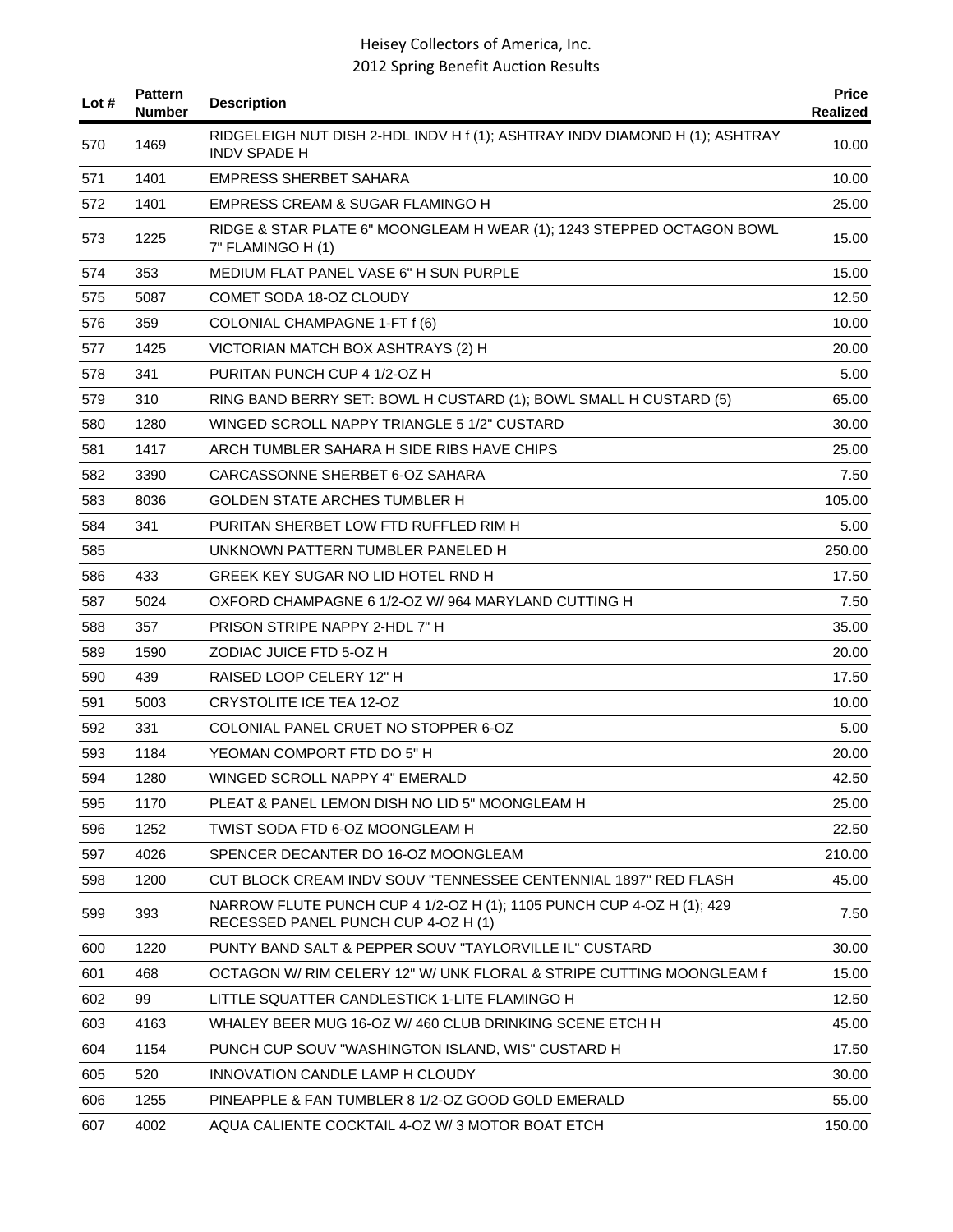| Lot $#$ | <b>Pattern</b><br>Number | <b>Description</b>                                                                                           | <b>Price</b><br>Realized |
|---------|--------------------------|--------------------------------------------------------------------------------------------------------------|--------------------------|
| 570     | 1469                     | RIDGELEIGH NUT DISH 2-HDL INDV H f (1); ASHTRAY INDV DIAMOND H (1); ASHTRAY<br><b>INDV SPADE H</b>           | 10.00                    |
| 571     | 1401                     | <b>EMPRESS SHERBET SAHARA</b>                                                                                | 10.00                    |
| 572     | 1401                     | EMPRESS CREAM & SUGAR FLAMINGO H                                                                             | 25.00                    |
| 573     | 1225                     | RIDGE & STAR PLATE 6" MOONGLEAM H WEAR (1); 1243 STEPPED OCTAGON BOWL<br>7" FLAMINGO H (1)                   | 15.00                    |
| 574     | 353                      | <b>MEDIUM FLAT PANEL VASE 6" H SUN PURPLE</b>                                                                | 15.00                    |
| 575     | 5087                     | COMET SODA 18-OZ CLOUDY                                                                                      | 12.50                    |
| 576     | 359                      | COLONIAL CHAMPAGNE 1-FT f (6)                                                                                | 10.00                    |
| 577     | 1425                     | VICTORIAN MATCH BOX ASHTRAYS (2) H                                                                           | 20.00                    |
| 578     | 341                      | PURITAN PUNCH CUP 4 1/2-OZ H                                                                                 | 5.00                     |
| 579     | 310                      | RING BAND BERRY SET: BOWL H CUSTARD (1); BOWL SMALL H CUSTARD (5)                                            | 65.00                    |
| 580     | 1280                     | WINGED SCROLL NAPPY TRIANGLE 5 1/2" CUSTARD                                                                  | 30.00                    |
| 581     | 1417                     | ARCH TUMBLER SAHARA H SIDE RIBS HAVE CHIPS                                                                   | 25.00                    |
| 582     | 3390                     | CARCASSONNE SHERBET 6-OZ SAHARA                                                                              | 7.50                     |
| 583     | 8036                     | GOLDEN STATE ARCHES TUMBLER H                                                                                | 105.00                   |
| 584     | 341                      | PURITAN SHERBET LOW FTD RUFFLED RIM H                                                                        | 5.00                     |
| 585     |                          | UNKNOWN PATTERN TUMBLER PANELED H                                                                            | 250.00                   |
| 586     | 433                      | GREEK KEY SUGAR NO LID HOTEL RND H                                                                           | 17.50                    |
| 587     | 5024                     | OXFORD CHAMPAGNE 6 1/2-OZ W/964 MARYLAND CUTTING H                                                           | 7.50                     |
| 588     | 357                      | PRISON STRIPE NAPPY 2-HDL 7" H                                                                               | 35.00                    |
| 589     | 1590                     | ZODIAC JUICE FTD 5-OZ H                                                                                      | 20.00                    |
| 590     | 439                      | RAISED LOOP CELERY 12" H                                                                                     | 17.50                    |
| 591     | 5003                     | <b>CRYSTOLITE ICE TEA 12-OZ</b>                                                                              | 10.00                    |
| 592     | 331                      | COLONIAL PANEL CRUET NO STOPPER 6-OZ                                                                         | 5.00                     |
| 593     | 1184                     | YEOMAN COMPORT FTD DO 5" H                                                                                   | 20.00                    |
| 594     | 1280                     | WINGED SCROLL NAPPY 4" EMERALD                                                                               | 42.50                    |
| 595     | 1170                     | PLEAT & PANEL LEMON DISH NO LID 5" MOONGLEAM H                                                               | 25.00                    |
| 596     | 1252                     | TWIST SODA FTD 6-OZ MOONGLEAM H                                                                              | 22.50                    |
| 597     | 4026                     | SPENCER DECANTER DO 16-OZ MOONGLEAM                                                                          | 210.00                   |
| 598     | 1200                     | CUT BLOCK CREAM INDV SOUV "TENNESSEE CENTENNIAL 1897" RED FLASH                                              | 45.00                    |
| 599     | 393                      | NARROW FLUTE PUNCH CUP 4 1/2-OZ H (1); 1105 PUNCH CUP 4-OZ H (1); 429<br>RECESSED PANEL PUNCH CUP 4-OZ H (1) | 7.50                     |
| 600     | 1220                     | PUNTY BAND SALT & PEPPER SOUV "TAYLORVILLE IL" CUSTARD                                                       | 30.00                    |
| 601     | 468                      | OCTAGON W/ RIM CELERY 12" W/ UNK FLORAL & STRIPE CUTTING MOONGLEAM f                                         | 15.00                    |
| 602     | 99                       | LITTLE SQUATTER CANDLESTICK 1-LITE FLAMINGO H                                                                | 12.50                    |
| 603     | 4163                     | WHALEY BEER MUG 16-OZ W/ 460 CLUB DRINKING SCENE ETCH H                                                      | 45.00                    |
| 604     | 1154                     | PUNCH CUP SOUV "WASHINGTON ISLAND, WIS" CUSTARD H                                                            | 17.50                    |
| 605     | 520                      | INNOVATION CANDLE LAMP H CLOUDY                                                                              | 30.00                    |
| 606     | 1255                     | PINEAPPLE & FAN TUMBLER 8 1/2-OZ GOOD GOLD EMERALD                                                           | 55.00                    |
| 607     | 4002                     | AQUA CALIENTE COCKTAIL 4-OZ W/3 MOTOR BOAT ETCH                                                              | 150.00                   |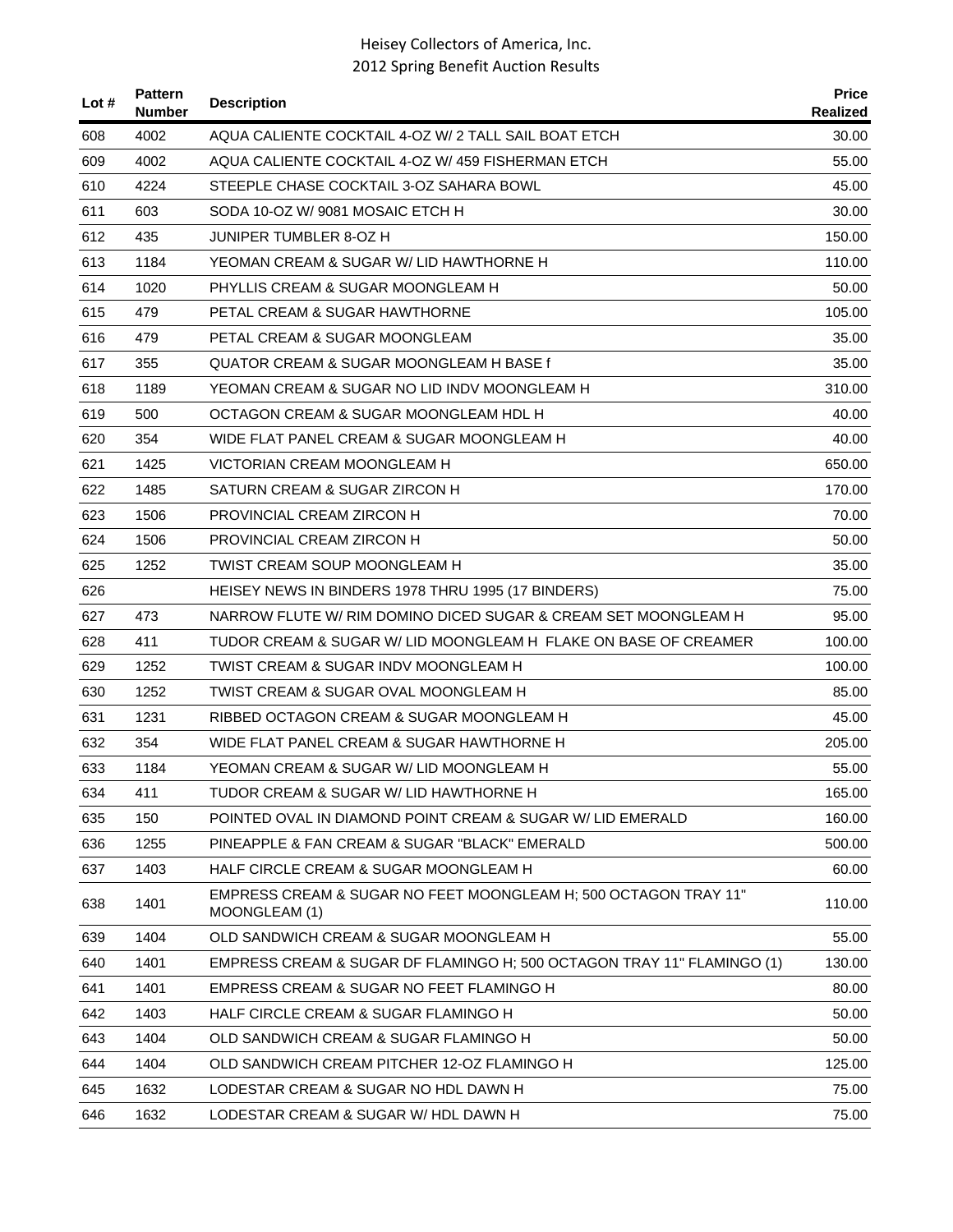| Lot $#$ | <b>Pattern</b><br><b>Number</b> | <b>Description</b>                                                               | <b>Price</b><br>Realized |
|---------|---------------------------------|----------------------------------------------------------------------------------|--------------------------|
| 608     | 4002                            | AQUA CALIENTE COCKTAIL 4-OZ W/ 2 TALL SAIL BOAT ETCH                             | 30.00                    |
| 609     | 4002                            | AQUA CALIENTE COCKTAIL 4-OZ W/ 459 FISHERMAN ETCH                                | 55.00                    |
| 610     | 4224                            | STEEPLE CHASE COCKTAIL 3-OZ SAHARA BOWL                                          | 45.00                    |
| 611     | 603                             | SODA 10-OZ W/9081 MOSAIC ETCH H                                                  | 30.00                    |
| 612     | 435                             | JUNIPER TUMBLER 8-OZ H                                                           | 150.00                   |
| 613     | 1184                            | YEOMAN CREAM & SUGAR W/ LID HAWTHORNE H                                          | 110.00                   |
| 614     | 1020                            | PHYLLIS CREAM & SUGAR MOONGLEAM H                                                | 50.00                    |
| 615     | 479                             | PETAL CREAM & SUGAR HAWTHORNE                                                    | 105.00                   |
| 616     | 479                             | PETAL CREAM & SUGAR MOONGLEAM                                                    | 35.00                    |
| 617     | 355                             | QUATOR CREAM & SUGAR MOONGLEAM H BASE f                                          | 35.00                    |
| 618     | 1189                            | YEOMAN CREAM & SUGAR NO LID INDV MOONGLEAM H                                     | 310.00                   |
| 619     | 500                             | OCTAGON CREAM & SUGAR MOONGLEAM HDL H                                            | 40.00                    |
| 620     | 354                             | WIDE FLAT PANEL CREAM & SUGAR MOONGLEAM H                                        | 40.00                    |
| 621     | 1425                            | VICTORIAN CREAM MOONGLEAM H                                                      | 650.00                   |
| 622     | 1485                            | SATURN CREAM & SUGAR ZIRCON H                                                    | 170.00                   |
| 623     | 1506                            | PROVINCIAL CREAM ZIRCON H                                                        | 70.00                    |
| 624     | 1506                            | PROVINCIAL CREAM ZIRCON H                                                        | 50.00                    |
| 625     | 1252                            | TWIST CREAM SOUP MOONGLEAM H                                                     | 35.00                    |
| 626     |                                 | HEISEY NEWS IN BINDERS 1978 THRU 1995 (17 BINDERS)                               | 75.00                    |
| 627     | 473                             | NARROW FLUTE W/ RIM DOMINO DICED SUGAR & CREAM SET MOONGLEAM H                   | 95.00                    |
| 628     | 411                             | TUDOR CREAM & SUGAR W/ LID MOONGLEAM H FLAKE ON BASE OF CREAMER                  | 100.00                   |
| 629     | 1252                            | TWIST CREAM & SUGAR INDV MOONGLEAM H                                             | 100.00                   |
| 630     | 1252                            | TWIST CREAM & SUGAR OVAL MOONGLEAM H                                             | 85.00                    |
| 631     | 1231                            | RIBBED OCTAGON CREAM & SUGAR MOONGLEAM H                                         | 45.00                    |
| 632     | 354                             | WIDE FLAT PANEL CREAM & SUGAR HAWTHORNE H                                        | 205.00                   |
| 633     | 1184                            | YEOMAN CREAM & SUGAR W/ LID MOONGLEAM H                                          | 55.00                    |
| 634     | 411                             | TUDOR CREAM & SUGAR W/ LID HAWTHORNE H                                           | 165.00                   |
| 635     | 150                             | POINTED OVAL IN DIAMOND POINT CREAM & SUGAR W/ LID EMERALD                       | 160.00                   |
| 636     | 1255                            | PINEAPPLE & FAN CREAM & SUGAR "BLACK" EMERALD                                    | 500.00                   |
| 637     | 1403                            | HALF CIRCLE CREAM & SUGAR MOONGLEAM H                                            | 60.00                    |
| 638     | 1401                            | EMPRESS CREAM & SUGAR NO FEET MOONGLEAM H; 500 OCTAGON TRAY 11"<br>MOONGLEAM (1) | 110.00                   |
| 639     | 1404                            | OLD SANDWICH CREAM & SUGAR MOONGLEAM H                                           | 55.00                    |
| 640     | 1401                            | EMPRESS CREAM & SUGAR DF FLAMINGO H; 500 OCTAGON TRAY 11" FLAMINGO (1)           | 130.00                   |
| 641     | 1401                            | EMPRESS CREAM & SUGAR NO FEET FLAMINGO H                                         | 80.00                    |
| 642     | 1403                            | HALF CIRCLE CREAM & SUGAR FLAMINGO H                                             | 50.00                    |
| 643     | 1404                            | OLD SANDWICH CREAM & SUGAR FLAMINGO H                                            | 50.00                    |
| 644     | 1404                            | OLD SANDWICH CREAM PITCHER 12-OZ FLAMINGO H                                      | 125.00                   |
| 645     | 1632                            | LODESTAR CREAM & SUGAR NO HDL DAWN H                                             | 75.00                    |
| 646     | 1632                            | LODESTAR CREAM & SUGAR W/ HDL DAWN H                                             | 75.00                    |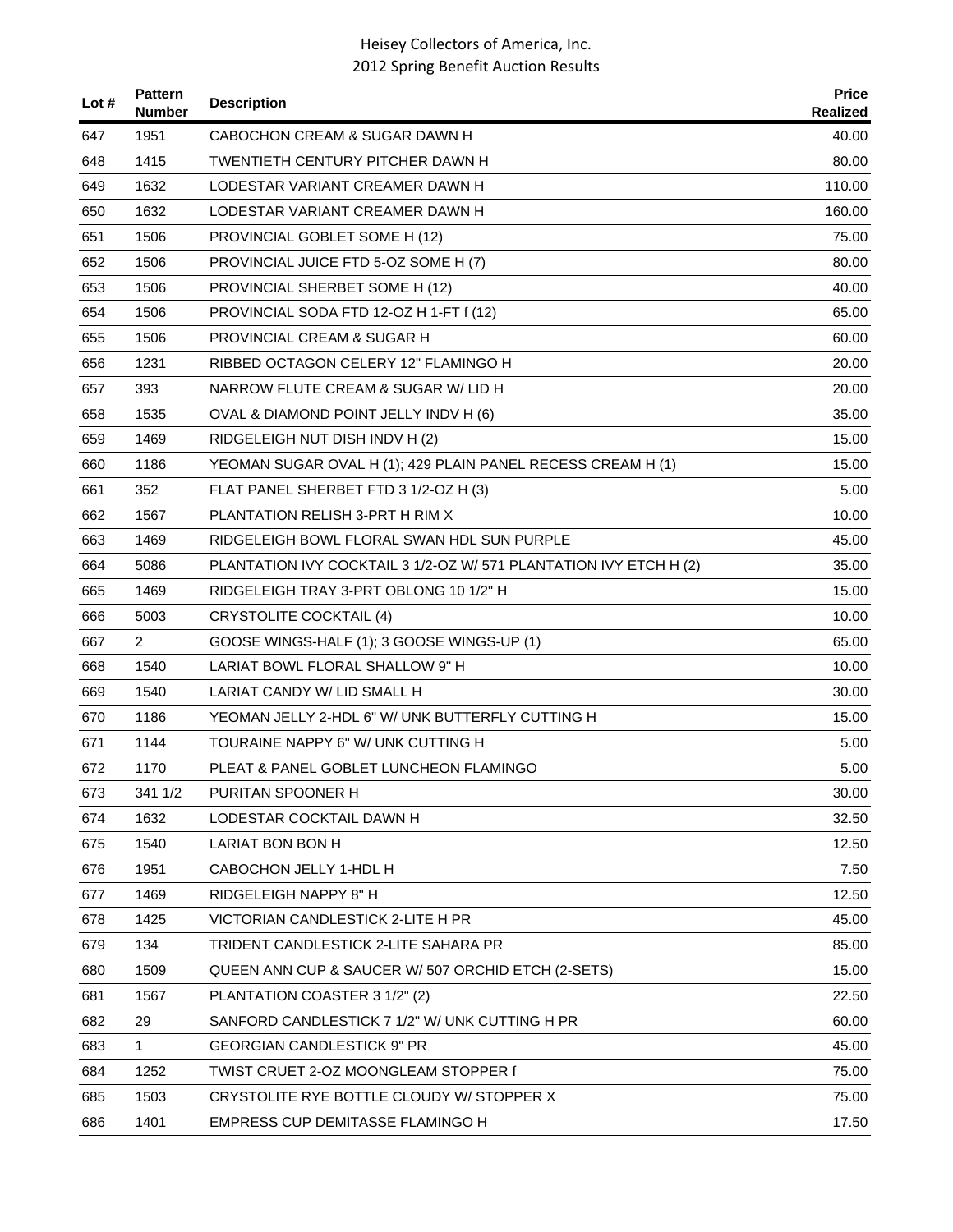| Lot # | <b>Pattern</b><br><b>Number</b> | <b>Description</b>                                                | <b>Price</b><br><b>Realized</b> |
|-------|---------------------------------|-------------------------------------------------------------------|---------------------------------|
| 647   | 1951                            | CABOCHON CREAM & SUGAR DAWN H                                     | 40.00                           |
| 648   | 1415                            | TWENTIETH CENTURY PITCHER DAWN H                                  | 80.00                           |
| 649   | 1632                            | LODESTAR VARIANT CREAMER DAWN H                                   | 110.00                          |
| 650   | 1632                            | LODESTAR VARIANT CREAMER DAWN H                                   | 160.00                          |
| 651   | 1506                            | PROVINCIAL GOBLET SOME H (12)                                     | 75.00                           |
| 652   | 1506                            | PROVINCIAL JUICE FTD 5-OZ SOME H (7)                              | 80.00                           |
| 653   | 1506                            | PROVINCIAL SHERBET SOME H (12)                                    | 40.00                           |
| 654   | 1506                            | PROVINCIAL SODA FTD 12-OZ H 1-FT f (12)                           | 65.00                           |
| 655   | 1506                            | PROVINCIAL CREAM & SUGAR H                                        | 60.00                           |
| 656   | 1231                            | RIBBED OCTAGON CELERY 12" FLAMINGO H                              | 20.00                           |
| 657   | 393                             | NARROW FLUTE CREAM & SUGAR W/ LID H                               | 20.00                           |
| 658   | 1535                            | OVAL & DIAMOND POINT JELLY INDV H (6)                             | 35.00                           |
| 659   | 1469                            | RIDGELEIGH NUT DISH INDV H (2)                                    | 15.00                           |
| 660   | 1186                            | YEOMAN SUGAR OVAL H (1); 429 PLAIN PANEL RECESS CREAM H (1)       | 15.00                           |
| 661   | 352                             | FLAT PANEL SHERBET FTD 3 1/2-OZ H (3)                             | 5.00                            |
| 662   | 1567                            | PLANTATION RELISH 3-PRT H RIM X                                   | 10.00                           |
| 663   | 1469                            | RIDGELEIGH BOWL FLORAL SWAN HDL SUN PURPLE                        | 45.00                           |
| 664   | 5086                            | PLANTATION IVY COCKTAIL 3 1/2-OZ W/ 571 PLANTATION IVY ETCH H (2) | 35.00                           |
| 665   | 1469                            | RIDGELEIGH TRAY 3-PRT OBLONG 10 1/2" H                            | 15.00                           |
| 666   | 5003                            | <b>CRYSTOLITE COCKTAIL (4)</b>                                    | 10.00                           |
| 667   | $\overline{2}$                  | GOOSE WINGS-HALF (1); 3 GOOSE WINGS-UP (1)                        | 65.00                           |
| 668   | 1540                            | LARIAT BOWL FLORAL SHALLOW 9" H                                   | 10.00                           |
| 669   | 1540                            | LARIAT CANDY W/ LID SMALL H                                       | 30.00                           |
| 670   | 1186                            | YEOMAN JELLY 2-HDL 6" W/ UNK BUTTERFLY CUTTING H                  | 15.00                           |
| 671   | 1144                            | TOURAINE NAPPY 6" W/ UNK CUTTING H                                | 5.00                            |
| 672   | 1170                            | PLEAT & PANEL GOBLET LUNCHEON FLAMINGO                            | 5.00                            |
| 673   | 341 1/2                         | PURITAN SPOONER H                                                 | 30.00                           |
| 674   | 1632                            | LODESTAR COCKTAIL DAWN H                                          | 32.50                           |
| 675   | 1540                            | LARIAT BON BON H                                                  | 12.50                           |
| 676   | 1951                            | CABOCHON JELLY 1-HDL H                                            | 7.50                            |
| 677   | 1469                            | RIDGELEIGH NAPPY 8" H                                             | 12.50                           |
| 678   | 1425                            | VICTORIAN CANDLESTICK 2-LITE H PR                                 | 45.00                           |
| 679   | 134                             | TRIDENT CANDLESTICK 2-LITE SAHARA PR                              | 85.00                           |
| 680   | 1509                            | QUEEN ANN CUP & SAUCER W/ 507 ORCHID ETCH (2-SETS)                | 15.00                           |
| 681   | 1567                            | PLANTATION COASTER 3 1/2" (2)                                     | 22.50                           |
| 682   | 29                              | SANFORD CANDLESTICK 7 1/2" W/ UNK CUTTING H PR                    | 60.00                           |
| 683   | 1                               | <b>GEORGIAN CANDLESTICK 9" PR</b>                                 | 45.00                           |
| 684   | 1252                            | TWIST CRUET 2-OZ MOONGLEAM STOPPER f                              | 75.00                           |
| 685   | 1503                            | CRYSTOLITE RYE BOTTLE CLOUDY W/ STOPPER X                         | 75.00                           |
| 686   | 1401                            | EMPRESS CUP DEMITASSE FLAMINGO H                                  | 17.50                           |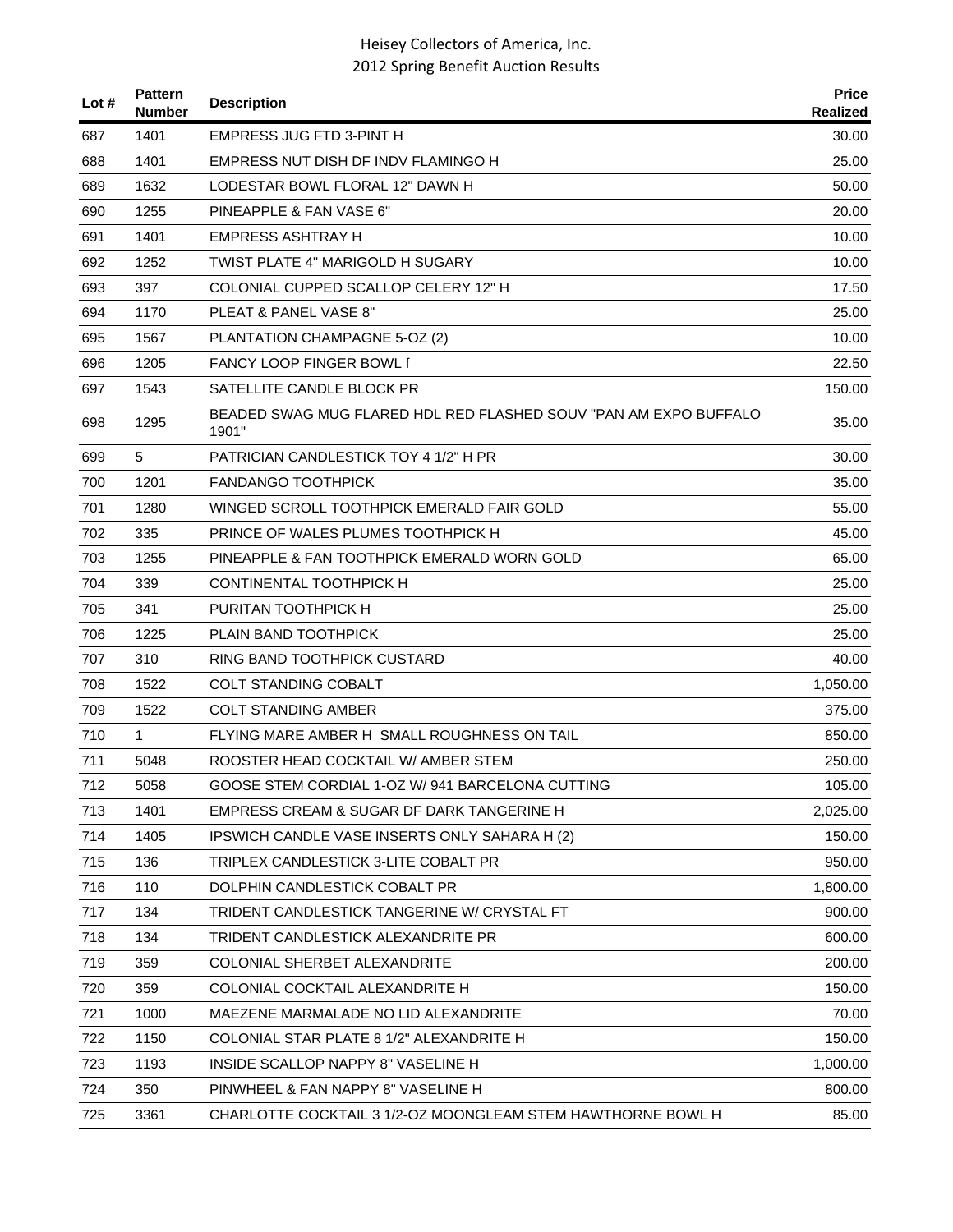| Lot $#$ | <b>Pattern</b><br><b>Number</b> | <b>Description</b>                                                        | <b>Price</b><br>Realized |
|---------|---------------------------------|---------------------------------------------------------------------------|--------------------------|
| 687     | 1401                            | <b>EMPRESS JUG FTD 3-PINT H</b>                                           | 30.00                    |
| 688     | 1401                            | EMPRESS NUT DISH DF INDV FLAMINGO H                                       | 25.00                    |
| 689     | 1632                            | LODESTAR BOWL FLORAL 12" DAWN H                                           | 50.00                    |
| 690     | 1255                            | PINEAPPLE & FAN VASE 6"                                                   | 20.00                    |
| 691     | 1401                            | EMPRESS ASHTRAY H                                                         | 10.00                    |
| 692     | 1252                            | TWIST PLATE 4" MARIGOLD H SUGARY                                          | 10.00                    |
| 693     | 397                             | COLONIAL CUPPED SCALLOP CELERY 12" H                                      | 17.50                    |
| 694     | 1170                            | PLEAT & PANEL VASE 8"                                                     | 25.00                    |
| 695     | 1567                            | PLANTATION CHAMPAGNE 5-OZ (2)                                             | 10.00                    |
| 696     | 1205                            | <b>FANCY LOOP FINGER BOWL f</b>                                           | 22.50                    |
| 697     | 1543                            | SATELLITE CANDLE BLOCK PR                                                 | 150.00                   |
| 698     | 1295                            | BEADED SWAG MUG FLARED HDL RED FLASHED SOUV "PAN AM EXPO BUFFALO<br>1901" | 35.00                    |
| 699     | 5                               | PATRICIAN CANDLESTICK TOY 4 1/2" H PR                                     | 30.00                    |
| 700     | 1201                            | <b>FANDANGO TOOTHPICK</b>                                                 | 35.00                    |
| 701     | 1280                            | WINGED SCROLL TOOTHPICK EMERALD FAIR GOLD                                 | 55.00                    |
| 702     | 335                             | PRINCE OF WALES PLUMES TOOTHPICK H                                        | 45.00                    |
| 703     | 1255                            | PINEAPPLE & FAN TOOTHPICK EMERALD WORN GOLD                               | 65.00                    |
| 704     | 339                             | CONTINENTAL TOOTHPICK H                                                   | 25.00                    |
| 705     | 341                             | PURITAN TOOTHPICK H                                                       | 25.00                    |
| 706     | 1225                            | PLAIN BAND TOOTHPICK                                                      | 25.00                    |
| 707     | 310                             | RING BAND TOOTHPICK CUSTARD                                               | 40.00                    |
| 708     | 1522                            | <b>COLT STANDING COBALT</b>                                               | 1,050.00                 |
| 709     | 1522                            | <b>COLT STANDING AMBER</b>                                                | 375.00                   |
| 710     | $\mathbf{1}$                    | FLYING MARE AMBER H SMALL ROUGHNESS ON TAIL                               | 850.00                   |
| 711     | 5048                            | ROOSTER HEAD COCKTAIL W/ AMBER STEM                                       | 250.00                   |
| 712     | 5058                            | GOOSE STEM CORDIAL 1-OZ W/ 941 BARCELONA CUTTING                          | 105.00                   |
| 713     | 1401                            | EMPRESS CREAM & SUGAR DF DARK TANGERINE H                                 | 2,025.00                 |
| 714     | 1405                            | IPSWICH CANDLE VASE INSERTS ONLY SAHARA H (2)                             | 150.00                   |
| 715     | 136                             | TRIPLEX CANDLESTICK 3-LITE COBALT PR                                      | 950.00                   |
| 716     | 110                             | DOLPHIN CANDLESTICK COBALT PR                                             | 1,800.00                 |
| 717     | 134                             | TRIDENT CANDLESTICK TANGERINE W/ CRYSTAL FT                               | 900.00                   |
| 718     | 134                             | TRIDENT CANDLESTICK ALEXANDRITE PR                                        | 600.00                   |
| 719     | 359                             | COLONIAL SHERBET ALEXANDRITE                                              | 200.00                   |
| 720     | 359                             | COLONIAL COCKTAIL ALEXANDRITE H                                           | 150.00                   |
| 721     | 1000                            | MAEZENE MARMALADE NO LID ALEXANDRITE                                      | 70.00                    |
| 722     | 1150                            | COLONIAL STAR PLATE 8 1/2" ALEXANDRITE H                                  | 150.00                   |
| 723     | 1193                            | INSIDE SCALLOP NAPPY 8" VASELINE H                                        | 1,000.00                 |
| 724     | 350                             | PINWHEEL & FAN NAPPY 8" VASELINE H                                        | 800.00                   |
| 725     | 3361                            | CHARLOTTE COCKTAIL 3 1/2-OZ MOONGLEAM STEM HAWTHORNE BOWL H               | 85.00                    |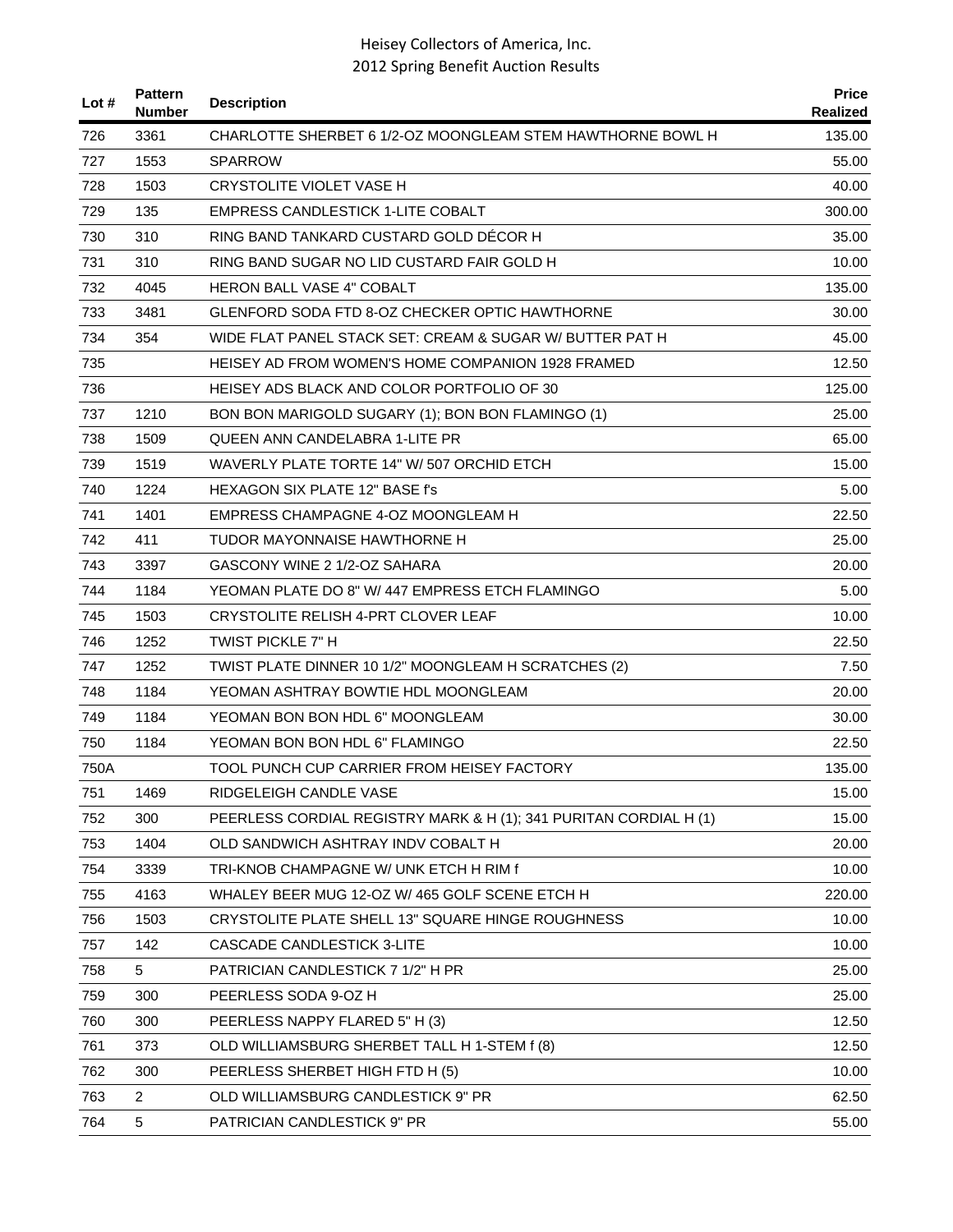| Lot # | <b>Pattern</b><br><b>Number</b> | <b>Description</b>                                                | <b>Price</b><br><b>Realized</b> |
|-------|---------------------------------|-------------------------------------------------------------------|---------------------------------|
| 726   | 3361                            | CHARLOTTE SHERBET 6 1/2-OZ MOONGLEAM STEM HAWTHORNE BOWL H        | 135.00                          |
| 727   | 1553                            | <b>SPARROW</b>                                                    | 55.00                           |
| 728   | 1503                            | CRYSTOLITE VIOLET VASE H                                          | 40.00                           |
| 729   | 135                             | <b>EMPRESS CANDLESTICK 1-LITE COBALT</b>                          | 300.00                          |
| 730   | 310                             | RING BAND TANKARD CUSTARD GOLD DECOR H                            | 35.00                           |
| 731   | 310                             | RING BAND SUGAR NO LID CUSTARD FAIR GOLD H                        | 10.00                           |
| 732   | 4045                            | <b>HERON BALL VASE 4" COBALT</b>                                  | 135.00                          |
| 733   | 3481                            | GLENFORD SODA FTD 8-OZ CHECKER OPTIC HAWTHORNE                    | 30.00                           |
| 734   | 354                             | WIDE FLAT PANEL STACK SET: CREAM & SUGAR W/ BUTTER PAT H          | 45.00                           |
| 735   |                                 | HEISEY AD FROM WOMEN'S HOME COMPANION 1928 FRAMED                 | 12.50                           |
| 736   |                                 | HEISEY ADS BLACK AND COLOR PORTFOLIO OF 30                        | 125.00                          |
| 737   | 1210                            | BON BON MARIGOLD SUGARY (1); BON BON FLAMINGO (1)                 | 25.00                           |
| 738   | 1509                            | QUEEN ANN CANDELABRA 1-LITE PR                                    | 65.00                           |
| 739   | 1519                            | WAVERLY PLATE TORTE 14" W/ 507 ORCHID ETCH                        | 15.00                           |
| 740   | 1224                            | HEXAGON SIX PLATE 12" BASE f's                                    | 5.00                            |
| 741   | 1401                            | EMPRESS CHAMPAGNE 4-OZ MOONGLEAM H                                | 22.50                           |
| 742   | 411                             | TUDOR MAYONNAISE HAWTHORNE H                                      | 25.00                           |
| 743   | 3397                            | GASCONY WINE 2 1/2-OZ SAHARA                                      | 20.00                           |
| 744   | 1184                            | YEOMAN PLATE DO 8" W/ 447 EMPRESS ETCH FLAMINGO                   | 5.00                            |
| 745   | 1503                            | CRYSTOLITE RELISH 4-PRT CLOVER LEAF                               | 10.00                           |
| 746   | 1252                            | TWIST PICKLE 7" H                                                 | 22.50                           |
| 747   | 1252                            | TWIST PLATE DINNER 10 1/2" MOONGLEAM H SCRATCHES (2)              | 7.50                            |
| 748   | 1184                            | YEOMAN ASHTRAY BOWTIE HDL MOONGLEAM                               | 20.00                           |
| 749   | 1184                            | YEOMAN BON BON HDL 6" MOONGLEAM                                   | 30.00                           |
| 750   | 1184                            | YEOMAN BON BON HDL 6" FLAMINGO                                    | 22.50                           |
| 750A  |                                 | TOOL PUNCH CUP CARRIER FROM HEISEY FACTORY                        | 135.00                          |
| 751   | 1469                            | RIDGELEIGH CANDLE VASE                                            | 15.00                           |
| 752   | 300                             | PEERLESS CORDIAL REGISTRY MARK & H (1); 341 PURITAN CORDIAL H (1) | 15.00                           |
| 753   | 1404                            | OLD SANDWICH ASHTRAY INDV COBALT H                                | 20.00                           |
| 754   | 3339                            | TRI-KNOB CHAMPAGNE W/ UNK ETCH H RIM f                            | 10.00                           |
| 755   | 4163                            | WHALEY BEER MUG 12-OZ W/ 465 GOLF SCENE ETCH H                    | 220.00                          |
| 756   | 1503                            | CRYSTOLITE PLATE SHELL 13" SQUARE HINGE ROUGHNESS                 | 10.00                           |
| 757   | 142                             | <b>CASCADE CANDLESTICK 3-LITE</b>                                 | 10.00                           |
| 758   | 5                               | PATRICIAN CANDLESTICK 7 1/2" H PR                                 | 25.00                           |
| 759   | 300                             | PEERLESS SODA 9-OZ H                                              | 25.00                           |
| 760   | 300                             | PEERLESS NAPPY FLARED 5" H (3)                                    | 12.50                           |
| 761   | 373                             | OLD WILLIAMSBURG SHERBET TALL H 1-STEM f (8)                      | 12.50                           |
| 762   | 300                             | PEERLESS SHERBET HIGH FTD H (5)                                   | 10.00                           |
| 763   | $\overline{2}$                  | OLD WILLIAMSBURG CANDLESTICK 9" PR                                | 62.50                           |
| 764   | 5                               | PATRICIAN CANDLESTICK 9" PR                                       | 55.00                           |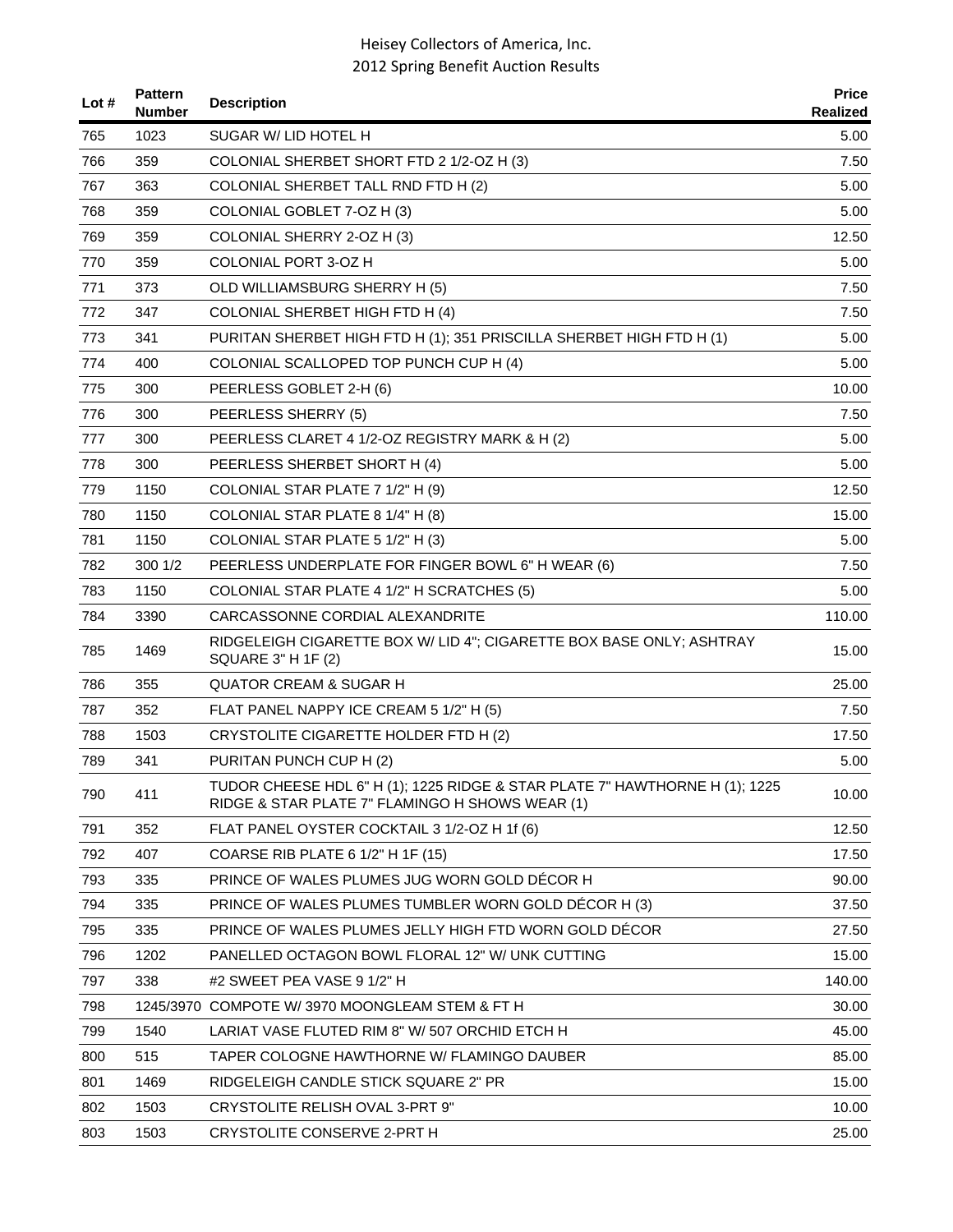| Lot # | <b>Pattern</b><br><b>Number</b> | <b>Description</b>                                                                                                             | <b>Price</b><br>Realized |
|-------|---------------------------------|--------------------------------------------------------------------------------------------------------------------------------|--------------------------|
| 765   | 1023                            | SUGAR W/ LID HOTEL H                                                                                                           | 5.00                     |
| 766   | 359                             | COLONIAL SHERBET SHORT FTD 2 1/2-OZ H (3)                                                                                      | 7.50                     |
| 767   | 363                             | COLONIAL SHERBET TALL RND FTD H (2)                                                                                            | 5.00                     |
| 768   | 359                             | COLONIAL GOBLET 7-OZ H (3)                                                                                                     | 5.00                     |
| 769   | 359                             | COLONIAL SHERRY 2-OZ H (3)                                                                                                     | 12.50                    |
| 770   | 359                             | COLONIAL PORT 3-OZ H                                                                                                           | 5.00                     |
| 771   | 373                             | OLD WILLIAMSBURG SHERRY H (5)                                                                                                  | 7.50                     |
| 772   | 347                             | COLONIAL SHERBET HIGH FTD H (4)                                                                                                | 7.50                     |
| 773   | 341                             | PURITAN SHERBET HIGH FTD H (1); 351 PRISCILLA SHERBET HIGH FTD H (1)                                                           | 5.00                     |
| 774   | 400                             | COLONIAL SCALLOPED TOP PUNCH CUP H (4)                                                                                         | 5.00                     |
| 775   | 300                             | PEERLESS GOBLET 2-H (6)                                                                                                        | 10.00                    |
| 776   | 300                             | PEERLESS SHERRY (5)                                                                                                            | 7.50                     |
| 777   | 300                             | PEERLESS CLARET 4 1/2-OZ REGISTRY MARK & H (2)                                                                                 | 5.00                     |
| 778   | 300                             | PEERLESS SHERBET SHORT H (4)                                                                                                   | 5.00                     |
| 779   | 1150                            | COLONIAL STAR PLATE 7 1/2" H (9)                                                                                               | 12.50                    |
| 780   | 1150                            | COLONIAL STAR PLATE 8 1/4" H (8)                                                                                               | 15.00                    |
| 781   | 1150                            | COLONIAL STAR PLATE 5 1/2" H (3)                                                                                               | 5.00                     |
| 782   | 300 1/2                         | PEERLESS UNDERPLATE FOR FINGER BOWL 6" H WEAR (6)                                                                              | 7.50                     |
| 783   | 1150                            | COLONIAL STAR PLATE 4 1/2" H SCRATCHES (5)                                                                                     | 5.00                     |
| 784   | 3390                            | CARCASSONNE CORDIAL ALEXANDRITE                                                                                                | 110.00                   |
| 785   | 1469                            | RIDGELEIGH CIGARETTE BOX W/ LID 4"; CIGARETTE BOX BASE ONLY; ASHTRAY<br>SQUARE 3" H 1F (2)                                     | 15.00                    |
| 786   | 355                             | <b>QUATOR CREAM &amp; SUGAR H</b>                                                                                              | 25.00                    |
| 787   | 352                             | FLAT PANEL NAPPY ICE CREAM 5 1/2" H (5)                                                                                        | 7.50                     |
| 788   | 1503                            | CRYSTOLITE CIGARETTE HOLDER FTD H (2)                                                                                          | 17.50                    |
| 789   | 341                             | PURITAN PUNCH CUP H (2)                                                                                                        | 5.00                     |
| 790   | 411                             | TUDOR CHEESE HDL 6" H (1); 1225 RIDGE & STAR PLATE 7" HAWTHORNE H (1); 1225<br>RIDGE & STAR PLATE 7" FLAMINGO H SHOWS WEAR (1) | 10.00                    |
| 791   | 352                             | FLAT PANEL OYSTER COCKTAIL 3 1/2-OZ H 1f (6)                                                                                   | 12.50                    |
| 792   | 407                             | COARSE RIB PLATE 6 1/2" H 1F (15)                                                                                              | 17.50                    |
| 793   | 335                             | PRINCE OF WALES PLUMES JUG WORN GOLD DECOR H                                                                                   | 90.00                    |
| 794   | 335                             | PRINCE OF WALES PLUMES TUMBLER WORN GOLD DÉCOR H (3)                                                                           | 37.50                    |
| 795   | 335                             | PRINCE OF WALES PLUMES JELLY HIGH FTD WORN GOLD DÉCOR                                                                          | 27.50                    |
| 796   | 1202                            | PANELLED OCTAGON BOWL FLORAL 12" W/ UNK CUTTING                                                                                | 15.00                    |
| 797   | 338                             | #2 SWEET PEA VASE 9 1/2" H                                                                                                     | 140.00                   |
| 798   |                                 | 1245/3970 COMPOTE W/ 3970 MOONGLEAM STEM & FT H                                                                                | 30.00                    |
| 799   | 1540                            | LARIAT VASE FLUTED RIM 8" W/ 507 ORCHID ETCH H                                                                                 | 45.00                    |
| 800   | 515                             | TAPER COLOGNE HAWTHORNE W/ FLAMINGO DAUBER                                                                                     | 85.00                    |
| 801   | 1469                            | RIDGELEIGH CANDLE STICK SQUARE 2" PR                                                                                           | 15.00                    |
| 802   | 1503                            | CRYSTOLITE RELISH OVAL 3-PRT 9"                                                                                                | 10.00                    |
| 803   | 1503                            | CRYSTOLITE CONSERVE 2-PRT H                                                                                                    | 25.00                    |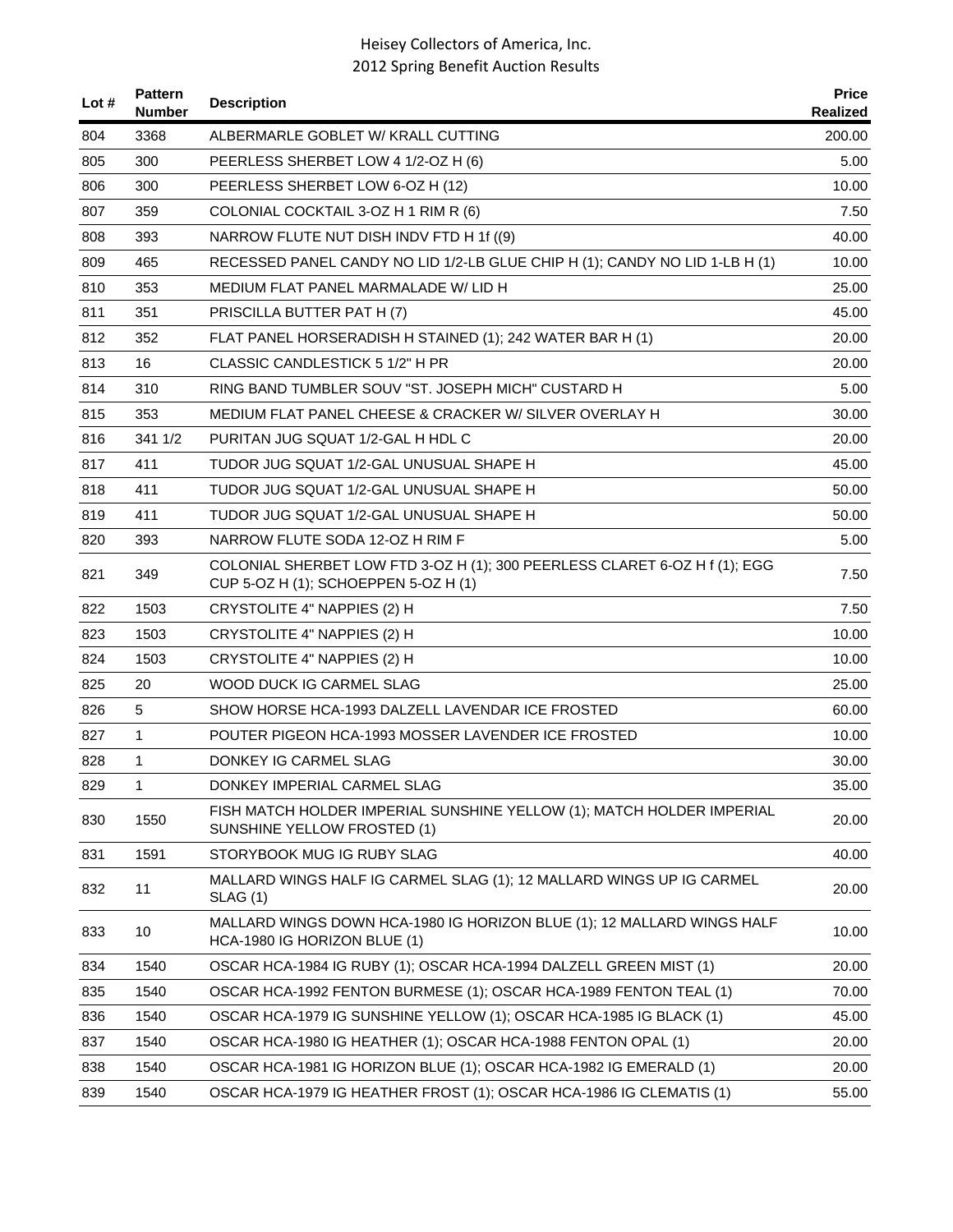| Lot # | <b>Pattern</b><br><b>Number</b> | <b>Description</b>                                                                                                 | <b>Price</b><br>Realized |
|-------|---------------------------------|--------------------------------------------------------------------------------------------------------------------|--------------------------|
| 804   | 3368                            | ALBERMARLE GOBLET W/ KRALL CUTTING                                                                                 | 200.00                   |
| 805   | 300                             | PEERLESS SHERBET LOW 4 1/2-OZ H (6)                                                                                | 5.00                     |
| 806   | 300                             | PEERLESS SHERBET LOW 6-OZ H (12)                                                                                   | 10.00                    |
| 807   | 359                             | COLONIAL COCKTAIL 3-OZ H 1 RIM R (6)                                                                               | 7.50                     |
| 808   | 393                             | NARROW FLUTE NUT DISH INDV FTD H 1f ((9)                                                                           | 40.00                    |
| 809   | 465                             | RECESSED PANEL CANDY NO LID 1/2-LB GLUE CHIP H (1); CANDY NO LID 1-LB H (1)                                        | 10.00                    |
| 810   | 353                             | MEDIUM FLAT PANEL MARMALADE W/LID H                                                                                | 25.00                    |
| 811   | 351                             | PRISCILLA BUTTER PAT H (7)                                                                                         | 45.00                    |
| 812   | 352                             | FLAT PANEL HORSERADISH H STAINED (1); 242 WATER BAR H (1)                                                          | 20.00                    |
| 813   | 16                              | CLASSIC CANDLESTICK 5 1/2" H PR                                                                                    | 20.00                    |
| 814   | 310                             | RING BAND TUMBLER SOUV "ST. JOSEPH MICH" CUSTARD H                                                                 | 5.00                     |
| 815   | 353                             | MEDIUM FLAT PANEL CHEESE & CRACKER W/ SILVER OVERLAY H                                                             | 30.00                    |
| 816   | 341 1/2                         | PURITAN JUG SQUAT 1/2-GAL H HDL C                                                                                  | 20.00                    |
| 817   | 411                             | TUDOR JUG SQUAT 1/2-GAL UNUSUAL SHAPE H                                                                            | 45.00                    |
| 818   | 411                             | TUDOR JUG SQUAT 1/2-GAL UNUSUAL SHAPE H                                                                            | 50.00                    |
| 819   | 411                             | TUDOR JUG SQUAT 1/2-GAL UNUSUAL SHAPE H                                                                            | 50.00                    |
| 820   | 393                             | NARROW FLUTE SODA 12-OZ H RIM F                                                                                    | 5.00                     |
| 821   | 349                             | COLONIAL SHERBET LOW FTD 3-OZ H (1); 300 PEERLESS CLARET 6-OZ H f (1); EGG<br>CUP 5-OZ H (1); SCHOEPPEN 5-OZ H (1) | 7.50                     |
| 822   | 1503                            | CRYSTOLITE 4" NAPPIES (2) H                                                                                        | 7.50                     |
| 823   | 1503                            | CRYSTOLITE 4" NAPPIES (2) H                                                                                        | 10.00                    |
| 824   | 1503                            | CRYSTOLITE 4" NAPPIES (2) H                                                                                        | 10.00                    |
| 825   | 20                              | WOOD DUCK IG CARMEL SLAG                                                                                           | 25.00                    |
| 826   | 5                               | SHOW HORSE HCA-1993 DALZELL LAVENDAR ICE FROSTED                                                                   | 60.00                    |
| 827   | $\mathbf{1}$                    | POUTER PIGEON HCA-1993 MOSSER LAVENDER ICE FROSTED                                                                 | 10.00                    |
| 828   | 1                               | DONKEY IG CARMEL SLAG                                                                                              | 30.00                    |
| 829   | 1                               | DONKEY IMPERIAL CARMEL SLAG                                                                                        | 35.00                    |
| 830   | 1550                            | FISH MATCH HOLDER IMPERIAL SUNSHINE YELLOW (1); MATCH HOLDER IMPERIAL<br>SUNSHINE YELLOW FROSTED (1)               | 20.00                    |
| 831   | 1591                            | STORYBOOK MUG IG RUBY SLAG                                                                                         | 40.00                    |
| 832   | 11                              | MALLARD WINGS HALF IG CARMEL SLAG (1); 12 MALLARD WINGS UP IG CARMEL<br><b>SLAG</b> (1)                            | 20.00                    |
| 833   | 10                              | MALLARD WINGS DOWN HCA-1980 IG HORIZON BLUE (1); 12 MALLARD WINGS HALF<br>HCA-1980 IG HORIZON BLUE (1)             | 10.00                    |
| 834   | 1540                            | OSCAR HCA-1984 IG RUBY (1); OSCAR HCA-1994 DALZELL GREEN MIST (1)                                                  | 20.00                    |
| 835   | 1540                            | OSCAR HCA-1992 FENTON BURMESE (1); OSCAR HCA-1989 FENTON TEAL (1)                                                  | 70.00                    |
| 836   | 1540                            | OSCAR HCA-1979 IG SUNSHINE YELLOW (1); OSCAR HCA-1985 IG BLACK (1)                                                 | 45.00                    |
| 837   | 1540                            | OSCAR HCA-1980 IG HEATHER (1); OSCAR HCA-1988 FENTON OPAL (1)                                                      | 20.00                    |
| 838   | 1540                            | OSCAR HCA-1981 IG HORIZON BLUE (1); OSCAR HCA-1982 IG EMERALD (1)                                                  | 20.00                    |
| 839   | 1540                            | OSCAR HCA-1979 IG HEATHER FROST (1); OSCAR HCA-1986 IG CLEMATIS (1)                                                | 55.00                    |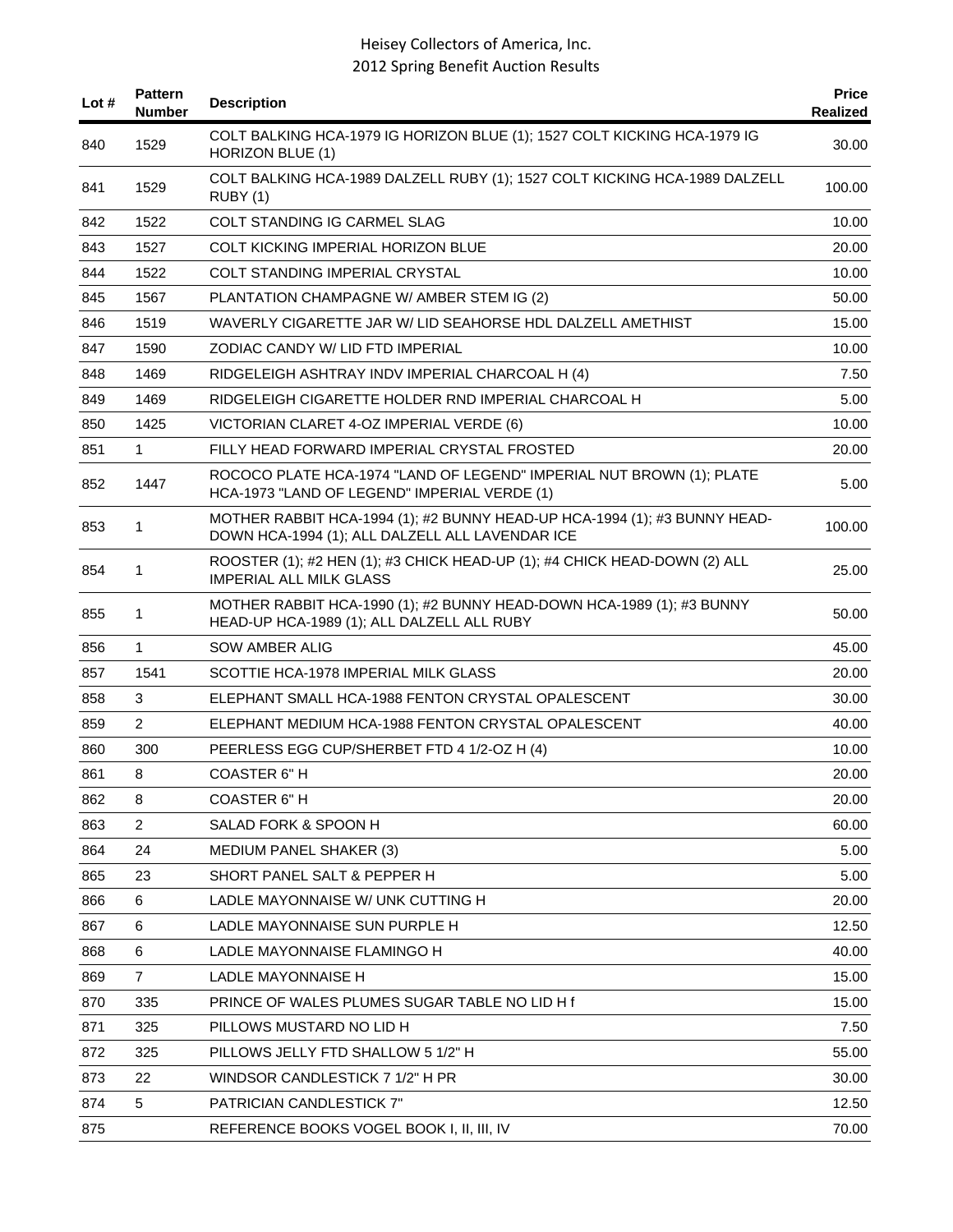| Lot # | <b>Pattern</b><br><b>Number</b> | <b>Description</b>                                                                                                           | <b>Price</b><br><b>Realized</b> |
|-------|---------------------------------|------------------------------------------------------------------------------------------------------------------------------|---------------------------------|
| 840   | 1529                            | COLT BALKING HCA-1979 IG HORIZON BLUE (1); 1527 COLT KICKING HCA-1979 IG<br><b>HORIZON BLUE (1)</b>                          | 30.00                           |
| 841   | 1529                            | COLT BALKING HCA-1989 DALZELL RUBY (1); 1527 COLT KICKING HCA-1989 DALZELL<br>RUBY (1)                                       | 100.00                          |
| 842   | 1522                            | COLT STANDING IG CARMEL SLAG                                                                                                 | 10.00                           |
| 843   | 1527                            | COLT KICKING IMPERIAL HORIZON BLUE                                                                                           | 20.00                           |
| 844   | 1522                            | <b>COLT STANDING IMPERIAL CRYSTAL</b>                                                                                        | 10.00                           |
| 845   | 1567                            | PLANTATION CHAMPAGNE W/ AMBER STEM IG (2)                                                                                    | 50.00                           |
| 846   | 1519                            | WAVERLY CIGARETTE JAR W/ LID SEAHORSE HDL DALZELL AMETHIST                                                                   | 15.00                           |
| 847   | 1590                            | ZODIAC CANDY W/ LID FTD IMPERIAL                                                                                             | 10.00                           |
| 848   | 1469                            | RIDGELEIGH ASHTRAY INDV IMPERIAL CHARCOAL H (4)                                                                              | 7.50                            |
| 849   | 1469                            | RIDGELEIGH CIGARETTE HOLDER RND IMPERIAL CHARCOAL H                                                                          | 5.00                            |
| 850   | 1425                            | VICTORIAN CLARET 4-OZ IMPERIAL VERDE (6)                                                                                     | 10.00                           |
| 851   | $\mathbf{1}$                    | FILLY HEAD FORWARD IMPERIAL CRYSTAL FROSTED                                                                                  | 20.00                           |
| 852   | 1447                            | ROCOCO PLATE HCA-1974 "LAND OF LEGEND" IMPERIAL NUT BROWN (1); PLATE<br>HCA-1973 "LAND OF LEGEND" IMPERIAL VERDE (1)         | 5.00                            |
| 853   | 1                               | MOTHER RABBIT HCA-1994 (1); #2 BUNNY HEAD-UP HCA-1994 (1); #3 BUNNY HEAD-<br>DOWN HCA-1994 (1); ALL DALZELL ALL LAVENDAR ICE | 100.00                          |
| 854   | 1                               | ROOSTER (1); #2 HEN (1); #3 CHICK HEAD-UP (1); #4 CHICK HEAD-DOWN (2) ALL<br><b>IMPERIAL ALL MILK GLASS</b>                  | 25.00                           |
| 855   | 1                               | MOTHER RABBIT HCA-1990 (1); #2 BUNNY HEAD-DOWN HCA-1989 (1); #3 BUNNY<br>HEAD-UP HCA-1989 (1); ALL DALZELL ALL RUBY          | 50.00                           |
| 856   | 1                               | <b>SOW AMBER ALIG</b>                                                                                                        | 45.00                           |
| 857   | 1541                            | SCOTTIE HCA-1978 IMPERIAL MILK GLASS                                                                                         | 20.00                           |
| 858   | 3                               | ELEPHANT SMALL HCA-1988 FENTON CRYSTAL OPALESCENT                                                                            | 30.00                           |
| 859   | $\overline{2}$                  | ELEPHANT MEDIUM HCA-1988 FENTON CRYSTAL OPALESCENT                                                                           | 40.00                           |
| 860   | 300                             | PEERLESS EGG CUP/SHERBET FTD 4 1/2-OZ H (4)                                                                                  | 10.00                           |
| 861   | 8                               | <b>COASTER 6" H</b>                                                                                                          | 20.00                           |
| 862   | 8                               | <b>COASTER 6" H</b>                                                                                                          | 20.00                           |
| 863   | $\overline{2}$                  | SALAD FORK & SPOON H                                                                                                         | 60.00                           |
| 864   | 24                              | <b>MEDIUM PANEL SHAKER (3)</b>                                                                                               | 5.00                            |
| 865   | 23                              | SHORT PANEL SALT & PEPPER H                                                                                                  | 5.00                            |
| 866   | 6                               | LADLE MAYONNAISE W/ UNK CUTTING H                                                                                            | 20.00                           |
| 867   | 6                               | LADLE MAYONNAISE SUN PURPLE H                                                                                                | 12.50                           |
| 868   | 6                               | LADLE MAYONNAISE FLAMINGO H                                                                                                  | 40.00                           |
| 869   | $\overline{7}$                  | <b>LADLE MAYONNAISE H</b>                                                                                                    | 15.00                           |
| 870   | 335                             | PRINCE OF WALES PLUMES SUGAR TABLE NO LID H f                                                                                | 15.00                           |
| 871   | 325                             | PILLOWS MUSTARD NO LID H                                                                                                     | 7.50                            |
| 872   | 325                             | PILLOWS JELLY FTD SHALLOW 5 1/2" H                                                                                           | 55.00                           |
| 873   | 22                              | WINDSOR CANDLESTICK 7 1/2" H PR                                                                                              | 30.00                           |
| 874   | 5                               | PATRICIAN CANDLESTICK 7"                                                                                                     | 12.50                           |
| 875   |                                 | REFERENCE BOOKS VOGEL BOOK I, II, III, IV                                                                                    | 70.00                           |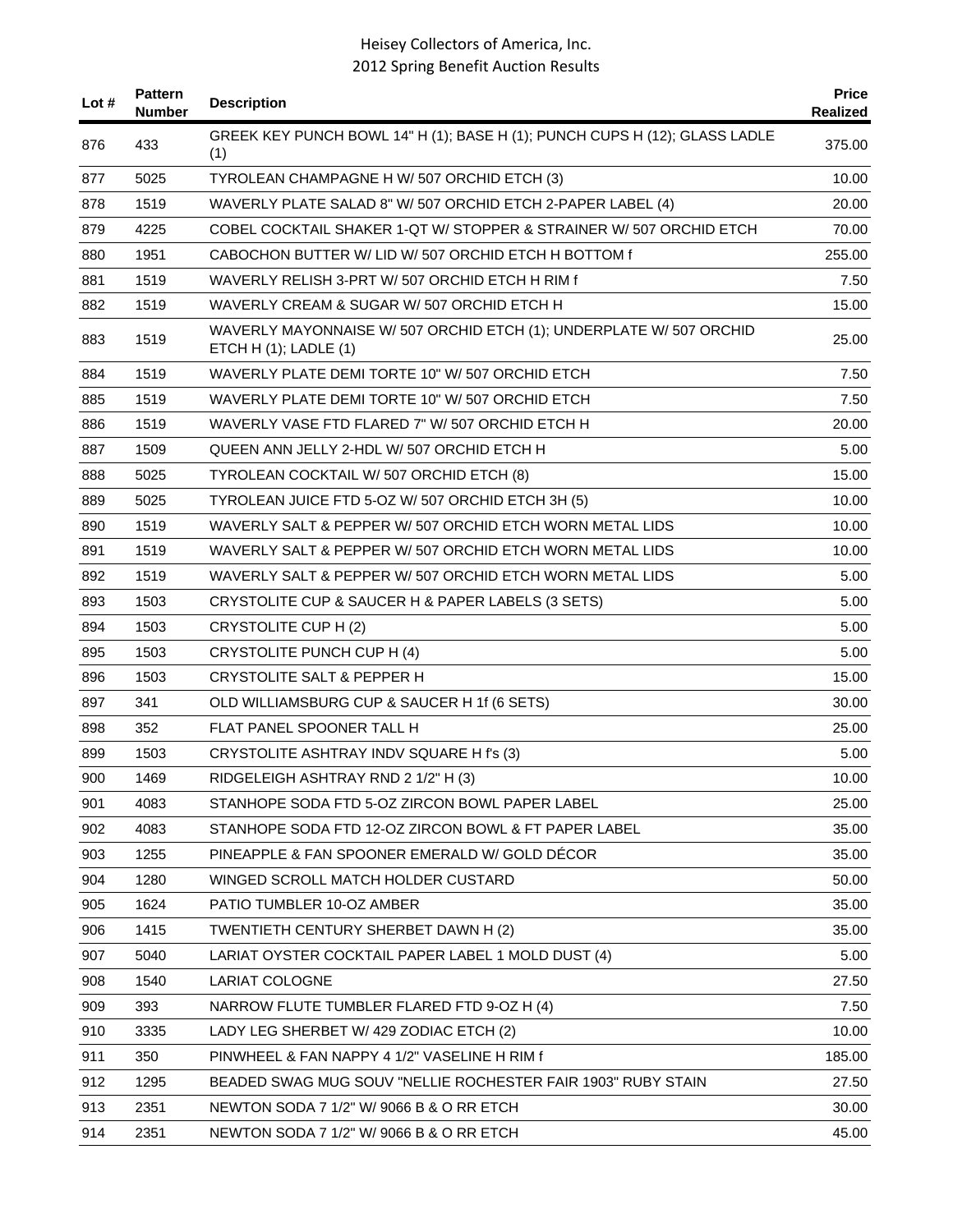| Lot # | <b>Pattern</b><br><b>Number</b> | <b>Description</b>                                                                                | <b>Price</b><br>Realized |
|-------|---------------------------------|---------------------------------------------------------------------------------------------------|--------------------------|
| 876   | 433                             | GREEK KEY PUNCH BOWL 14" H (1); BASE H (1); PUNCH CUPS H (12); GLASS LADLE<br>(1)                 | 375.00                   |
| 877   | 5025                            | TYROLEAN CHAMPAGNE H W/ 507 ORCHID ETCH (3)                                                       | 10.00                    |
| 878   | 1519                            | WAVERLY PLATE SALAD 8" W/ 507 ORCHID ETCH 2-PAPER LABEL (4)                                       | 20.00                    |
| 879   | 4225                            | COBEL COCKTAIL SHAKER 1-QT W/ STOPPER & STRAINER W/ 507 ORCHID ETCH                               | 70.00                    |
| 880   | 1951                            | CABOCHON BUTTER W/ LID W/ 507 ORCHID ETCH H BOTTOM f                                              | 255.00                   |
| 881   | 1519                            | WAVERLY RELISH 3-PRT W/507 ORCHID ETCH H RIM f                                                    | 7.50                     |
| 882   | 1519                            | WAVERLY CREAM & SUGAR W/507 ORCHID ETCH H                                                         | 15.00                    |
| 883   | 1519                            | WAVERLY MAYONNAISE W/ 507 ORCHID ETCH (1); UNDERPLATE W/ 507 ORCHID<br>ETCH H $(1)$ ; LADLE $(1)$ | 25.00                    |
| 884   | 1519                            | WAVERLY PLATE DEMI TORTE 10" W/ 507 ORCHID ETCH                                                   | 7.50                     |
| 885   | 1519                            | WAVERLY PLATE DEMI TORTE 10" W/ 507 ORCHID ETCH                                                   | 7.50                     |
| 886   | 1519                            | WAVERLY VASE FTD FLARED 7" W/ 507 ORCHID ETCH H                                                   | 20.00                    |
| 887   | 1509                            | QUEEN ANN JELLY 2-HDL W/ 507 ORCHID ETCH H                                                        | 5.00                     |
| 888   | 5025                            | TYROLEAN COCKTAIL W/ 507 ORCHID ETCH (8)                                                          | 15.00                    |
| 889   | 5025                            | TYROLEAN JUICE FTD 5-OZ W/ 507 ORCHID ETCH 3H (5)                                                 | 10.00                    |
| 890   | 1519                            | WAVERLY SALT & PEPPER W/ 507 ORCHID ETCH WORN METAL LIDS                                          | 10.00                    |
| 891   | 1519                            | WAVERLY SALT & PEPPER W/ 507 ORCHID ETCH WORN METAL LIDS                                          | 10.00                    |
| 892   | 1519                            | WAVERLY SALT & PEPPER W/ 507 ORCHID ETCH WORN METAL LIDS                                          | 5.00                     |
| 893   | 1503                            | CRYSTOLITE CUP & SAUCER H & PAPER LABELS (3 SETS)                                                 | 5.00                     |
| 894   | 1503                            | CRYSTOLITE CUP H (2)                                                                              | 5.00                     |
| 895   | 1503                            | CRYSTOLITE PUNCH CUP H (4)                                                                        | 5.00                     |
| 896   | 1503                            | <b>CRYSTOLITE SALT &amp; PEPPER H</b>                                                             | 15.00                    |
| 897   | 341                             | OLD WILLIAMSBURG CUP & SAUCER H 1f (6 SETS)                                                       | 30.00                    |
| 898   | 352                             | FLAT PANEL SPOONER TALL H                                                                         | 25.00                    |
| 899   | 1503                            | CRYSTOLITE ASHTRAY INDV SQUARE H f's (3)                                                          | 5.00                     |
| 900   | 1469                            | RIDGELEIGH ASHTRAY RND 2 1/2" H (3)                                                               | 10.00                    |
| 901   | 4083                            | STANHOPE SODA FTD 5-OZ ZIRCON BOWL PAPER LABEL                                                    | 25.00                    |
| 902   | 4083                            | STANHOPE SODA FTD 12-OZ ZIRCON BOWL & FT PAPER LABEL                                              | 35.00                    |
| 903   | 1255                            | PINEAPPLE & FAN SPOONER EMERALD W/ GOLD DECOR                                                     | 35.00                    |
| 904   | 1280                            | WINGED SCROLL MATCH HOLDER CUSTARD                                                                | 50.00                    |
| 905   | 1624                            | PATIO TUMBLER 10-OZ AMBER                                                                         | 35.00                    |
| 906   | 1415                            | TWENTIETH CENTURY SHERBET DAWN H (2)                                                              | 35.00                    |
| 907   | 5040                            | LARIAT OYSTER COCKTAIL PAPER LABEL 1 MOLD DUST (4)                                                | 5.00                     |
| 908   | 1540                            | <b>LARIAT COLOGNE</b>                                                                             | 27.50                    |
| 909   | 393                             | NARROW FLUTE TUMBLER FLARED FTD 9-OZ H (4)                                                        | 7.50                     |
| 910   | 3335                            | LADY LEG SHERBET W/ 429 ZODIAC ETCH (2)                                                           | 10.00                    |
| 911   | 350                             | PINWHEEL & FAN NAPPY 4 1/2" VASELINE H RIM f                                                      | 185.00                   |
| 912   | 1295                            | BEADED SWAG MUG SOUV "NELLIE ROCHESTER FAIR 1903" RUBY STAIN                                      | 27.50                    |
| 913   | 2351                            | NEWTON SODA 7 1/2" W/ 9066 B & O RR ETCH                                                          | 30.00                    |
| 914   | 2351                            | NEWTON SODA 7 1/2" W/ 9066 B & O RR ETCH                                                          | 45.00                    |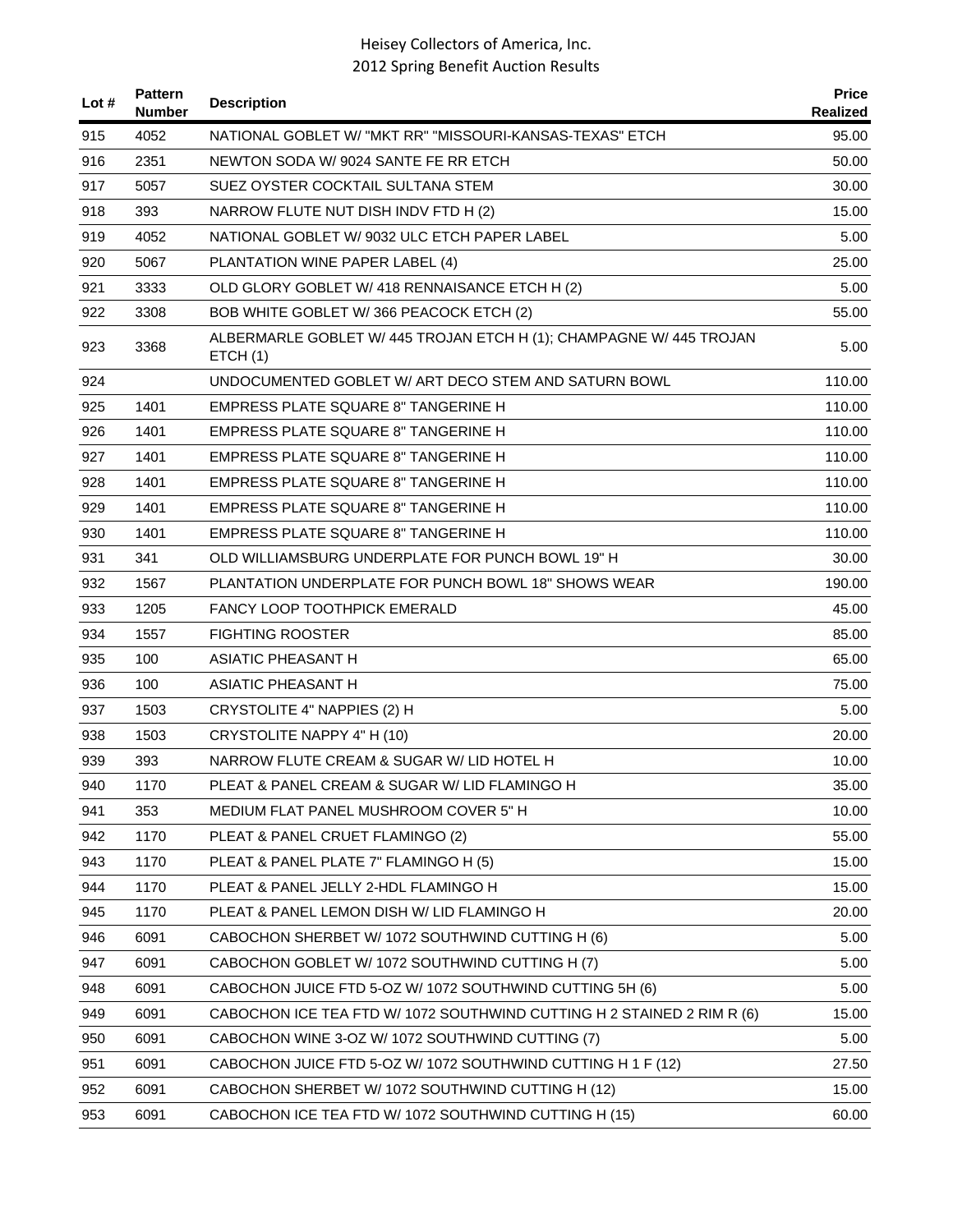| Lot # | <b>Pattern</b><br><b>Number</b> | <b>Description</b>                                                             | <b>Price</b><br>Realized |
|-------|---------------------------------|--------------------------------------------------------------------------------|--------------------------|
| 915   | 4052                            | NATIONAL GOBLET W/ "MKT RR" "MISSOURI-KANSAS-TEXAS" ETCH                       | 95.00                    |
| 916   | 2351                            | NEWTON SODA W/ 9024 SANTE FE RR ETCH                                           | 50.00                    |
| 917   | 5057                            | SUEZ OYSTER COCKTAIL SULTANA STEM                                              | 30.00                    |
| 918   | 393                             | NARROW FLUTE NUT DISH INDV FTD H (2)                                           | 15.00                    |
| 919   | 4052                            | NATIONAL GOBLET W/ 9032 ULC ETCH PAPER LABEL                                   | 5.00                     |
| 920   | 5067                            | PLANTATION WINE PAPER LABEL (4)                                                | 25.00                    |
| 921   | 3333                            | OLD GLORY GOBLET W/ 418 RENNAISANCE ETCH H (2)                                 | 5.00                     |
| 922   | 3308                            | BOB WHITE GOBLET W/366 PEACOCK ETCH (2)                                        | 55.00                    |
| 923   | 3368                            | ALBERMARLE GOBLET W/ 445 TROJAN ETCH H (1); CHAMPAGNE W/ 445 TROJAN<br>ETCH(1) | 5.00                     |
| 924   |                                 | UNDOCUMENTED GOBLET W/ ART DECO STEM AND SATURN BOWL                           | 110.00                   |
| 925   | 1401                            | <b>EMPRESS PLATE SQUARE 8" TANGERINE H</b>                                     | 110.00                   |
| 926   | 1401                            | EMPRESS PLATE SQUARE 8" TANGERINE H                                            | 110.00                   |
| 927   | 1401                            | EMPRESS PLATE SQUARE 8" TANGERINE H                                            | 110.00                   |
| 928   | 1401                            | <b>EMPRESS PLATE SQUARE 8" TANGERINE H</b>                                     | 110.00                   |
| 929   | 1401                            | <b>EMPRESS PLATE SQUARE 8" TANGERINE H</b>                                     | 110.00                   |
| 930   | 1401                            | <b>EMPRESS PLATE SQUARE 8" TANGERINE H</b>                                     | 110.00                   |
| 931   | 341                             | OLD WILLIAMSBURG UNDERPLATE FOR PUNCH BOWL 19" H                               | 30.00                    |
| 932   | 1567                            | PLANTATION UNDERPLATE FOR PUNCH BOWL 18" SHOWS WEAR                            | 190.00                   |
| 933   | 1205                            | FANCY LOOP TOOTHPICK EMERALD                                                   | 45.00                    |
| 934   | 1557                            | <b>FIGHTING ROOSTER</b>                                                        | 85.00                    |
| 935   | 100                             | <b>ASIATIC PHEASANT H</b>                                                      | 65.00                    |
| 936   | 100                             | <b>ASIATIC PHEASANT H</b>                                                      | 75.00                    |
| 937   | 1503                            | CRYSTOLITE 4" NAPPIES (2) H                                                    | 5.00                     |
| 938   | 1503                            | CRYSTOLITE NAPPY 4" H (10)                                                     | 20.00                    |
| 939   | 393                             | NARROW FLUTE CREAM & SUGAR W/ LID HOTEL H                                      | 10.00                    |
| 940   | 1170                            | PLEAT & PANEL CREAM & SUGAR W/ LID FLAMINGO H                                  | 35.00                    |
| 941   | 353                             | MEDIUM FLAT PANEL MUSHROOM COVER 5" H                                          | 10.00                    |
| 942   | 1170                            | PLEAT & PANEL CRUET FLAMINGO (2)                                               | 55.00                    |
| 943   | 1170                            | PLEAT & PANEL PLATE 7" FLAMINGO H (5)                                          | 15.00                    |
| 944   | 1170                            | PLEAT & PANEL JELLY 2-HDL FLAMINGO H                                           | 15.00                    |
| 945   | 1170                            | PLEAT & PANEL LEMON DISH W/ LID FLAMINGO H                                     | 20.00                    |
| 946   | 6091                            | CABOCHON SHERBET W/ 1072 SOUTHWIND CUTTING H (6)                               | 5.00                     |
| 947   | 6091                            | CABOCHON GOBLET W/ 1072 SOUTHWIND CUTTING H (7)                                | 5.00                     |
| 948   | 6091                            | CABOCHON JUICE FTD 5-OZ W/ 1072 SOUTHWIND CUTTING 5H (6)                       | 5.00                     |
| 949   | 6091                            | CABOCHON ICE TEA FTD W/ 1072 SOUTHWIND CUTTING H 2 STAINED 2 RIM R (6)         | 15.00                    |
| 950   | 6091                            | CABOCHON WINE 3-OZ W/ 1072 SOUTHWIND CUTTING (7)                               | 5.00                     |
| 951   | 6091                            | CABOCHON JUICE FTD 5-OZ W/ 1072 SOUTHWIND CUTTING H 1 F (12)                   | 27.50                    |
| 952   | 6091                            | CABOCHON SHERBET W/ 1072 SOUTHWIND CUTTING H (12)                              | 15.00                    |
| 953   | 6091                            | CABOCHON ICE TEA FTD W/ 1072 SOUTHWIND CUTTING H (15)                          | 60.00                    |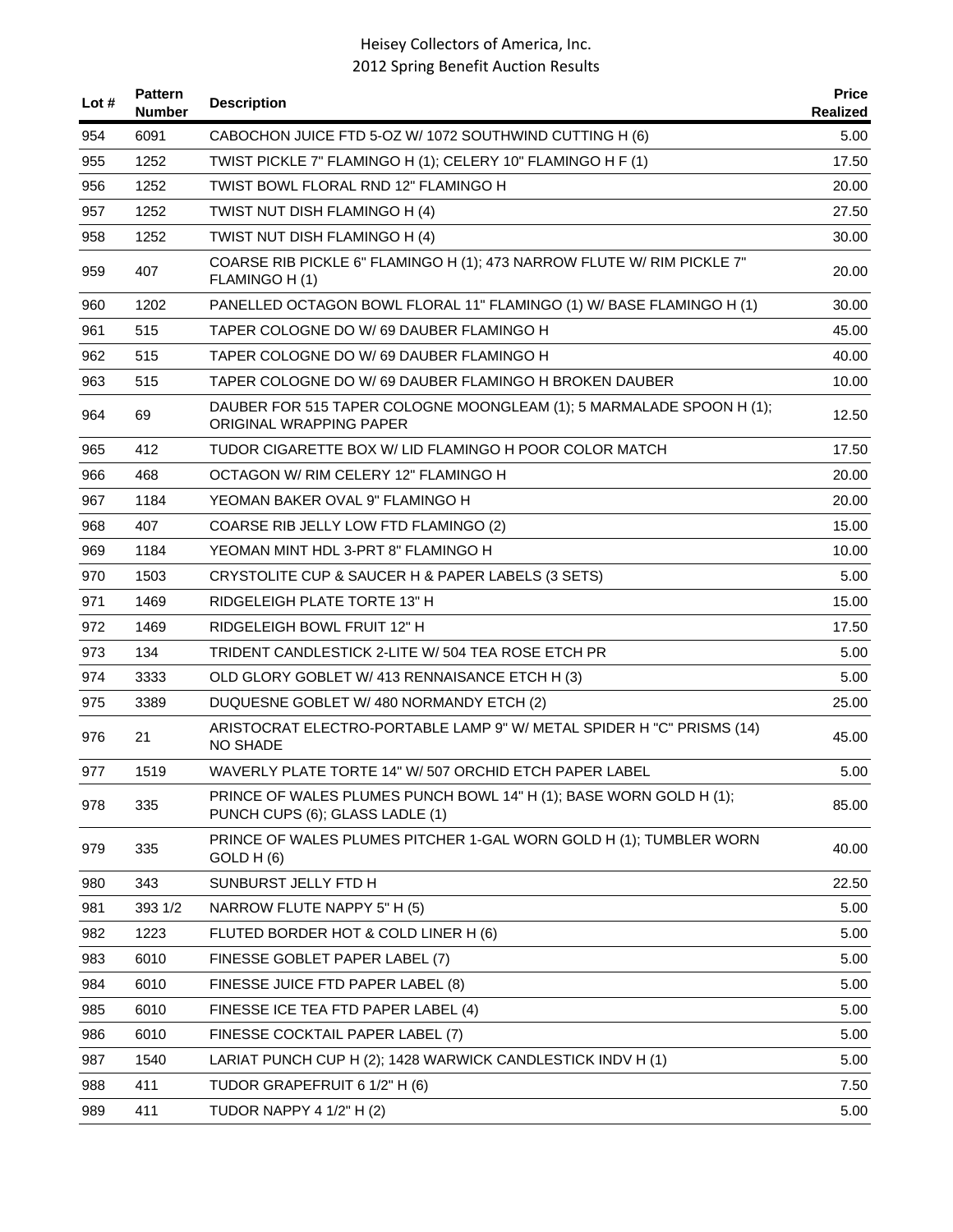| Lot $#$ | <b>Pattern</b><br><b>Number</b> | <b>Description</b>                                                                                    | <b>Price</b><br>Realized |
|---------|---------------------------------|-------------------------------------------------------------------------------------------------------|--------------------------|
| 954     | 6091                            | CABOCHON JUICE FTD 5-OZ W/ 1072 SOUTHWIND CUTTING H (6)                                               | 5.00                     |
| 955     | 1252                            | TWIST PICKLE 7" FLAMINGO H (1); CELERY 10" FLAMINGO H F (1)                                           | 17.50                    |
| 956     | 1252                            | TWIST BOWL FLORAL RND 12" FLAMINGO H                                                                  | 20.00                    |
| 957     | 1252                            | TWIST NUT DISH FLAMINGO H (4)                                                                         | 27.50                    |
| 958     | 1252                            | TWIST NUT DISH FLAMINGO H (4)                                                                         | 30.00                    |
| 959     | 407                             | COARSE RIB PICKLE 6" FLAMINGO H (1); 473 NARROW FLUTE W/ RIM PICKLE 7"<br>FLAMINGO H (1)              | 20.00                    |
| 960     | 1202                            | PANELLED OCTAGON BOWL FLORAL 11" FLAMINGO (1) W/ BASE FLAMINGO H (1)                                  | 30.00                    |
| 961     | 515                             | TAPER COLOGNE DO W/69 DAUBER FLAMINGO H                                                               | 45.00                    |
| 962     | 515                             | TAPER COLOGNE DO W/69 DAUBER FLAMINGO H                                                               | 40.00                    |
| 963     | 515                             | TAPER COLOGNE DO W/69 DAUBER FLAMINGO H BROKEN DAUBER                                                 | 10.00                    |
| 964     | 69                              | DAUBER FOR 515 TAPER COLOGNE MOONGLEAM (1); 5 MARMALADE SPOON H (1);<br>ORIGINAL WRAPPING PAPER       | 12.50                    |
| 965     | 412                             | TUDOR CIGARETTE BOX W/ LID FLAMINGO H POOR COLOR MATCH                                                | 17.50                    |
| 966     | 468                             | OCTAGON W/ RIM CELERY 12" FLAMINGO H                                                                  | 20.00                    |
| 967     | 1184                            | YEOMAN BAKER OVAL 9" FLAMINGO H                                                                       | 20.00                    |
| 968     | 407                             | COARSE RIB JELLY LOW FTD FLAMINGO (2)                                                                 | 15.00                    |
| 969     | 1184                            | YEOMAN MINT HDL 3-PRT 8" FLAMINGO H                                                                   | 10.00                    |
| 970     | 1503                            | CRYSTOLITE CUP & SAUCER H & PAPER LABELS (3 SETS)                                                     | 5.00                     |
| 971     | 1469                            | RIDGELEIGH PLATE TORTE 13" H                                                                          | 15.00                    |
| 972     | 1469                            | RIDGELEIGH BOWL FRUIT 12" H                                                                           | 17.50                    |
| 973     | 134                             | TRIDENT CANDLESTICK 2-LITE W/ 504 TEA ROSE ETCH PR                                                    | 5.00                     |
| 974     | 3333                            | OLD GLORY GOBLET W/ 413 RENNAISANCE ETCH H (3)                                                        | 5.00                     |
| 975     | 3389                            | DUQUESNE GOBLET W/ 480 NORMANDY ETCH (2)                                                              | 25.00                    |
| 976     | 21                              | ARISTOCRAT ELECTRO-PORTABLE LAMP 9" W/ METAL SPIDER H "C" PRISMS (14)<br><b>NO SHADE</b>              | 45.00                    |
| 977     | 1519                            | WAVERLY PLATE TORTE 14" W/ 507 ORCHID ETCH PAPER LABEL                                                | 5.00                     |
| 978     | 335                             | PRINCE OF WALES PLUMES PUNCH BOWL 14" H (1); BASE WORN GOLD H (1);<br>PUNCH CUPS (6); GLASS LADLE (1) | 85.00                    |
| 979     | 335                             | PRINCE OF WALES PLUMES PITCHER 1-GAL WORN GOLD H (1); TUMBLER WORN<br>GOLD H (6)                      | 40.00                    |
| 980     | 343                             | SUNBURST JELLY FTD H                                                                                  | 22.50                    |
| 981     | 393 1/2                         | NARROW FLUTE NAPPY 5" H (5)                                                                           | 5.00                     |
| 982     | 1223                            | FLUTED BORDER HOT & COLD LINER H (6)                                                                  | 5.00                     |
| 983     | 6010                            | FINESSE GOBLET PAPER LABEL (7)                                                                        | 5.00                     |
| 984     | 6010                            | FINESSE JUICE FTD PAPER LABEL (8)                                                                     | 5.00                     |
| 985     | 6010                            | FINESSE ICE TEA FTD PAPER LABEL (4)                                                                   | 5.00                     |
| 986     | 6010                            | FINESSE COCKTAIL PAPER LABEL (7)                                                                      | 5.00                     |
| 987     | 1540                            | LARIAT PUNCH CUP H (2); 1428 WARWICK CANDLESTICK INDV H (1)                                           | 5.00                     |
| 988     | 411                             | TUDOR GRAPEFRUIT 6 1/2" H (6)                                                                         | 7.50                     |
| 989     | 411                             | <b>TUDOR NAPPY 4 1/2" H (2)</b>                                                                       | 5.00                     |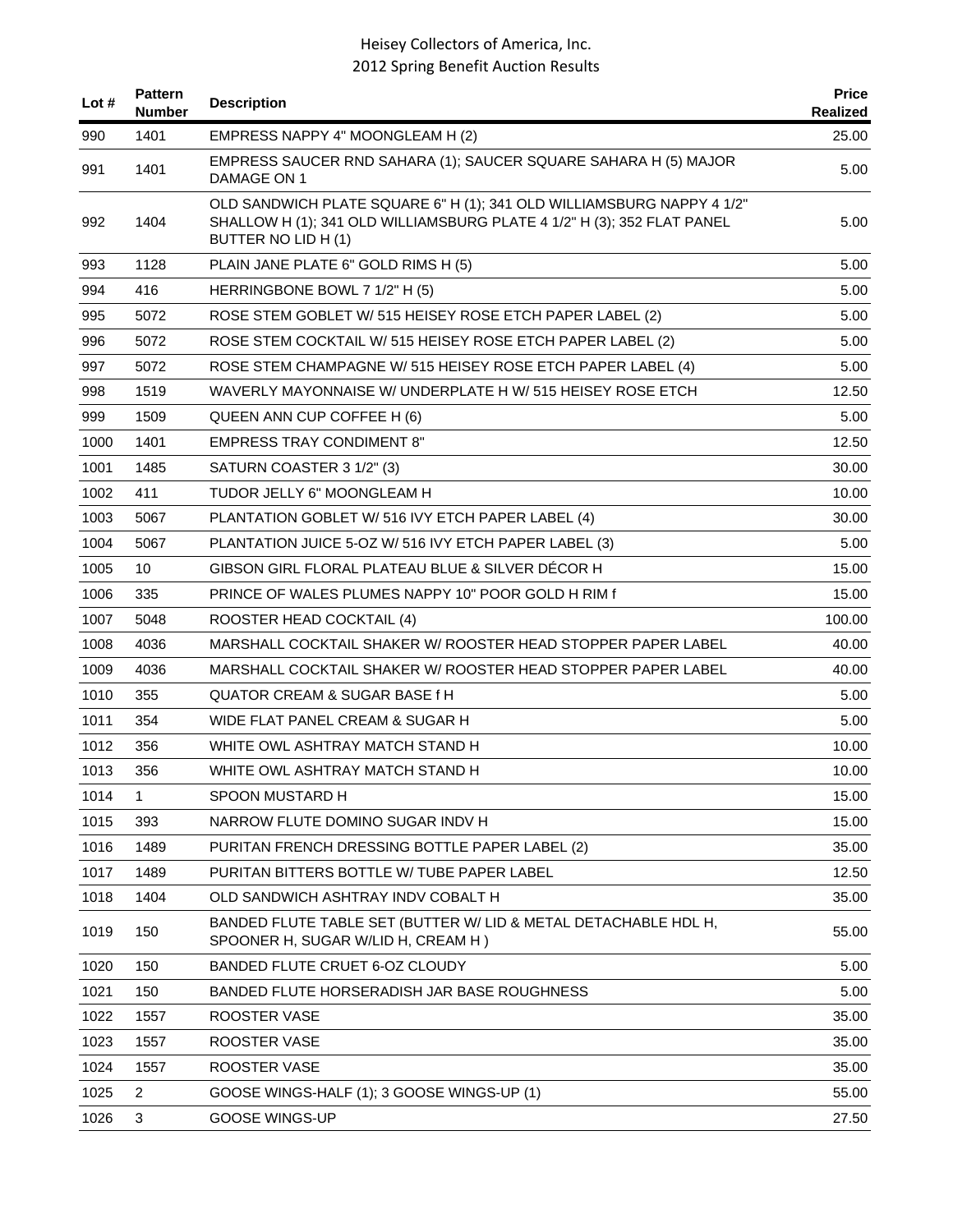| Lot $#$ | <b>Pattern</b><br>Number | <b>Description</b>                                                                                                                                                     | <b>Price</b><br>Realized |
|---------|--------------------------|------------------------------------------------------------------------------------------------------------------------------------------------------------------------|--------------------------|
| 990     | 1401                     | EMPRESS NAPPY 4" MOONGLEAM H (2)                                                                                                                                       | 25.00                    |
| 991     | 1401                     | EMPRESS SAUCER RND SAHARA (1); SAUCER SQUARE SAHARA H (5) MAJOR<br>DAMAGE ON 1                                                                                         | 5.00                     |
| 992     | 1404                     | OLD SANDWICH PLATE SQUARE 6" H (1); 341 OLD WILLIAMSBURG NAPPY 4 1/2"<br>SHALLOW H (1); 341 OLD WILLIAMSBURG PLATE 4 1/2" H (3); 352 FLAT PANEL<br>BUTTER NO LID H (1) | 5.00                     |
| 993     | 1128                     | PLAIN JANE PLATE 6" GOLD RIMS H (5)                                                                                                                                    | 5.00                     |
| 994     | 416                      | HERRINGBONE BOWL 7 1/2" H (5)                                                                                                                                          | 5.00                     |
| 995     | 5072                     | ROSE STEM GOBLET W/ 515 HEISEY ROSE ETCH PAPER LABEL (2)                                                                                                               | 5.00                     |
| 996     | 5072                     | ROSE STEM COCKTAIL W/ 515 HEISEY ROSE ETCH PAPER LABEL (2)                                                                                                             | 5.00                     |
| 997     | 5072                     | ROSE STEM CHAMPAGNE W/ 515 HEISEY ROSE ETCH PAPER LABEL (4)                                                                                                            | 5.00                     |
| 998     | 1519                     | WAVERLY MAYONNAISE W/ UNDERPLATE H W/ 515 HEISEY ROSE ETCH                                                                                                             | 12.50                    |
| 999     | 1509                     | QUEEN ANN CUP COFFEE H (6)                                                                                                                                             | 5.00                     |
| 1000    | 1401                     | <b>EMPRESS TRAY CONDIMENT 8"</b>                                                                                                                                       | 12.50                    |
| 1001    | 1485                     | SATURN COASTER 3 1/2" (3)                                                                                                                                              | 30.00                    |
| 1002    | 411                      | TUDOR JELLY 6" MOONGLEAM H                                                                                                                                             | 10.00                    |
| 1003    | 5067                     | PLANTATION GOBLET W/ 516 IVY ETCH PAPER LABEL (4)                                                                                                                      | 30.00                    |
| 1004    | 5067                     | PLANTATION JUICE 5-OZ W/ 516 IVY ETCH PAPER LABEL (3)                                                                                                                  | 5.00                     |
| 1005    | 10                       | GIBSON GIRL FLORAL PLATEAU BLUE & SILVER DECOR H                                                                                                                       | 15.00                    |
| 1006    | 335                      | PRINCE OF WALES PLUMES NAPPY 10" POOR GOLD H RIM f                                                                                                                     | 15.00                    |
| 1007    | 5048                     | ROOSTER HEAD COCKTAIL (4)                                                                                                                                              | 100.00                   |
| 1008    | 4036                     | MARSHALL COCKTAIL SHAKER W/ ROOSTER HEAD STOPPER PAPER LABEL                                                                                                           | 40.00                    |
| 1009    | 4036                     | MARSHALL COCKTAIL SHAKER W/ ROOSTER HEAD STOPPER PAPER LABEL                                                                                                           | 40.00                    |
| 1010    | 355                      | QUATOR CREAM & SUGAR BASE f H                                                                                                                                          | 5.00                     |
| 1011    | 354                      | WIDE FLAT PANEL CREAM & SUGAR H                                                                                                                                        | 5.00                     |
| 1012    | 356                      | WHITE OWL ASHTRAY MATCH STAND H                                                                                                                                        | 10.00                    |
| 1013    | 356                      | WHITE OWL ASHTRAY MATCH STAND H                                                                                                                                        | 10.00                    |
| 1014    | 1                        | SPOON MUSTARD H                                                                                                                                                        | 15.00                    |
| 1015    | 393                      | NARROW FLUTE DOMINO SUGAR INDV H                                                                                                                                       | 15.00                    |
| 1016    | 1489                     | PURITAN FRENCH DRESSING BOTTLE PAPER LABEL (2)                                                                                                                         | 35.00                    |
| 1017    | 1489                     | PURITAN BITTERS BOTTLE W/ TUBE PAPER LABEL                                                                                                                             | 12.50                    |
| 1018    | 1404                     | OLD SANDWICH ASHTRAY INDV COBALT H                                                                                                                                     | 35.00                    |
| 1019    | 150                      | BANDED FLUTE TABLE SET (BUTTER W/ LID & METAL DETACHABLE HDL H,<br>SPOONER H, SUGAR W/LID H, CREAM H)                                                                  | 55.00                    |
| 1020    | 150                      | BANDED FLUTE CRUET 6-OZ CLOUDY                                                                                                                                         | 5.00                     |
| 1021    | 150                      | BANDED FLUTE HORSERADISH JAR BASE ROUGHNESS                                                                                                                            | 5.00                     |
| 1022    | 1557                     | ROOSTER VASE                                                                                                                                                           | 35.00                    |
| 1023    | 1557                     | ROOSTER VASE                                                                                                                                                           | 35.00                    |
| 1024    | 1557                     | ROOSTER VASE                                                                                                                                                           | 35.00                    |
| 1025    | 2                        | GOOSE WINGS-HALF (1); 3 GOOSE WINGS-UP (1)                                                                                                                             | 55.00                    |
| 1026    | 3                        | <b>GOOSE WINGS-UP</b>                                                                                                                                                  | 27.50                    |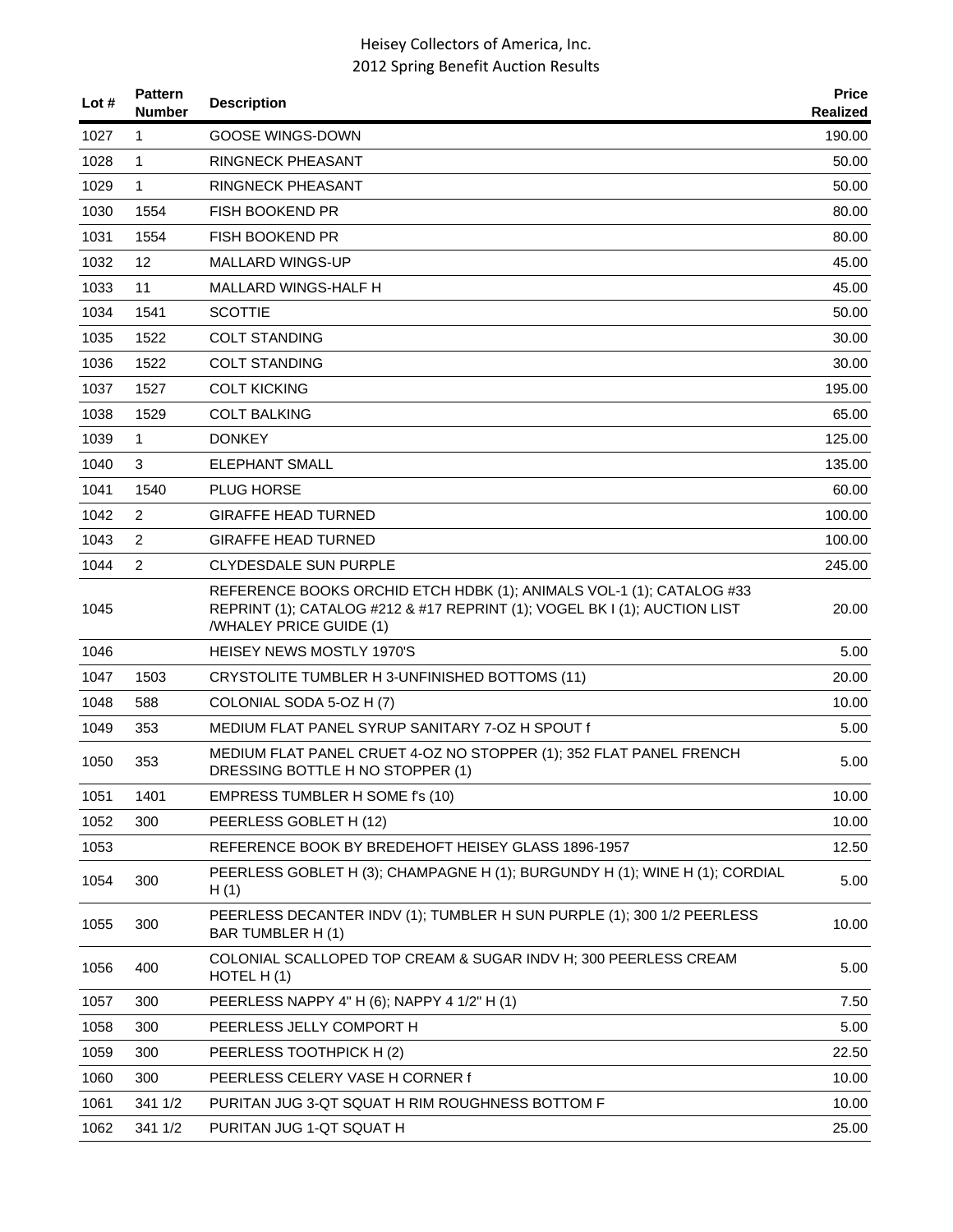| Lot # | <b>Pattern</b><br><b>Number</b> | <b>Description</b>                                                                                                                                                           | <b>Price</b><br><b>Realized</b> |
|-------|---------------------------------|------------------------------------------------------------------------------------------------------------------------------------------------------------------------------|---------------------------------|
| 1027  | $\mathbf{1}$                    | <b>GOOSE WINGS-DOWN</b>                                                                                                                                                      | 190.00                          |
| 1028  | 1                               | <b>RINGNECK PHEASANT</b>                                                                                                                                                     | 50.00                           |
| 1029  | $\mathbf{1}$                    | <b>RINGNECK PHEASANT</b>                                                                                                                                                     | 50.00                           |
| 1030  | 1554                            | <b>FISH BOOKEND PR</b>                                                                                                                                                       | 80.00                           |
| 1031  | 1554                            | <b>FISH BOOKEND PR</b>                                                                                                                                                       | 80.00                           |
| 1032  | 12                              | <b>MALLARD WINGS-UP</b>                                                                                                                                                      | 45.00                           |
| 1033  | 11                              | MALLARD WINGS-HALF H                                                                                                                                                         | 45.00                           |
| 1034  | 1541                            | <b>SCOTTIE</b>                                                                                                                                                               | 50.00                           |
| 1035  | 1522                            | <b>COLT STANDING</b>                                                                                                                                                         | 30.00                           |
| 1036  | 1522                            | <b>COLT STANDING</b>                                                                                                                                                         | 30.00                           |
| 1037  | 1527                            | <b>COLT KICKING</b>                                                                                                                                                          | 195.00                          |
| 1038  | 1529                            | <b>COLT BALKING</b>                                                                                                                                                          | 65.00                           |
| 1039  | 1                               | <b>DONKEY</b>                                                                                                                                                                | 125.00                          |
| 1040  | 3                               | <b>ELEPHANT SMALL</b>                                                                                                                                                        | 135.00                          |
| 1041  | 1540                            | <b>PLUG HORSE</b>                                                                                                                                                            | 60.00                           |
| 1042  | 2                               | <b>GIRAFFE HEAD TURNED</b>                                                                                                                                                   | 100.00                          |
| 1043  | $\overline{2}$                  | <b>GIRAFFE HEAD TURNED</b>                                                                                                                                                   | 100.00                          |
| 1044  | $\overline{2}$                  | <b>CLYDESDALE SUN PURPLE</b>                                                                                                                                                 | 245.00                          |
| 1045  |                                 | REFERENCE BOOKS ORCHID ETCH HDBK (1); ANIMALS VOL-1 (1); CATALOG #33<br>REPRINT (1); CATALOG #212 & #17 REPRINT (1); VOGEL BK I (1); AUCTION LIST<br>/WHALEY PRICE GUIDE (1) | 20.00                           |
| 1046  |                                 | <b>HEISEY NEWS MOSTLY 1970'S</b>                                                                                                                                             | 5.00                            |
| 1047  | 1503                            | CRYSTOLITE TUMBLER H 3-UNFINISHED BOTTOMS (11)                                                                                                                               | 20.00                           |
| 1048  | 588                             | COLONIAL SODA 5-OZ H (7)                                                                                                                                                     | 10.00                           |
| 1049  | 353                             | MEDIUM FLAT PANEL SYRUP SANITARY 7-OZ H SPOUT f                                                                                                                              | 5.00                            |
| 1050  | 353                             | MEDIUM FLAT PANEL CRUET 4-OZ NO STOPPER (1); 352 FLAT PANEL FRENCH<br>DRESSING BOTTLE H NO STOPPER (1)                                                                       | 5.00                            |
| 1051  | 1401                            | EMPRESS TUMBLER H SOME f's (10)                                                                                                                                              | 10.00                           |
| 1052  | 300                             | PEERLESS GOBLET H (12)                                                                                                                                                       | 10.00                           |
| 1053  |                                 | REFERENCE BOOK BY BREDEHOFT HEISEY GLASS 1896-1957                                                                                                                           | 12.50                           |
| 1054  | 300                             | PEERLESS GOBLET H (3); CHAMPAGNE H (1); BURGUNDY H (1); WINE H (1); CORDIAL<br>H(1)                                                                                          | 5.00                            |
| 1055  | 300                             | PEERLESS DECANTER INDV (1); TUMBLER H SUN PURPLE (1); 300 1/2 PEERLESS<br>BAR TUMBLER H (1)                                                                                  | 10.00                           |
| 1056  | 400                             | COLONIAL SCALLOPED TOP CREAM & SUGAR INDV H; 300 PEERLESS CREAM<br>HOTEL H(1)                                                                                                | 5.00                            |
| 1057  | 300                             | PEERLESS NAPPY 4" H (6); NAPPY 4 1/2" H (1)                                                                                                                                  | 7.50                            |
| 1058  | 300                             | PEERLESS JELLY COMPORT H                                                                                                                                                     | 5.00                            |
| 1059  | 300                             | PEERLESS TOOTHPICK H (2)                                                                                                                                                     | 22.50                           |
| 1060  | 300                             | PEERLESS CELERY VASE H CORNER f                                                                                                                                              | 10.00                           |
| 1061  | 341 1/2                         | PURITAN JUG 3-QT SQUAT H RIM ROUGHNESS BOTTOM F                                                                                                                              | 10.00                           |
| 1062  | 341 1/2                         | PURITAN JUG 1-QT SQUAT H                                                                                                                                                     | 25.00                           |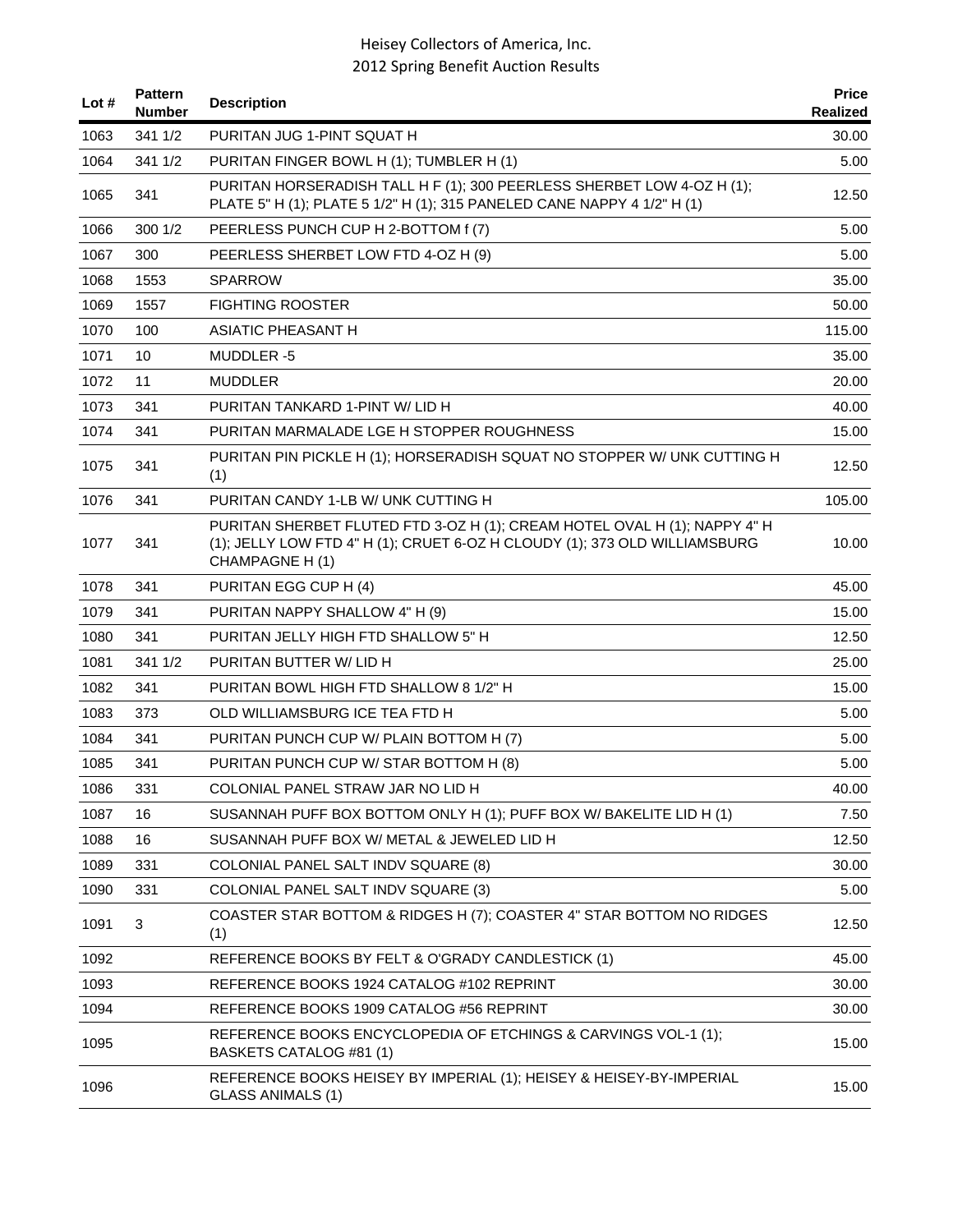| Lot $#$ | <b>Pattern</b><br>Number | <b>Description</b>                                                                                                                                                         | <b>Price</b><br>Realized |
|---------|--------------------------|----------------------------------------------------------------------------------------------------------------------------------------------------------------------------|--------------------------|
| 1063    | 341 1/2                  | PURITAN JUG 1-PINT SQUAT H                                                                                                                                                 | 30.00                    |
| 1064    | 341 1/2                  | PURITAN FINGER BOWL H (1); TUMBLER H (1)                                                                                                                                   | 5.00                     |
| 1065    | 341                      | PURITAN HORSERADISH TALL H F (1); 300 PEERLESS SHERBET LOW 4-OZ H (1);<br>PLATE 5" H (1); PLATE 5 1/2" H (1); 315 PANELED CANE NAPPY 4 1/2" H (1)                          | 12.50                    |
| 1066    | 300 1/2                  | PEERLESS PUNCH CUP H 2-BOTTOM f (7)                                                                                                                                        | 5.00                     |
| 1067    | 300                      | PEERLESS SHERBET LOW FTD 4-OZ H (9)                                                                                                                                        | 5.00                     |
| 1068    | 1553                     | <b>SPARROW</b>                                                                                                                                                             | 35.00                    |
| 1069    | 1557                     | <b>FIGHTING ROOSTER</b>                                                                                                                                                    | 50.00                    |
| 1070    | 100                      | <b>ASIATIC PHEASANT H</b>                                                                                                                                                  | 115.00                   |
| 1071    | 10                       | MUDDLER-5                                                                                                                                                                  | 35.00                    |
| 1072    | 11                       | <b>MUDDLER</b>                                                                                                                                                             | 20.00                    |
| 1073    | 341                      | PURITAN TANKARD 1-PINT W/ LID H                                                                                                                                            | 40.00                    |
| 1074    | 341                      | PURITAN MARMALADE LGE H STOPPER ROUGHNESS                                                                                                                                  | 15.00                    |
| 1075    | 341                      | PURITAN PIN PICKLE H (1); HORSERADISH SQUAT NO STOPPER W/ UNK CUTTING H<br>(1)                                                                                             | 12.50                    |
| 1076    | 341                      | PURITAN CANDY 1-LB W/ UNK CUTTING H                                                                                                                                        | 105.00                   |
| 1077    | 341                      | PURITAN SHERBET FLUTED FTD 3-OZ H (1); CREAM HOTEL OVAL H (1); NAPPY 4" H<br>(1); JELLY LOW FTD 4" H (1); CRUET 6-OZ H CLOUDY (1); 373 OLD WILLIAMSBURG<br>CHAMPAGNE H (1) | 10.00                    |
| 1078    | 341                      | PURITAN EGG CUP H (4)                                                                                                                                                      | 45.00                    |
| 1079    | 341                      | PURITAN NAPPY SHALLOW 4" H (9)                                                                                                                                             | 15.00                    |
| 1080    | 341                      | PURITAN JELLY HIGH FTD SHALLOW 5" H                                                                                                                                        | 12.50                    |
| 1081    | 341 1/2                  | PURITAN BUTTER W/ LID H                                                                                                                                                    | 25.00                    |
| 1082    | 341                      | PURITAN BOWL HIGH FTD SHALLOW 8 1/2" H                                                                                                                                     | 15.00                    |
| 1083    | 373                      | OLD WILLIAMSBURG ICE TEA FTD H                                                                                                                                             | 5.00                     |
| 1084    | 341                      | PURITAN PUNCH CUP W/ PLAIN BOTTOM H (7)                                                                                                                                    | 5.00                     |
| 1085    | 341                      | PURITAN PUNCH CUP W/ STAR BOTTOM H (8)                                                                                                                                     | 5.00                     |
| 1086    | 331                      | COLONIAL PANEL STRAW JAR NO LID H                                                                                                                                          | 40.00                    |
| 1087    | 16                       | SUSANNAH PUFF BOX BOTTOM ONLY H (1); PUFF BOX W/ BAKELITE LID H (1)                                                                                                        | 7.50                     |
| 1088    | 16                       | SUSANNAH PUFF BOX W/ METAL & JEWELED LID H                                                                                                                                 | 12.50                    |
| 1089    | 331                      | COLONIAL PANEL SALT INDV SQUARE (8)                                                                                                                                        | 30.00                    |
| 1090    | 331                      | COLONIAL PANEL SALT INDV SQUARE (3)                                                                                                                                        | 5.00                     |
| 1091    | 3                        | COASTER STAR BOTTOM & RIDGES H (7); COASTER 4" STAR BOTTOM NO RIDGES<br>(1)                                                                                                | 12.50                    |
| 1092    |                          | REFERENCE BOOKS BY FELT & O'GRADY CANDLESTICK (1)                                                                                                                          | 45.00                    |
| 1093    |                          | REFERENCE BOOKS 1924 CATALOG #102 REPRINT                                                                                                                                  | 30.00                    |
| 1094    |                          | REFERENCE BOOKS 1909 CATALOG #56 REPRINT                                                                                                                                   | 30.00                    |
| 1095    |                          | REFERENCE BOOKS ENCYCLOPEDIA OF ETCHINGS & CARVINGS VOL-1 (1);<br>BASKETS CATALOG #81 (1)                                                                                  | 15.00                    |
| 1096    |                          | REFERENCE BOOKS HEISEY BY IMPERIAL (1); HEISEY & HEISEY-BY-IMPERIAL<br><b>GLASS ANIMALS (1)</b>                                                                            | 15.00                    |